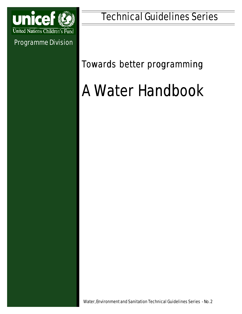

Programme Division

## *Towards better programming*

# A Water Handbook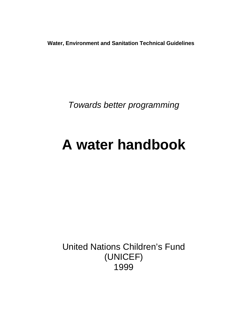**Water, Environment and Sanitation Technical Guidelines**

*Towards better programming*

## **A water handbook**

United Nations Children's Fund (UNICEF) 1999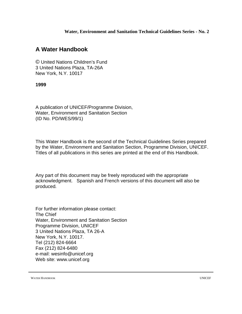**Water, Environment and Sanitation Technical Guidelines Series - No. 2**

## **A Water Handbook**

© United Nations Children's Fund 3 United Nations Plaza, TA-26A New York, N.Y. 10017

#### **1999**

A publication of UNICEF/Programme Division, Water, Environment and Sanitation Section (ID No. PD/WES/99/1)

This Water Handbook is the second of the Technical Guidelines Series prepared by the Water, Environment and Sanitation Section, Programme Division, UNICEF. Titles of all publications in this series are printed at the end of this Handbook.

Any part of this document may be freely reproduced with the appropriate acknowledgment. Spanish and French versions of this document will also be produced*.*

For further information please contact: The Chief Water, Environment and Sanitation Section Programme Division, UNICEF 3 United Nations Plaza, TA 26-A New York, N.Y. 10017. Tel (212) 824-6664 Fax (212) 824-6480 e-mail: wesinfo@unicef.org Web site: www.unicef.org

WATER HANDBOOK UNICEF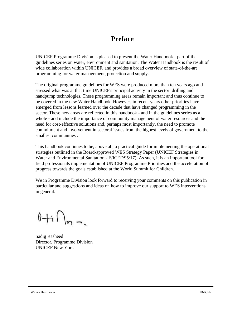## **Preface**

UNICEF Programme Division is pleased to present the Water Handbook - part of the guidelines series on water, environment and sanitation. The Water Handbook is the result of wide collaboration within UNICEF, and provides a broad overview of state-of-the-art programming for water management, protection and supply.

The original programme guidelines for WES were produced more than ten years ago and stressed what was at that time UNICEF's principal activity in the sector: drilling and handpump technologies. These programming areas remain important and thus continue to be covered in the new Water Handbook. However, in recent years other priorities have emerged from lessons learned over the decade that have changed programming in the sector. These new areas are reflected in this handbook - and in the guidelines series as a whole - and include the importance of community management of water resources and the need for cost-effective solutions and, perhaps most importantly, the need to promote commitment and involvement in sectoral issues from the highest levels of government to the smallest communities .

This handbook continues to be, above all, a practical guide for implementing the operational strategies outlined in the Board-approved WES Strategy Paper (UNICEF Strategies in Water and Environmental Sanitation - E/ICEF/95/17). As such, it is an important tool for field professionals implementation of UNICEF Programme Priorities and the acceleration of progress towards the goals established at the World Summit for Children.

We in Programme Division look forward to receiving your comments on this publication in particular and suggestions and ideas on how to improve our support to WES interventions in general.

 $0 + i \bigcap_{n \to \infty}$ 

Sadig Rasheed Director, Programme Division UNICEF New York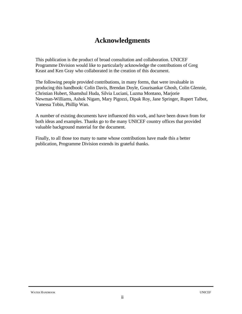## **Acknowledgments**

This publication is the product of broad consultation and collaboration. UNICEF Programme Division would like to particularly acknowledge the contributions of Greg Keast and Ken Gray who collaborated in the creation of this document.

The following people provided contributions, in many forms, that were invaluable in producing this handbook: Colin Davis, Brendan Doyle, Gourisankar Ghosh, Colin Glennie, Christian Hubert, Shamshul Huda, Silvia Luciani, Luzma Montano, Marjorie Newman-Williams, Ashok Nigam, Mary Pigozzi, Dipak Roy, Jane Springer, Rupert Talbot, Vanessa Tobin, Phillip Wan.

A number of existing documents have influenced this work, and have been drawn from for both ideas and examples. Thanks go to the many UNICEF country offices that provided valuable background material for the document.

Finally, to all those too many to name whose contributions have made this a better publication, Programme Division extends its grateful thanks.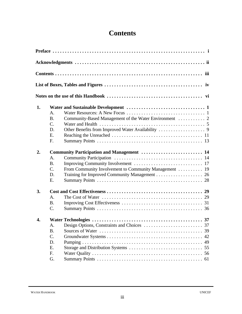## **Contents**

| 1. |                                            |                                                                                          |  |  |  |
|----|--------------------------------------------|------------------------------------------------------------------------------------------|--|--|--|
|    | A.                                         |                                                                                          |  |  |  |
|    | <b>B.</b>                                  |                                                                                          |  |  |  |
|    | $\mathcal{C}$ .                            |                                                                                          |  |  |  |
|    | D.                                         |                                                                                          |  |  |  |
|    | E.                                         |                                                                                          |  |  |  |
|    | F.                                         |                                                                                          |  |  |  |
| 2. | Community Participation and Management  14 |                                                                                          |  |  |  |
|    | A.                                         |                                                                                          |  |  |  |
|    | <b>B.</b>                                  |                                                                                          |  |  |  |
|    | C.                                         | From Community Involvement to Community Management  19                                   |  |  |  |
|    | D.                                         |                                                                                          |  |  |  |
|    | E.                                         |                                                                                          |  |  |  |
| 3. |                                            |                                                                                          |  |  |  |
|    | A <sub>1</sub>                             | The Cost of Water $\dots\dots\dots\dots\dots\dots\dots\dots\dots\dots\dots\dots\dots$ 29 |  |  |  |
|    | <b>B.</b>                                  |                                                                                          |  |  |  |
|    | C.                                         |                                                                                          |  |  |  |
| 4. |                                            |                                                                                          |  |  |  |
|    |                                            | A. Design Options, Constraints and Choices<br>. 37                                       |  |  |  |
|    | <b>B.</b>                                  |                                                                                          |  |  |  |
|    | C.                                         | 42                                                                                       |  |  |  |
|    | D.                                         | 49                                                                                       |  |  |  |
|    | E.                                         |                                                                                          |  |  |  |
|    | F.                                         |                                                                                          |  |  |  |
|    | G.                                         |                                                                                          |  |  |  |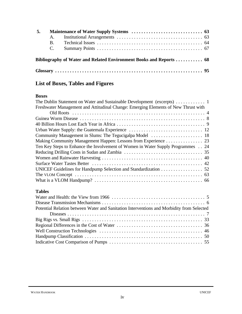| 5. |                |  |
|----|----------------|--|
|    |                |  |
|    | $\mathbf{B}$ . |  |
|    | $C_{\cdot}$    |  |
|    |                |  |
|    |                |  |

## **List of Boxes, Tables and Figures**

#### **Boxes**

| Freshwater Management and Attitudinal Change: Emerging Elements of New Thrust with        |
|-------------------------------------------------------------------------------------------|
|                                                                                           |
|                                                                                           |
|                                                                                           |
|                                                                                           |
| Community Management in Slums: The Tegucigalpa Model  18                                  |
| Making Community Management Happen: Lessons from Experience 23                            |
| Ten Key Steps to Enhance the Involvement of Women in Water Supply Programmes 24           |
|                                                                                           |
|                                                                                           |
|                                                                                           |
| UNICEF Guidelines for Handpump Selection and Standardization 52                           |
|                                                                                           |
|                                                                                           |
| <b>Tables</b>                                                                             |
|                                                                                           |
|                                                                                           |
| Potential Relation between Water and Sanitation Interventions and Morbidity from Selected |
|                                                                                           |
|                                                                                           |
|                                                                                           |
|                                                                                           |
|                                                                                           |
|                                                                                           |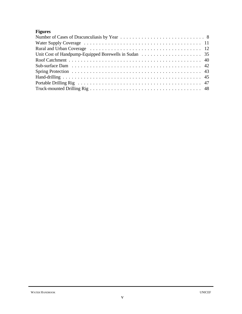### **Figures**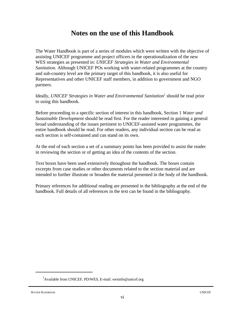## **Notes on the use of this Handbook**

The Water Handbook is part of a series of modules which were written with the objective of assisting UNICEF programme and project officers in the operationalization of the new WES strategies as presented in: *UNICEF Strategies in Water and Environmental Sanitation.* Although UNICEF POs working with water-related programmes at the country and sub-country level are the primary target of this handbook, it is also useful for Representatives and other UNICEF staff members, in addition to government and NGO partners.

Ideally, *UNICEF Strategies in Water and Environmental Sanitation<sup>1</sup> should be read prior* to using this handbook.

Before proceeding to a specific section of interest in this handbook, Section 1 *Water and Sustainable Development* should be read first. For the reader interested in gaining a general broad understanding of the issues pertinent to UNICEF-assisted water programmes, the entire handbook should be read. For other readers, any individual section can be read as each section is self-contained and can stand on its own.

At the end of each section a set of a summary points has been provided to assist the reader in reviewing the section or of getting an idea of the contents of the section.

Text boxes have been used extensively throughout the handbook. The boxes contain excerpts from case studies or other documents related to the section material and are intended to further illustrate or broaden the material presented in the body of the handbook.

Primary references for additional reading are presented in the bibliography at the end of the handbook. Full details of all references in the text can be found in the bibliography.

<sup>&</sup>lt;sup>1</sup>Available from UNICEF, PD/WES, E-mail: wesinfo@unicef.org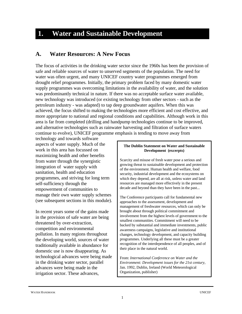## **1. Water and Sustainable Development**

#### **A. Water Resources: A New Focus**

The focus of activities in the drinking water sector since the 1960s has been the provision of safe and reliable sources of water to unserved segments of the population. The need for water was often urgent, and many UNICEF country water programmes emerged from drought relief programmes. Initially, the primary problem faced by many domestic water supply programmes was overcoming limitations in the availability of water, and the solution was predominantly technical in nature. If there was no acceptable surface water available, new technology was introduced (or existing technology from other sectors - such as the petroleum industry - was adapted) to tap deep groundwater aquifers. When this was achieved, the focus shifted to making the technologies more efficient and cost effective, and more appropriate to national and regional conditions and capabilities. Although work in this area is far from completed (drilling and handpump technologies continue to be improved, and alternative technologies such as rainwater harvesting and filtration of surface waters continue to evolve), UNICEF programme emphasis is tending to move away from

technology and towards software aspects of water supply. Much of the work in this area has focussed on maximizing health and other benefits from water through the synergistic integration of water supply with sanitation, health and education programmes, and striving for long term self-sufficiency through the empowerment of communities to manage their own water supply schemes (see subsequent sections in this module).

In recent years some of the gains made in the provision of safe water are being threatened by over-extraction, competition and environmental pollution. In many regions throughout the developing world, sources of water traditionally available in abundance for domestic use is now disappearing. As technological advances were being made in the drinking water sector, parallel advances were being made in the irrigation sector. These advances,

#### **The Dublin Statement on Water and Sustainable Development (excerpts)**

Scarcity and misuse of fresh water pose a serious and growing threat to sustainable development and protection of the environment. Human health and welfare, food security, industrial development and the ecosystems on which they depend, are all at risk, unless water and land resources are managed more effectively in the present decade and beyond than they have been in the past...

The Conference participants call for fundamental new approaches to the assessment, development and management of freshwater resources, which can only be brought about through political commitment and involvement from the highest levels of government to the smallest communities. Commitment will need to be backed by substantial and immediate investments, public awareness campaigns, legislative and institutional changes, technology development, and capacity building programmes. Underlying all these must be a greater recognition of the interdependence of all peoples, and of their place in the natural world.

From: *International Conference on Water and the Environment: Development issues for the 21st century*, Jan. 1992, Dublin, Ireland (World Meteorological Organization, publisher)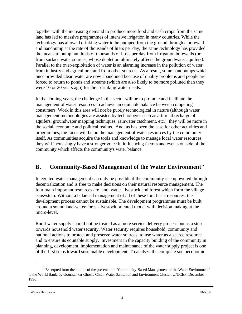together with the increasing demand to produce more food and cash crops from the same land has led to massive programmes of intensive irrigation in many countries. While the technology has allowed drinking water to be pumped from the ground through a borewell and handpump at the rate of thousands of liters per day, the same technology has provided the means to pump hundreds of thousands of litres per day from irrigation borewells (or from surface water sources, whose depletion ultimately affects the groundwater aquifers). Parallel to the over-exploitation of water is an alarming increase in the pollution of water from industry and agriculture, and from other sources. As a result, some handpumps which once provided clean water are now abandoned because of quality problems and people are forced to return to ponds and streams (which are also likely to be more polluted than they were 10 or 20 years ago) for their drinking water needs.

In the coming years, the challenge in the sector will be to promote and facilitate the management of water resources to achieve an equitable balance between competing consumers. Work in this area will not be purely technological in nature (although water management methodologies are assisted by technologies such as artificial recharge of aquifers, groundwater mapping techniques, rainwater catchment, etc.): they will be more in the social, economic and political realms. And, as has been the case for other activities and programmes, the focus will be on the management of water resources by the community itself. As communities acquire the tools and knowledge to manage local water resources, they will increasingly have a stronger voice in influencing factors and events outside of the community which affects the community's water balance.

## **B. Community-Based Management of the Water Environment <sup>2</sup>**

Integrated water management can only be possible if the community is empowered through decentralization and is free to make decisions on their natural resource management. The four main important resources are land, water, livestock and forest which form the village ecosystem. Without a balanced management of all of these four basic resources, the development process cannot be sustainable. The development programmes must be built around a sound land-water-forest-livestock oriented model with decision making at the micro-level.

Rural water supply should not be treated as a mere service delivery process but as a step towards household water security. Water security requires household, community and national actions to protect and preserve water sources, to use water as a scarce resource and to ensure its equitable supply. Investment in the capacity building of the community in planning, development, implementation and maintenance of the water supply project is one of the first steps toward sustainable development. To analyze the complete socioeconomic

 $2\,$  Excerpted from the outline of the presentation "Community-Based Management of the Water Environment" to the World Bank, by Gourisankar Ghosh, Chief, Water Sanitation and Environment Cluster, UNICEF. December 1996.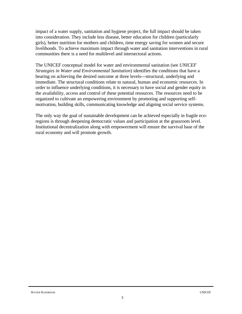impact of a water supply, sanitation and hygiene project, the full impact should be taken into consideration. They include less disease, better education for children (particularly girls), better nutrition for mothers and children, time energy saving for women and secure livelihoods. To achieve maximum impact through water and sanitation interventions in rural communities there is a need for multilevel and intersectoral actions.

The UNICEF conceptual model for water and environmental sanitation (see *UNICEF Strategies in Water and Environmental Sanitation*) identifies the conditions that have a bearing on achieving the desired outcome at three levels---structural, underlying and immediate. The structural conditions relate to natural, human and economic resources. In order to influence underlying conditions, it is necessary to have social and gender equity in the availability, access and control of these potential resources. The resources need to be organized to cultivate an empowering environment by promoting and supporting selfmotivation, building skills, communicating knowledge and aligning social service systems.

The only way the goal of sustainable development can be achieved especially in fragile ecoregions is through deepening democratic values and participation at the grassroots level. Institutional decentralization along with empowerment will ensure the survival base of the rural economy and will promote growth.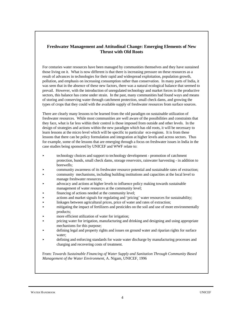#### **Freshwater Management and Attitudinal Change: Emerging Elements of New Thrust with Old Roots**

For centuries water resources have been managed by communities themselves and they have sustained those living on it. What is now different is that there is increasing pressure on these resources as a result of advances in technologies for their rapid and widespread exploitation, population growth, pollution, and emphasis on increasing consumption rather than conservation. In many parts of India, it was seen that in the absence of these new factors, there was a natural ecological balance that seemed to prevail. However, with the introduction of unregulated technology and market forces in the productive sectors, this balance has come under strain. In the past, many communities had found ways and means of storing and conserving water through catchment protection, small check dams, and growing the types of crops that they could with the available supply of freshwater resources from surface sources.

There are clearly many lessons to be learned from the old paradigm on sustainable utilization of freshwater resources. While most communities are well aware of the possibilities and constraints that they face, what is far less within their control is those imposed from outside and other levels. In the design of strategies and actions within the new paradigm which has old roots, it will be necessary to learn lessons at the micro level which will be specific to particular eco-regions. It is from these lessons that there can be policy formulation and integration at higher levels and across sectors. Thus for example, some of the lessons that are emerging through a focus on freshwater issues in India in the case studies being sponsored by UNICEF and WWF relate to:

- < technology choices and support to technology development promotion of catchment protection, bunds, small check dams, storage reservoirs, rainwater harvesting - in addition to borewells;
- community awareness of its freshwater resource potential and sustainable rates of extraction;
- < community mechanisms, including building institutions and capacities at the local level to manage freshwater resources;
- < advocacy and actions at higher levels to influence policy making towards sustainable management of water resources at the community level;
- financing of actions needed at the community level;
- < actions and market signals for regulating and 'pricing' water resources for sustainability;
- linkages between agricultural prices, price of water and rates of extraction;
- < mitigating the impact of fertilizers and pesticides on the soil and use of more environmentally products;
- more efficient utilization of water for irrigation;
- < pricing water for irrigation, manufacturing and drinking and designing and using appropriate mechanisms for this purpose;
- < defining legal and property rights and issues on ground water and riparian rights for surface water;
- < defining and enforcing standards for waste water discharge by manufacturing processes and charging and recovering costs of treatment.

From: *Towards Sustainable Financing of Water Supply and Sanitation Through Community Based Management of the Water Environment*, A. Nigam, UNICEF, 1996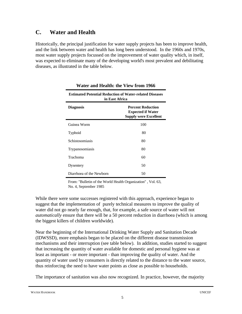## **C. Water and Health**

Historically, the principal justification for water supply projects has been to improve health, and the link between water and health has long been understood. In the 1960s and 1970s, most water supply projects focussed on the improvement of water quality which, in itself, was expected to eliminate many of the developing world's most prevalent and debilitating diseases, as illustrated in the table below.

| <b>Estimated Potential Reduction of Water-related Diseases</b><br>in East Africa |                                                                                      |  |  |  |
|----------------------------------------------------------------------------------|--------------------------------------------------------------------------------------|--|--|--|
| <b>Diagnosis</b>                                                                 | <b>Percent Reduction</b><br><b>Expected if Water</b><br><b>Supply were Excellent</b> |  |  |  |
| Guinea Worm                                                                      | 100                                                                                  |  |  |  |
| Typhoid                                                                          | 80                                                                                   |  |  |  |
| Schistosomiasis                                                                  | 80                                                                                   |  |  |  |
| <b>Trypanosomiasis</b>                                                           | 80                                                                                   |  |  |  |
| Trachoma                                                                         | 60                                                                                   |  |  |  |
| Dysentery                                                                        | 50                                                                                   |  |  |  |
| Diarrhoea of the Newborn                                                         | 50                                                                                   |  |  |  |

**Water and Health: the View from 1966**

From: "Bulletin of the World Health Organization" , Vol. 63, No. 4, September 1985

While there were some successes registered with this approach, experience began to suggest that the implementation of purely technical measures to improve the quality of water did not go nearly far enough, that, for example, a safe source of water will not *automatically* ensure that there will be a 50 percent reduction in diarrhoea (which is among the biggest killers of children worldwide).

Near the beginning of the International Drinking Water Supply and Sanitation Decade (IDWSSD), more emphasis began to be placed on the different disease transmission mechanisms and their interruption (see table below). In addition, studies started to suggest that increasing the quantity of water available for domestic and personal hygiene was at least as important - or more important - than improving the quality of water. And the quantity of water used by consumers is directly related to the distance to the water source, thus reinforcing the need to have water points as close as possible to households.

The importance of sanitation was also now recognized. In practice, however, the majority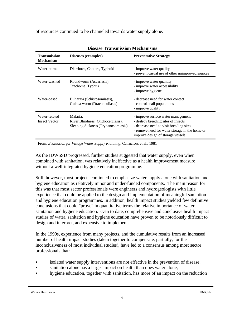of resources continued to be channeled towards water supply alone.

| Discase Transmission incenditisms       |                                                                                      |                                                                                                                                                                                                             |  |  |  |
|-----------------------------------------|--------------------------------------------------------------------------------------|-------------------------------------------------------------------------------------------------------------------------------------------------------------------------------------------------------------|--|--|--|
| <b>Transmission</b><br><b>Mechanism</b> | Diseases (examples)                                                                  | <b>Preventative Strategy</b>                                                                                                                                                                                |  |  |  |
| Water-borne                             | Diarrhoea, Cholera, Typhoid                                                          | - improve water quality<br>- prevent casual use of other unimproved sources                                                                                                                                 |  |  |  |
| Water-washed                            | Roundworm (Ascariasis),<br>Trachoma, Typhus                                          | - improve water quantity<br>- improve water accessibility<br>- improve hygiene                                                                                                                              |  |  |  |
| Water-based                             | Bilharzia (Schistosomiasis),<br>Guinea worm (Dracunculiasis)                         | - decrease need for water contact<br>- control snail populations<br>- improve quality                                                                                                                       |  |  |  |
| Water-related<br><b>Insect Vector</b>   | Malaria,<br>River Blindness (Onchocerciasis),<br>Sleeping Sickness (Trypanosomiasis) | - improve surface water management<br>- destroy breeding sites of insects<br>- decrease need to visit breeding sites<br>- remove need for water storage in the home or<br>improve design of storage vessels |  |  |  |

**Disease Transmission Mechanisms**

From: *Evaluation for Village Water Supply Planning*, Cairncross et al., 1981

As the IDWSSD progressed, further studies suggested that water supply, even when combined with sanitation, was relatively ineffective as a health improvement measure without a well-integrated hygiene education programme.

Still, however, most projects continued to emphasize water supply alone with sanitation and hygiene education as relatively minor and under-funded components. The main reason for this was that most sector professionals were engineers and hydrogeologists with little experience that could be applied to the design and implementation of meaningful sanitation and hygiene education programmes. In addition, health impact studies yielded few definitive conclusions that could "prove" in quantitative terms the relative importance of water, sanitation and hygiene education. Even to date, comprehensive and conclusive health impact studies of water, sanitation and hygiene education have proven to be notoriously difficult to design and interpret, and expensive to implement.

In the 1990s, experience from many projects, and the cumulative results from an increased number of health impact studies (taken together to compensate, partially, for the inconclusiveness of most individual studies), have led to a consensus among most sector professionals that:

- isolated water supply interventions are not effective in the prevention of disease;
- sanitation alone has a larger impact on health than does water alone;
- hygiene education, together with sanitation, has more of an impact on the reduction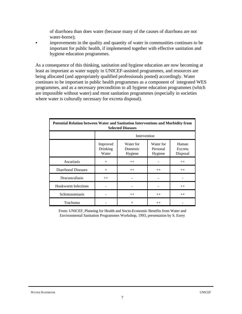of diarrhoea than does water (because many of the causes of diarrhoea are not water-borne);

• improvements in the quality and quantity of water in communities continues to be important for public health, if implemented together with effective sanitation and hygiene education programmes.

As a consequence of this thinking, sanitation and hygiene education are now becoming at least as important as water supply in UNICEF-assisted programmes, and resources are being allocated (and appropriately qualified professionals posted) accordingly. Water continues to be important in public health programmes as a component of integrated WES programmes, and as a necessary precondition to all hygiene education programmes (which are impossible without water) and most sanitation programmes (especially in societies where water is culturally necessary for excreta disposal).

| Potential Relation between Water and Sanitation Interventions and Morbidity from<br><b>Selected Diseases</b> |                               |                                  |                                  |                              |  |  |
|--------------------------------------------------------------------------------------------------------------|-------------------------------|----------------------------------|----------------------------------|------------------------------|--|--|
|                                                                                                              | Intervention                  |                                  |                                  |                              |  |  |
|                                                                                                              | Improved<br>Drinking<br>Water | Water for<br>Domestic<br>Hygiene | Water for<br>Personal<br>Hygiene | Human<br>Excreta<br>Disposal |  |  |
| Ascariasis                                                                                                   | $+$                           | $++$                             |                                  | $++$                         |  |  |
| Diarrhoeal Diseases                                                                                          | $+$                           | $++$                             | $++$                             | $++$                         |  |  |
| Dracunculiasis                                                                                               | $++$                          |                                  |                                  |                              |  |  |
| <b>Hookworm Infections</b>                                                                                   |                               |                                  |                                  | $++$                         |  |  |
| Schistosomiasis                                                                                              |                               | $++$                             | $++$                             | $++$                         |  |  |
| Trachoma                                                                                                     |                               | $^{+}$                           | $++$                             |                              |  |  |

From: UNICEF, Planning for Health and Socio-Economic Benefits from Water and Environmental Sanitation Programmes Workshop, 1993, presentation by S. Esrey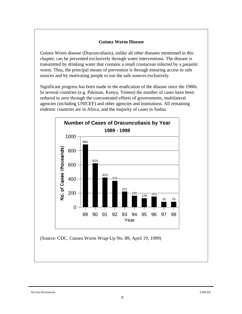#### **Guinea Worm Disease**

Guinea Worm disease (Dracunculiasis), unlike all other diseases mentioned in this chapter, can be prevented exclusively through water interventions. The disease is transmitted by drinking water that contains a small crustacean infected by a parasitic worm. Thus, the principal means of prevention is through ensuring access to safe sources and by motivating people to use the safe sources exclusively.

Significant progress has been made in the eradication of the disease since the 1980s. In several countries (e.g. Pakistan, Kenya, Yemen) the number of cases have been reduced to zero through the concentrated efforts of governments, multilateral agencies (including UNICEF) and other agencies and institutions. All remaining endemic countries are in Africa, and the majority of cases in Sudan.



(Source: CDC, Guinea Worm Wrap-Up No. 89, April 19, 1999)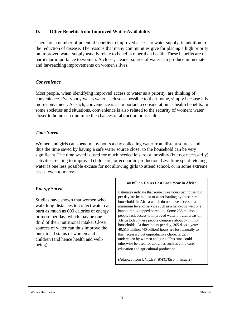#### **D. Other Benefits from Improved Water Availability**

There are a number of potential benefits to improved access to water supply, in addition to the reduction of disease. The reasons that many communities give for placing a high priority on improved water supply usually relate to benefits other than health. These benefits are of particular importance to women. A closer, cleaner source of water can produce immediate and far-reaching improvements on women's lives.

#### *Convenience*

Most people, when identifying improved access to water as a priority, are thinking of convenience. Everybody wants water as close as possible to their home, simply because it is more convenient. As such, convenience is as important a consideration as health benefits. In some societies and situations, convenience is also related to the security of women: water closer to home can minimize the chances of abduction or assault.

#### *Time Saved*

Women and girls can spend many hours a day collecting water from distant sources and thus the time saved by having a safe water source closer to the household can be very significant. The time saved is used for much needed leisure or, possibly (but not necessarily) activities relating to improved child care, or economic production. Less time spent fetching water is one less possible excuse for not allowing girls to attend school, or in some extreme cases, even to marry.

#### *Energy Saved*

Studies have shown that women who walk long distances to collect water can burn as much as 600 calories of energy or more per day, which may be one third of their nutritional intake. Closer sources of water can thus improve the nutritional status of women and children (and hence health and wellbeing).

#### **40 Billion Hours Lost Each Year in Africa**

Estimates indicate that some three hours per household per day are being lost to water hauling by those rural households in Africa which do not have access to a minimum level of service such as a hand-dug well or a handpump-equipped borehole. Some 258 million people lack access to improved water in rural areas of Africa today; these people comprise about 37 million households. At three hours per day, 365 days a year: 40,515 million (40 billion) hours are lost annually to this necessary but unproductive chore, largely undertaken by women and girls. This time could otherwise be used for activities such as child care, education and agricultural production.

(Adapted from UNICEF*, WATERfront*, Issue 2)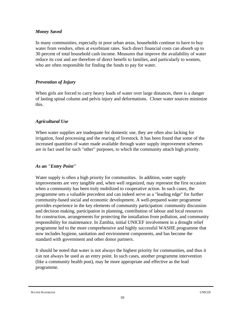#### *Money Saved*

In many communities, especially in poor urban areas, households continue to have to buy water from vendors, often at exorbitant rates. Such direct financial costs can absorb up to 30 percent of total household cash income. Measures that improve the availability of water reduce its cost and are therefore of direct benefit to families, and particularly to women, who are often responsible for finding the funds to pay for water.

#### *Prevention of Injury*

When girls are forced to carry heavy loads of water over large distances, there is a danger of lasting spinal column and pelvis injury and deformations. Closer water sources minimize this.

#### *Agricultural Use*

When water supplies are inadequate for domestic use, they are often also lacking for irrigation, food processing and the rearing of livestock. It has been found that some of the increased quantities of water made available through water supply improvement schemes are in fact used for such "other" purposes, to which the community attach high priority.

#### *As an "Entry Point"*

Water supply is often a high priority for communities. In addition, water supply improvements are very tangible and, when well organized, may represent the first occasion when a community has been truly mobilized to cooperative action. In such cases, the programme sets a valuable precedent and can indeed serve as a "leading edge" for further community-based social and economic development. A well-prepared water programme provides experience in the key elements of community participation: community discussion and decision making, participation in planning, contribution of labour and local resources for construction, arrangements for protecting the installation from pollution, and community responsibility for maintenance. In Zambia, initial UNICEF involvement in a drought relief programme led to the more comprehensive and highly successful WASHE programme that now includes hygiene, sanitation and environment components, and has become the standard with government and other donor partners.

It should be noted that water is not always the highest priority for communities, and thus it can not always be used as an entry point. In such cases, another programme intervention (like a community health post), may be more appropriate and effective as the lead programme.

WATER HANDBOOK UNICEF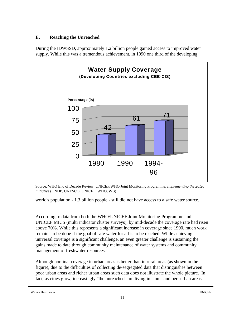#### **E. Reaching the Unreached**

During the IDWSSD, approximately 1.2 billion people gained access to improved water supply. While this was a tremendous achievement, in 1990 one third of the developing



Source: WHO End of Decade Review; UNICEF/WHO Joint Monitoring Programme; *Implementing the 20/20 Initiative* (UNDP, UNESCO, UNICEF, WHO, WB)

world's population - 1.3 billion people - still did not have access to a safe water source.

According to data from both the WHO/UNICEF Joint Monitoring Programme and UNICEF MICS (multi indicator cluster surveys), by mid-decade the coverage rate had risen above 70%**.** While this represents a significant increase in coverage since 1990, much work remains to be done if the goal of safe water for all is to be reached. While achieving universal coverage is a significant challenge, an even greater challenge is sustaining the gains made to date through community maintenance of water systems and community management of freshwater resources.

Although nominal coverage in urban areas is better than in rural areas (as shown in the figure), due to the difficulties of collecting de-segregated data that distinguishes between poor urban areas and richer urban areas such data does not illustrate the whole picture.In fact, as cities grow, increasingly "the unreached" are living in slums and peri-urban areas.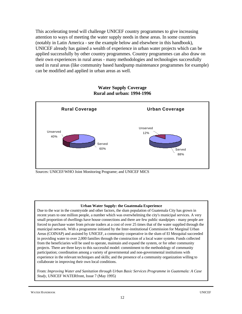This accelerating trend will challenge UNICEF country programmes to give increasing attention to ways of meeting the water supply needs in these areas. In some countries (notably in Latin America - see the example below and elsewhere in this handbook), UNICEF already has gained a wealth of experience in urban water projects which can be applied successfully by other country programmes. Country programmes can also draw on their own experiences in rural areas - many methodologies and technologies successfully used in rural areas (like community based handpump maintenance programmes for example) can be modified and applied in urban areas as well.



#### **Water Supply Coverage Rural and urban: 1994-1996**

Sources: UNICEF/WHO Joint Monitoring Programe; and UNICEF MICS

#### **Urban Water Supply: the Guatemala Experience**

Due to the war in the countryside and other factors, the slum population of Guatemala City has grown in recent years to one million people, a number which was overwhelming the city's municipal services. A very small proportion of dwellings have house connections and there are few public standpipes - many people are forced to purchase water from private traders at a cost of over 25 times that of the water supplied through the municipal network. With a programme initiated by the Inter-institutional Commission for Marginal Urban Areas (COINAP) and assisted by UNICEF, a community cooperative in the slum of El Mezquital succeeded in providing water to over 2,000 families through the construction of a local water system. Funds collected from the beneficiaries will be used to operate, maintain and expand the system, or for other community projects. There are three keys to this successful model: commitment to the methodology of community participation; coordination among a variety of governmental and non-governmental institutions with experience in the relevant techniques and skills; and the presence of a community organization willing to collaborate in improving their own local conditions.

From: *Improving Water and Sanitation through Urban Basic Services Programme in Guatemala: A Case Study*, UNICEF WATERfront, Issue 7 (May 1995)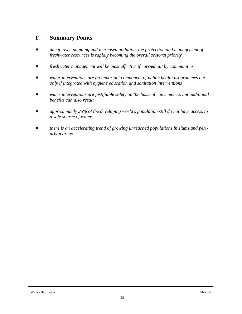## **F. Summary Points**

- *Ç due to over-pumping and increased pollution, the protection and management of freshwater resources is rapidly becoming the overall sectoral priority*
- *Ç freshwater management will be most effective if carried out by communities*
- *water interventions are an important component of public health programmes but only if integrated with hygiene education and sanitation interventions*
- *water interventions are justifiable solely on the basis of convenience, but additional benefits can also result*
- *Ç approximately 25% of the developing world's population still do not have access to a safe source of water*
- there is an accelerating trend of growing unreached populations in slums and peri*urban areas*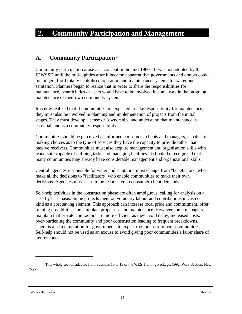## **2. Community Participation and Management**

### **A. Community Participation** <sup>3</sup>

Community participation arose as a concept in the mid-1960s. It was not adopted by the IDWSSD until the mid-eighties after it became apparent that governments and donors could no longer afford totally centralised operation and maintenance systems for water and sanitation. Planners began to realize that in order to share the responsibilities for maintenance, beneficiaries or users would have to be involved in some way in the on-going maintenance of their own community systems.

It is now realized that if communities are expected to take responsibility for maintenance, they must also be involved in planning and implementation of projects from the initial stages. They must develop a sense of "ownership" and understand that maintenance is essential, and is a community responsibility.

Communities should be perceived as informed consumers, clients and managers, capable of making choices as to the type of services they have the capacity to provide rather than passive receivers. Communities must also acquire management and organisation skills with leadership capable of defining tasks and managing facilities. It should be recognized that many communities may already have considerable management and organizational skills.

Central agencies responsible for water and sanitation must change from "benefactors" who make all the decisions to "facilitators" who enable communities to make their own decisions. Agencies must learn to be responsive to consumer-client demands.

Self-help activities in the construction phase are often ambiguous, calling for analysis on a case-by-case basis. Some projects mention voluntary labour and contributions in cash or kind as a cost saving element. This approach can increase local pride and commitment, offer training possibilities and stimulate proper use and maintenance. However some managers maintain that private contractors are more efficient as they avoid delay, increased costs, over-burdening the community and poor construction leading to frequent breakdowns. There is also a temptation for governments to expect too much from poor communities. Self-help should not be used as an excuse to avoid giving poor communities a fairer share of tax revenues.

 $3$  This whole section adapted from Sessions 10 to 13 of the WES Training Package, 1992, WES Section, New York

WATER HANDBOOK UNICEF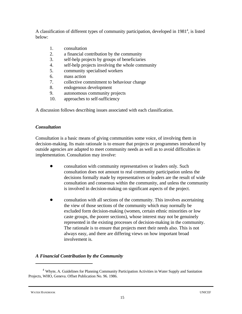A classification of different types of community participation, developed in  $1981<sup>4</sup>$ , is listed below:

- 1. consultation
- 2. a financial contribution by the community
- 3. self-help projects by groups of beneficiaries
- 4. self-help projects involving the whole community
- 5. community specialised workers
- 6. mass action
- 7. collective commitment to behaviour change
- 8. endogenous development
- 9. autonomous community projects
- 10. approaches to self-sufficiency

A discussion follows describing issues associated with each classification.

#### *Consultation*

Consultation is a basic means of giving communities some voice, of involving them in decision-making. Its main rationale is to ensure that projects or programmes introduced by outside agencies are adapted to meet community needs as well as to avoid difficulties in implementation. Consultation may involve:

- ! consultation with community representatives or leaders only. Such consultation does not amount to real community participation unless the decisions formally made by representatives or leaders are the result of wide consultation and consensus within the community, and unless the community is involved in decision-making on significant aspects of the project.
- ! consultation with all sections of the community. This involves ascertaining the view of those sections of the community which may normally be excluded form decision-making (women, certain ethnic minorities or low caste groups, the poorer sections), whose interest may not be genuinely represented in the existing processes of decision-making in the community. The rationale is to ensure that projects meet their needs also. This is not always easy, and there are differing views on how important broad involvement is.

#### *A Financial Contribution by the Community*

Whyte, A. Guidelines for Planning Community Participation Activities in Water Supply and Sanitation <sup>4</sup> Projects, WHO, Geneva. Offset Publication No. 96. 1986.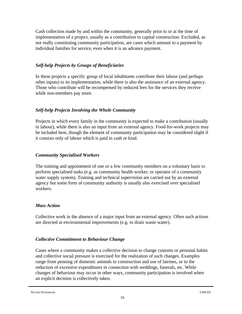Cash collection made by and within the community, generally prior to or at the time of implementation of a project, usually as a contribution to capital construction. Excluded, as not really constituting community participation, are cases which amount to a payment by individual families for service, even when it is an advance payment.

#### *Self-help Projects by Groups of Beneficiaries*

In these projects a specific group of local inhabitants contribute their labour (and perhaps other inputs) to its implementation, while there is also the assistance of an external agency. Those who contribute will be recompensed by reduced fees for the services they receive while non-members pay more.

#### *Self-help Projects Involving the Whole Community*

Projects in which every family in the community is expected to make a contribution (usually in labour), while there is also an input from an external agency. Food-for-work projects may be included here, though the element of community participation may be considered slight if it consists only of labour which is paid in cash or kind.

#### *Community Specialised Workers*

The training and appointment of one or a few community members on a voluntary basis to perform specialised tasks (e.g. as community health worker, or operator of a community water supply system). Training and technical supervision are carried out by an external agency but some form of community authority is usually also exercised over specialised workers.

#### *Mass Action*

Collective work in the absence of a major input from an external agency. Often such actions are directed at environmental improvements (e.g. to drain waste water).

#### *Collective Commitment to Behaviour Change*

Cases where a community makes a collective decision to change customs or personal habits and collective social pressure is exercised for the realization of such changes. Examples range from penning of domestic animals to construction and use of latrines, or to the reduction of excessive expenditures in connection with weddings, funerals, etc. While changes of behaviour may occur in other ways, community participation is involved when an explicit decision is collectively taken.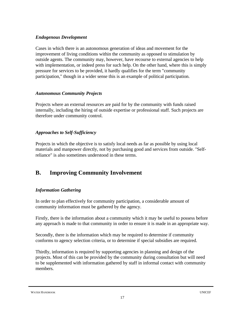#### *Endogenous Development*

Cases in which there is an autonomous generation of ideas and movement for the improvement of living conditions within the community as opposed to stimulation by outside agents. The community may, however, have recourse to external agencies to help with implementation, or indeed press for such help. On the other hand, where this is simply pressure for services to be provided, it hardly qualifies for the term "community participation," though in a wider sense this is an example of political participation.

#### *Autonomous Community Projects*

Projects where an external resources are paid for by the community with funds raised internally, including the hiring of outside expertise or professional staff. Such projects are therefore under community control.

#### *Approaches to Self-Sufficiency*

Projects in which the objective is to satisfy local needs as far as possible by using local materials and manpower directly, not by purchasing good and services from outside. "Selfreliance" is also sometimes understood in these terms.

## **B. Improving Community Involvement**

#### *Information Gathering*

In order to plan effectively for community participation, a considerable amount of community information must be gathered by the agency.

Firstly, there is the information about a community which it may be useful to possess before any approach is made to that community in order to ensure it is made in an appropriate way.

Secondly, there is the information which may be required to determine if community conforms to agency selection criteria, or to determine if special subsidies are required.

Thirdly, information is required by supporting agencies in planning and design of the projects. Most of this can be provided by the community during consultation but will need to be supplemented with information gathered by staff in informal contact with community members.

WATER HANDBOOK UNICEF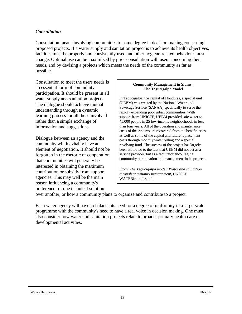#### *Consultation*

Consultation means involving communities to some degree in decision making concerning proposed projects. If a water supply and sanitation project is to achieve its health objectives, facilities must be properly and consistently used and other hygiene-related behaviour must change. Optimal use can be maximized by prior consultation with users concerning their needs, and by devising a projects which meets the needs of the community as far as possible.

Consultation to meet the users needs is an essential form of community participation. It should be present in all water supply and sanitation projects. The dialogue should achieve mutual understanding through a dynamic learning process for all those involved rather than a simple exchange of information and suggestions.

Dialogue between an agency and the community will inevitably have an element of negotiation. It should not be forgotten in the rhetoric of cooperation that communities will generally be interested in obtaining the maximum contribution or subsidy from support agencies. This may well be the main reason influencing a community's preference for one technical solution

#### **Community Management in Slums: The Tegucigalpa Model**

In Tegucigalpa, the capital of Honduras, a special unit (UEBM) was created by the National Water and Sewerage Service (SANAA) specifically to serve the rapidly expanding poor urban communities. With support from UNICEF, UEBM provided safe water to 45,000 people in 25 low-income neighborhoods in less than four years. All of the operation and maintenance costs of the systems are recovered from the beneficiaries as well as some of the capital and future replacement costs through monthly water billing and a special revolving fund. The success of the project has largely been attributed to the fact that UEBM did not act as a service provider, but as a facilitator encouraging community participation and management in its projects.

From: *The Tegucigalpa model: Water and sanitation through community management*, UNICEF WATERfront, Issue 1

over another, or how a community plans to organize and contribute to a project.

Each water agency will have to balance its need for a degree of uniformity in a large-scale programme with the community's need to have a real voice in decision making. One must also consider how water and sanitation projects relate to broader primary health care or developmental activities.

WATER HANDBOOK UNICEF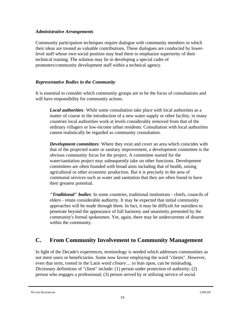#### *Administrative Arrangements*

Community participation techniques require dialogue with community members in which their ideas are treated as valuable contributions. These dialogues are conducted by lowerlevel staff whose own social position may lead them to emphasize superiority of their technical training. The solution may lie in developing a special cadre of promoters/community development staff within a technical agency.

#### *Representative Bodies in the Community*

It is essential to consider which community groups are to be the focus of consultations and will have responsibility for community actions.

*Local authorities:* While some consultation take place with local authorities as a matter of course in the introduction of a new water supply or other facility, in many countries local authorities work at levels considerably removed from that of the ordinary villagers or low-income urban residents. Consultation with local authorities cannot realistically be regarded as community consultation.

*Development committees*: Where they exist and cover an area which coincides with that of the projected water or sanitary improvement, a development committee is the obvious community focus for the project. A committee started for the water/sanitation project may subsequently take on other functions. Development committees are often founded with broad aims including that of health, raising agricultural or other economic production. But it is precisely in the area of communal services such as water and sanitation that they are often found to have their greatest potential.

*"Traditional" bodies*: In some countries, traditional institutions - chiefs, councils of elders - retain considerable authority. It may be expected that initial community approaches will be made through them. In fact, it may be difficult for outsiders to penetrate beyond the appearance of full harmony and unanimity presented by the community's formal spokesmen. Yet, again, there may be undercurrents of dissent within the community.

## **C. From Community Involvement to Community Management**

In light of the Decade's experiences, terminology is needed which addresses communities as not mere users or beneficiaries. Some now favour employing the word "clients". However, even that term, rooted in the Latin word *clinare ...* to lean upon, can be misleading. Dictionary definitions of "client" include: (1) person under protection of authority; (2) person who engages a professional; (3) person served by or utilizing service of social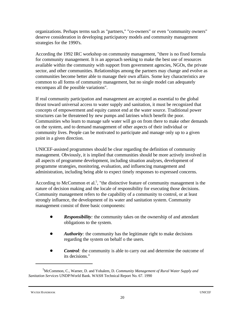organizations. Perhaps terms such as "partners," "co-owners" or even "community owners" deserve consideration in developing participatory models and community management strategies for the 1990's.

According the 1992 IRC workshop on community management, "there is no fixed formula for community management. It is an approach seeking to make the best use of resources available within the community with support from government agencies, NGOs, the private sector, and other communities. Relationships among the partners may change and evolve as communities become better able to manage their own affairs. Some key characteristics are common to all forms of community management, but no single model can adequately encompass all the possible variations".

If real community participation and management are accepted as essential to the global thrust toward universal access to water supply and sanitation, it must be recognized that concepts of empowerment and equity cannot end at the water source. Traditional power structures can be threatened by new pumps and latrines which benefit the poor. Communities who learn to manage safe water will go on from there to make other demands on the system, and to demand management of other aspects of their individual or community lives. People can be motivated to participate and manage only up to a given point in a given direction.

UNICEF-assisted programmes should be clear regarding the definition of community management. Obviously, it is implied that communities should be more actively involved in all aspects of programme development, including situation analyses, development of programme strategies, monitoring, evaluation, and influencing management and administration, including being able to expect timely responses to expressed concerns.

According to McCommon et al.<sup>5</sup>, "the distinctive feature of community management is the nature of decision making and the locale of responsibility for executing those decisions. Community management refers to the capability of a community to control, or at least strongly influence, the development of its water and sanitation system. Community management consist of three basic components:

- *Responsibility*: the community takes on the ownership of and attendant obligations to the system.
- *! Authority:* the community has the legitimate right to make decisions regarding the system on behalf o the users*.*
- *Control*: the community is able to carry out and determine the outcome of its decisions."

<sup>&</sup>lt;sup>5</sup>McCommon, C., Warner, D. and Yohalem, D. *Community Management of Rural Water Supply and Sanitation Services* UNDP/World Bank. WASH Technical Report No. 67. 1990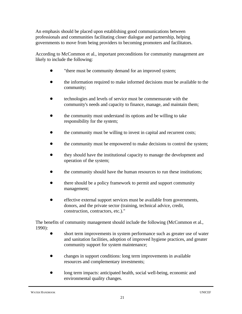An emphasis should be placed upon establishing good communications between professionals and communities facilitating closer dialogue and partnership, helping governments to move from being providers to becoming promoters and facilitators.

According to McCommon et al., important preconditions for community management are likely to include the following:

- "there must be community demand for an improved system;
- ! the information required to make informed decisions must be available to the community;
- ! technologies and levels of service must be commensurate with the community's needs and capacity to finance, manage, and maintain them;
- ! the community must understand its options and be willing to take responsibility for the system;
- the community must be willing to invest in capital and recurrent costs;
- the community must be empowered to make decisions to control the system;
- ! they should have the institutional capacity to manage the development and operation of the system;
- the community should have the human resources to run these institutions;
- there should be a policy framework to permit and support community management;
- ! effective external support services must be available from governments, donors, and the private sector (training, technical advice, credit, construction, contractors, etc.)."

The benefits of community management should include the following (McCommon et al., 1990):

- short term improvements in system performance such as greater use of water and sanitation facilities, adoption of improved hygiene practices, and greater community support for system maintenance;
- ! changes in support conditions: long term improvements in available resources and complementary investments;
- long term impacts: anticipated health, social well-being, economic and environmental quality changes.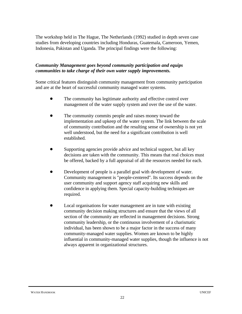The workshop held in The Hague, The Netherlands (1992) studied in depth seven case studies from developing countries including Honduras, Guatemala, Cameroon, Yemen, Indonesia, Pakistan and Uganda. The principal findings were the following:

#### *Community Management goes beyond community participation and equips communities to take charge of their own water supply improvements.*

Some critical features distinguish community management from community participation and are at the heart of successful community managed water systems.

- The community has legitimate authority and effective control over management of the water supply system and over the use of the water.
- The community commits people and raises money toward the implementation and upkeep of the water system. The link between the scale of community contribution and the resulting sense of ownership is not yet well understood, but the need for a significant contribution is well established.
- Supporting agencies provide advice and technical support, but all key decisions are taken with the community. This means that real choices must be offered, backed by a full appraisal of all the resources needed for each.
- Development of people is a parallel goal with development of water. Community management is "people-centered". Its success depends on the user community and support agency staff acquiring new skills and confidence in applying them. Special capacity-building techniques are required.
- Local organisations for water management are in tune with existing community decision making structures and ensure that the views of all section of the community are reflected in management decisions. Strong community leadership, or the continuous involvement of a charismatic individual, has been shown to be a major factor in the success of many community-managed water supplies. Women are known to be highly influential in community-managed water supplies, though the influence is not always apparent in organizational structures.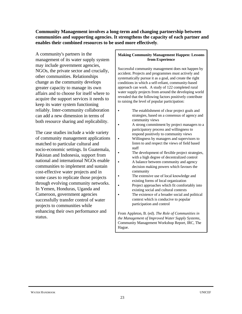#### **Community Management involves a long-term and changing partnership between communities and supporting agencies. It strengthens the capacity of each partner and enables their combined resources to be used more effectively**.

A community's partners in the management of its water supply system may include government agencies, NGOs, the private sector and crucially, other communities. Relationships change as the community develops greater capacity to manage its own affairs and to choose for itself where to acquire the support services it needs to keep its water system functioning reliably. Inter-community collaboration can add a new dimension in terms of both resource sharing and replicability.

The case studies include a wide variety of community management applications matched to particular cultural and socio-economic settings. In Guatemala, Pakistan and Indonesia, support from national and international NGOs enable communities to implement and sustain cost-effective water projects and in some cases to replicate those projects through evolving community networks. In Yemen, Honduras, Uganda and Cameroon, government agencies successfully transfer control of water projects to communities while enhancing their own performance and status.

#### **Making Community Management Happen: Lessons from Experience**

Successful community management does not happen by accident. Projects and programmes must actively and systematically pursue it as a goal, and create the right conditions in which a self-reliant, community-based approach can work. A study of 122 completed rural water supply projects from around the developing world revealed that the following factors positively contribute to raising the level of popular participation:

- The establishment of clear project goals and strategies, based on a consensus of agency and community views
- A strong commitment by project managers to a participatory process and willingness to respond positively to community views
	- Willingness by managers and supervisors to listen to and respect the views of field based staff
	- The development of flexible project strategies, with a high degree of decentralized control
- A balance between community and agency decision making powers which favours the community
- The extensive use of local knowledge and existing forms of local organization
- Project approaches which fit comfortably into existing social and cultural contexts
- The existence of a broader social and political context which is conducive to popular participation and control

From Appleton, B. (ed). *The Role of Communities in the Management of Improved Water Supply Systems*, Community Management Workshop Report, IRC, The Hague.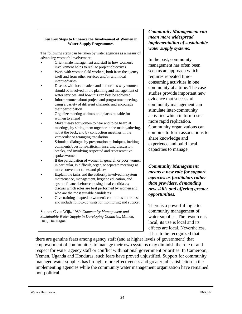#### **Ten Key Steps to Enhance the Involvement of Women in Water Supply Programmes**

The following steps can be taken by water agencies as a means of advancing women's involvement:

- Orient male management and staff in how women's involvement helps to realize project objectives
- Work with women field workers, both from the agency itself and from other services and/or with local intermediaries
- Discuss with local leaders and authorities why women should be involved in the planning and management of water services, and how this can best be achieved
- Inform women about project and programme meeting, using a variety of different channels, and encourage their participation
- Organize meeting at times and places suitable for women to attend
- Make it easy for women to hear and to be heard at meetings, by sitting them together in the main gathering, not at the back, and by conduction meetings in the vernacular or arranging translation
- Stimulate dialogue by presentation techniques, inviting comments/questions/criticism, inserting discussion breaks, and involving respected and representative spokeswomen
- If the participation of women in general, or poor women in particular, is difficult, organize separate meetings at more convenient times and places
- Explain the tasks and the authority involved in system maintenance, management, hygiene education, and system finance before choosing local candidates; discuss which roles are best performed by women and who are the most suitable candidates
- Give training adapted to women's conditions and roles, and include follow-up visits for monitoring and support

Source: C van Wijk, 1989, *Community Management and Sustainable Water Supply in Developing Countries*, Mimeo, IRC, The Hague

#### *Community Management can mean more widespread implementation of sustainable water supply systems.*

In the past, community management has often been seen as an approach which requires repeated timeconsuming activities in one community at a time. The case studies provide important new evidence that successful community management can stimulate inter-community activities which in turn foster more rapid replication. Community organizations can combine to form associations to share knowledge and experience and build local capacities to manage.

*Community Management means a new role for support agencies as facilitators rather than providers, demanding new skills and offering greater opportunities.*

There is a powerful logic to community management of water supplies. The resource is local, its use is local and its effects are local. Nevertheless, it has to be recognized that

there are genuine fears among agency staff (and at higher levels of government) that empowerment of communities to manage their own systems may diminish the role of and respect for water agency staff or conflict with national government priorities. In Cameroon, Yemen, Uganda and Honduras, such fears have proved unjustified. Support for community managed water supplies has brought more effectiveness and greater job satisfaction in the implementing agencies while the community water management organization have remained non-political.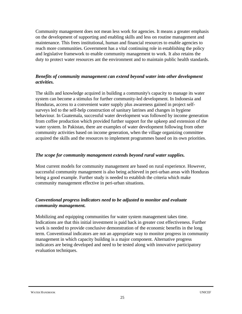Community management does not mean less work for agencies. It means a greater emphasis on the development of supporting and enabling skills and less on routine management and maintenance. This frees institutional, human and financial resources to enable agencies to reach more communities. Government has a vital continuing role in establishing the policy and legislative framework to enable community management to work. It also retains the duty to protect water resources ant the environment and to maintain public health standards.

#### *Benefits of community management can extend beyond water into other development activities.*

The skills and knowledge acquired in building a community's capacity to manage its water system can become a stimulus for further community-led development. In Indonesia and Honduras, access to a convenient water supply plus awareness gained in project selfsurveys led to the self-help construction of sanitary latrines and changes in hygiene behaviour. In Guatemala, successful water development was followed by income generation from coffee production which provided further support for the upkeep and extension of the water system. In Pakistan, there are examples of water development following from other community activities based on income generation, when the village organizing committee acquired the skills and the resources to implement programmes based on its own priorities.

#### *The scope for community management extends beyond rural water supplies.*

Most current models for community management are based on rural experience. However, successful community management is also being achieved in peri-urban areas with Honduras being a good example. Further study is needed to establish the criteria which make community management effective in peri-urban situations.

#### *Conventional progress indicators need to be adjusted to monitor and evaluate community management.*

Mobilizing and equipping communities for water system management takes time. Indications are that this initial investment is paid back in greater cost effectiveness. Further work is needed to provide conclusive demonstration of the economic benefits in the long term. Conventional indicators are not an appropriate way to monitor progress in community management in which capacity building is a major component. Alternative progress indicators are being developed and need to be tested along with innovative participatory evaluation techniques.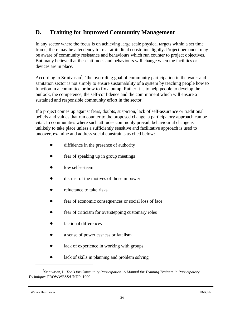## **D. Training for Improved Community Management**

In any sector where the focus is on achieving large scale physical targets within a set time frame, there may be a tendency to treat attitudinal constraints lightly. Project personnel may be aware of community resistance and behaviours which run counter to project objectives. But many believe that these attitudes and behaviours will change when the facilities or devices are in place.

According to Srinivasan<sup> $6$ </sup>, "the overriding goal of community participation in the water and sanitation sector is not simply to ensure sustainability of a system by teaching people how to function in a committee or how to fix a pump. Rather it is to help people to develop the outlook, the competence, the self-confidence and the commitment which will ensure a sustained and responsible community effort in the sector."

If a project comes up against fears, doubts, suspicion, lack of self-assurance or traditional beliefs and values that run counter to the proposed change, a participatory approach can be vital. In communities where such attitudes commonly prevail, behaviourial change is unlikely to take place unless a sufficiently sensitive and facilitative approach is used to uncover, examine and address social constraints as cited below:

- diffidence in the presence of authority
- fear of speaking up in group meetings
- low self-esteem
- distrust of the motives of those in power
- reluctance to take risks
- fear of economic consequences or social loss of face
- fear of criticism for overstepping customary roles
- factional differences
- a sense of powerlessness or fatalism
- lack of experience in working with groups
- lack of skills in planning and problem solving

WATER HANDBOOK UNICEF

Srinivasan, L. *Tools for Community Participation: A Manual for Training Trainers in Participatory* <sup>6</sup> *Techniques* PROWWESS/UNDP. 1990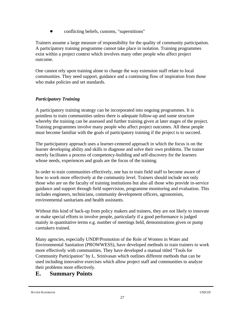! conflicting beliefs, customs, "superstitions"

Trainers assume a large measure of responsibility for the quality of community participation. A participatory training programme cannot take place in isolation. Training programmes exist within a project context which involves many other people who affect project outcome.

One cannot rely upon training alone to change the way extension staff relate to local communities. They need support, guidance and a continuing flow of inspiration from those who make policies and set standards.

#### *Participatory Training*

A participatory training strategy can be incorporated into ongoing programmes. It is pointless to train communities unless there is adequate follow-up and some structure whereby the training can be assessed and further training given at later stages of the project. Training programmes involve many people who affect project outcomes. All these people must become familiar with the goals of participatory training if the project is to succeed.

The participatory approach uses a learner-centered approach in which the focus is on the learner developing ability and skills to diagnose and solve their own problems. The trainer merely facilitates a process of competency-building and self-discovery for the learners whose needs, experiences and goals are the focus of the training.

In order to train communities effectively, one has to train field staff to become aware of how to work more effectively at the community level. Trainers should include not only those who are on the faculty of training institutions but also all those who provide in-service guidance and support through field supervision, programme monitoring and evaluation. This includes engineers, technicians, community development officers, agronomists, environmental sanitarians and health assistants.

Without this kind of back-up from policy makers and trainers, they are not likely to innovate or make special efforts to involve people, particularly if a good performance is judged mainly in quantitative terms e.g. number of meetings held, demonstrations given or pump caretakers trained.

Many agencies, especially UNDP/Promotion of the Role of Women in Water and Environmental Sanitation (PROWWESS), have developed methods to train trainers to work more effectively with communities. They have developed a manual titled "Tools for Community Participation" by L. Srinivasan which outlines different methods that can be used including innovative exercises which allow project staff and communities to analyze their problems more effectively.

## **E. Summary Points**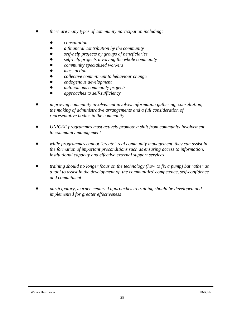- *there are many types of community participation including:* 
	- *! consultation*
	- *! a financial contribution by the community*
	- *! self-help projects by groups of beneficiaries*
	- *! self-help projects involving the whole community*
	- *! community specialized workers*
	- *! mass action*
	- *! collective commitment to behaviour change*
	- *! endogenous development*
	- *! autonomous community projects*
	- *! approaches to self-sufficiency*
- *improving community involvement involves information gathering, consultation, the making of administrative arrangements and a full consideration of representative bodies in the community*
- *UNICEF programmes must actively promote a shift from community involvement to community management*
- *while programmes cannot "create" real community management, they can assist in the formation of important preconditions such as ensuring access to information, institutional capacity and effective external support services*
- *Ç training should no longer focus on the technology (how to fix a pump) but rather as a tool to assist in the development of the communities' competence, self-confidence and commitment*
- *Ç participatory, learner-centered approaches to training should be developed and implemented for greater effectiveness*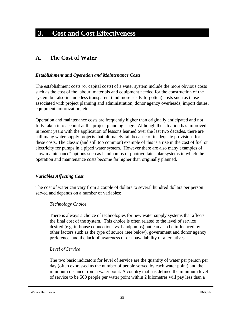# **3. Cost and Cost Effectiveness**

## **A. The Cost of Water**

### *Establishment and Operation and Maintenance Costs*

The establishment costs (or capital costs) of a water system include the more obvious costs such as the cost of the labour, materials and equipment needed for the construction of the system but also include less transparent (and more easily forgotten) costs such as those associated with project planning and administration, donor agency overheads, import duties, equipment amortization, etc.

Operation and maintenance costs are frequently higher than originally anticipated and not fully taken into account at the project planning stage. Although the situation has improved in recent years with the application of lessons learned over the last two decades, there are still many water supply projects that ultimately fail because of inadequate provisions for these costs. The classic (and still too common) example of this is a rise in the cost of fuel or electricity for pumps in a piped water system. However there are also many examples of "low maintenance" options such as handpumps or photovoltaic solar systems in which the operation and maintenance costs become far higher than originally planned.

### *Variables Affecting Cost*

The cost of water can vary from a couple of dollars to several hundred dollars per person served and depends on a number of variables:

### *Technology Choice*

There is always a choice of technologies for new water supply systems that affects the final cost of the system. This choice is often related to the level of service desired (e.g. in-house connections vs. handpumps) but can also be influenced by other factors such as the type of source (see below), government and donor agency preference, and the lack of awareness of or unavailability of alternatives.

### *Level of Service*

The two basic indicators for level of service are the quantity of water per person per day (often expressed as the number of people served by each water point) and the minimum distance from a water point. A country that has defined the minimum level of service to be 500 people per water point within 2 kilometres will pay less than a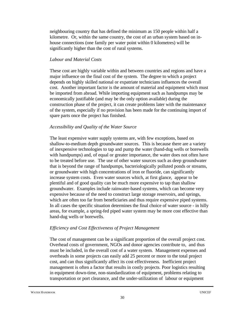neighbouring country that has defined the minimum as 150 people within half a kilometre. Or, within the same country, the cost of an urban system based on inhouse connections (one family per water point within 0 kilometres) will be significantly higher than the cost of rural systems.

#### *Labour and Material Costs*

These cost are highly variable within and between countries and regions and have a major influence on the final cost of the system. The degree to which a project depends on highly skilled national or expatriate technicians influences the overall cost. Another important factor is the amount of material and equipment which must be imported from abroad. While importing equipment such as handpumps may be economically justifiable (and may be the only option available) during the construction phase of the project, it can create problems later with the maintenance of the system, especially if no provision has been made for the continuing import of spare parts once the project has finished.

#### *Accessibility and Quality of the Water Source*

The least expensive water supply systems are, with few exceptions, based on shallow-to-medium depth groundwater sources. This is because there are a variety of inexpensive technologies to tap and pump the water (hand-dug wells or borewells with handpumps) and, of equal or greater importance, the water does not often have to be treated before use. The use of other water sources such as deep groundwater that is beyond the range of handpumps, bacteriologically polluted ponds or streams, or groundwater with high concentrations of iron or fluoride, can significantly increase system costs. Even water sources which, at first glance, appear to be plentiful and of good quality can be much more expensive to tap than shallow groundwater. Examples include rainwater-based systems, which can become very expensive because of the need to construct large storage reservoirs, and springs, which are often too far from beneficiaries and thus require expensive piped systems. In all cases the specific situation determines the final choice of water source - in hilly areas, for example, a spring-fed piped water system may be more cost effective than hand-dug wells or borewells.

### *Efficiency and Cost Effectiveness of Project Management*

The cost of management can be a significant proportion of the overall project cost. Overhead costs of government, NGOs and donor agencies contribute to, and thus must be included, in the overall cost of a water system. Management expenses and overheads in some projects can easily add 25 percent or more to the total project cost, and can thus significantly affect its cost effectiveness. Inefficient project management is often a factor that results in costly projects. Poor logistics resulting in equipment down-time, non-standardization of equipment, problems relating to transportation or port clearance, and the under-utilization of labour or equipment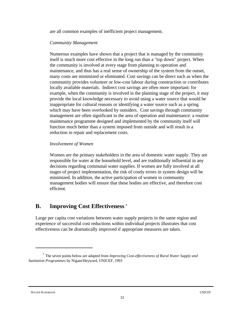are all common examples of inefficient project management.

#### *Community Management*

Numerous examples have shown that a project that is managed by the community itself is much more cost effective in the long run than a "top down" project. When the community is involved at every stage from planning to operation and maintenance, and thus has a real sense of ownership of the system from the outset, many costs are minimized or eliminated. Cost savings can be direct such as when the community provides volunteer or low-cost labour during construction or contributes locally available materials. Indirect cost savings are often more important: for example, when the community is involved in the planning stage of the project, it may provide the local knowledge necessary to avoid using a water source that would be inappropriate for cultural reasons or identifying a water source such as a spring which may have been overlooked by outsiders. Cost savings through community management are often significant in the area of operation and maintenance: a routine maintenance programme designed and implemented by the community itself will function much better than a system imposed from outside and will result in a reduction in repair and replacement costs.

#### *Involvement of Women*

Women are the primary stakeholders in the area of domestic water supply. They are responsible for water at the household level, and are traditionally influential in any decisions regarding communal water supplies. If women are fully involved at all stages of project implementation, the risk of costly errors in system design will be minimized. In addition, the active participation of women in community management bodies will ensure that these bodies are effective, and therefore cost efficient.

## **B. Improving Cost Effectiveness <sup>7</sup>**

Large per capita cost variations between water supply projects in the same region and experience of successful cost reductions within individual projects illustrates that cost effectiveness can be dramatically improved if appropriate measures are taken.

The seven points below are adapted from *Improving Cost-effectiveness of Rural Water Supply and* <sup>7</sup> *Sanitation Programmes* by Nigam/Heyward, UNICEF, 1993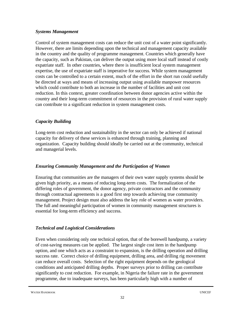### *Systems Management*

Control of system management costs can reduce the unit cost of a water point significantly. However, there are limits depending upon the technical and management capacity available in the country and the quality of programme management. Countries which generally have the capacity, such as Pakistan, can deliver the output using more local staff instead of costly expatriate staff. In other countries, where there is insufficient local system management expertise, the use of expatriate staff is imperative for success. While system management costs can be controlled to a certain extent, much of the effort in the short run could usefully be directed at ways and means of increasing output using available manpower resources which could contribute to both an increase in the number of facilities and unit cost reduction. In this context, greater coordination between donor agencies active within the country and their long-term commitment of resources in the provision of rural water supply can contribute to a significant reduction in system management costs.

### *Capacity Building*

Long-term cost reduction and sustainability in the sector can only be achieved if national capacity for delivery of these services is enhanced through training, planning and organization. Capacity building should ideally be carried out at the community, technical and managerial levels.

### *Ensuring Community Management and the Participation of Women*

Ensuring that communities are the managers of their own water supply systems should be given high priority, as a means of reducing long-term costs. The formalization of the differing roles of government, the donor agency, private contractors and the community through contractual agreements is a good first step towards achieving true community management. Project design must also address the key role of women as water providers. The full and meaningful participation of women in community management structures is essential for long-term efficiency and success.

### *Technical and Logistical Considerations*

Even when considering only one technical option, that of the borewell handpump, a variety of cost-saving measures can be applied. The largest single cost item in the handpump option, and one which acts as a constraint to expansion, is the drilling operation and drilling success rate. Correct choice of drilling equipment, drilling area, and drilling rig movement can reduce overall costs. Selection of the right equipment depends on the geological conditions and anticipated drilling depths. Proper surveys prior to drilling can contribute significantly to cost reduction. For example, in Nigeria the failure rate in the government programme, due to inadequate surveys, has been particularly high with a number of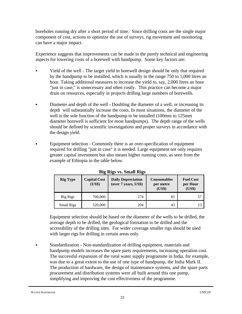boreholes running dry after a short period of time. Since drilling costs are the single major component of cost, actions to optimize the use of surveys, rig movement and monitoring can have a major impact.

Experience suggests that improvements can be made in the purely technical and engineering aspects for lowering costs of a borewell with handpump. Some key factors are:

- Yield of the well The target yield in borewell design should be only that required by the handpump to be installed, which is usually in the range 750 to 1,000 litres an hour. Taking additional measures to increase the yield to, say, 2,000 litres an hour "just in case," is unnecessary and often costly. This practice can become a major drain on resources, especially in projects drilling large numbers of borewells.
- Diameter and depth of the well Doubling the diameter of a well, or increasing its depth will substantially increase the costs. In most situations, the diameter of the well is the sole function of the handpump to be installed (100mm to 125mm diameter borewell is sufficient for most handpumps). The depth range of the wells should be defined by scientific investigations and proper surveys in accordance with the design yield.
- Equipment selection Commonly there is an over-specification of equipment required for drilling "just in case" it is needed. Large equipment not only requires greater capital investment but also means higher running costs, as seen from the example of Ethiopia in the table below.

| <b>Rig Type</b>   | <b>Capital Cost</b><br>(US\$) | <b>Daily Depreciation</b><br>(over 7 years, US\$) | <b>Consumables</b><br>per metre<br>(US\$) | <b>Fuel Cost</b><br>per Hour<br>(US\$) |
|-------------------|-------------------------------|---------------------------------------------------|-------------------------------------------|----------------------------------------|
| Big Rigs          | 700,000                       | 274                                               | 81                                        | 57                                     |
| <b>Small Rigs</b> | 520,000                       | 204                                               | 43                                        | 23                                     |

**Big Rigs vs. Small Rigs**

Equipment selection should be based on the diameter of the wells to be drilled, the average depth to be drilled, the geological formation to be drilled and the accessibility of the drilling sites. For wider coverage smaller rigs should be used with larger rigs for drilling in certain areas only.

• Standardization - Non-standardization of drilling equipment, materials and handpump models increases the spare parts requirements, increasing operation cost. The successful expansion of the rural water supply programme in India, for example, was due to a great extent to the use of one type of handpump, the India Mark II. The production of hardware, the design of maintenance systems, and the spare parts procurement and distribution systems were all built around this one pump, simplifying and improving the cost effectiveness of the programme.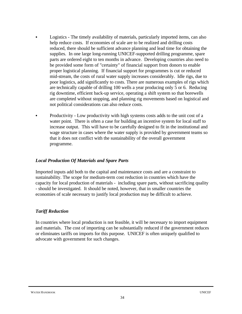- Logistics The timely availability of materials, particularly imported items, can also help reduce costs. If economies of scale are to be realized and drilling costs reduced, there should be sufficient advance planning and lead time for obtaining the supplies. In one large long-running UNICEF-supported drilling programme, spare parts are ordered eight to ten months in advance. Developing countries also need to be provided some form of "certainty" of financial support from donors to enable proper logistical planning. If financial support for programmes is cut or reduced mid-stream, the costs of rural water supply increases considerably. Idle rigs, due to poor logistics, add significantly to costs. There are numerous examples of rigs which are technically capable of drilling 100 wells a year producing only 5 or 6. Reducing rig downtime, efficient back-up service, operating a shift system so that borewells are completed without stopping, and planning rig movements based on logistical and not political considerations can also reduce costs.
- Productivity Low productivity with high systems costs adds to the unit cost of a water point. There is often a case for building an incentive system for local staff to increase output. This will have to be carefully designed to fit in the institutional and wage structure in cases where the water supply is provided by government teams so that it does not conflict with the sustainability of the overall government programme.

### *Local Production Of Materials and Spare Parts*

Imported inputs add both to the capital and maintenance costs and are a constraint to sustainability. The scope for medium-term cost reduction in countries which have the capacity for local production of materials - including spare parts, without sacrificing quality - should be investigated. It should be noted, however, that in smaller countries the economies of scale necessary to justify local production may be difficult to achieve.

### *Tariff Reduction*

In countries where local production is not feasible, it will be necessary to import equipment and materials. The cost of importing can be substantially reduced if the government reduces or eliminates tariffs on imports for this purpose. UNICEF is often uniquely qualified to advocate with government for such changes.

#### WATER HANDBOOK UNICEF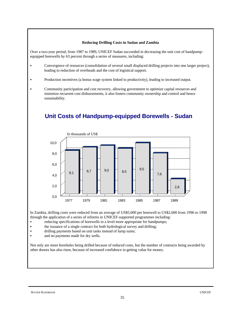#### **Reducing Drilling Costs in Sudan and Zambia**

Over a two-year period, from 1987 to 1989, UNICEF Sudan succeeded in decreasing the unit cost of handpumpequipped borewells by 63 percent through a series of measures, including:

- Convergence of resources (consolidation of several small displaced drilling projects into one larger project), leading to reduction of overheads and the cost of logistical support.
- Production incentives (a bonus wage system linked to productivity), leading to increased output.
- C Community participation and cost recovery, allowing government to optimize capital resources and minimize recurrent cost disbursements, it also fosters community ownership and control and hence sustainability.



# **Unit Costs of Handpump-equipped Borewells - Sudan**

In Zambia, drilling costs were reduced from an average of US\$5,000 per borewell to US\$2,600 from 1996 to 1998 through the application of a series of reforms in UNICEF-supported programmes including:

- reducing specifications of borewells to a level more appropriate for handpumps;
- the issuance of a single contract for both hydrological survey and drilling;
- drilling payments based on unit tasks instead of lump sums;
- and no payments made for dry wells.

Not only are more boreholes being drilled because of reduced costs, but the number of contracts being awarded by other donors has also risen, because of increased confidence in getting value for money.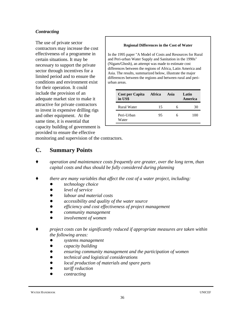### *Contracting*

The use of private sector contractors may increase the cost effectiveness of a programme in certain situations. It may be necessary to support the private sector through incentives for a limited period and to ensure the conditions and environment exist for their operation. It could include the provision of an adequate market size to make it attractive for private contractors to invest in expensive drilling rigs and other equipment. At the same time, it is essential that capacity building of government is provided to ensure the effective

#### **Regional Differences in the Cost of Water**

In the 1995 paper "A Model of Costs and Resources for Rural and Peri-urban Water Supply and Sanitation in the 1990s" (Nigam/Ghosh), an attempt was made to estimate cost differences between the regions of Africa, Latin America and Asia. The results, summarized below, illustrate the major differences between the regions and between rural and periurban areas.

| Cost per Capita<br>in US\$ | Africa | Asia | Latin<br>America |
|----------------------------|--------|------|------------------|
| <b>Rural Water</b>         | 15     |      | 30               |
| Peri-Urban<br>Water        | 95     |      | 100              |

monitoring and supervision of the contractors.

## **C. Summary Points**

- *Ç operation and maintenance costs frequently are greater, over the long term, than capital costs and thus should be fully considered during planning*
- *there are many variables that affect the cost of a water project, including:* 
	- *! technology choice*
	- *! level of service*
	- *! labour and material costs*
	- *! accessibility and quality of the water source*
	- *! efficiency and cost effectiveness of project management*
	- *! community management*
	- *! involvement of women*
- *Ç project costs can be significantly reduced if appropriate measures are taken within the following areas:*
	- *! systems management*
	- *! capacity building*
	- *! ensuring community management and the participation of women*
	- *! technical and logistical considerations*
	- *! local production of materials and spare parts*
	- *! tariff reduction*
	- *! contracting*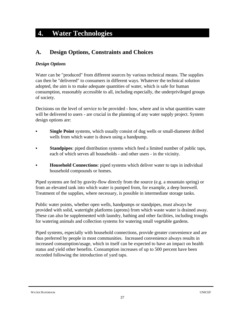# **4. Water Technologies**

## **A. Design Options, Constraints and Choices**

### *Design Options*

Water can be "produced" from different sources by various technical means. The supplies can then be "delivered" to consumers in different ways. Whatever the technical solution adopted, the aim is to make adequate quantities of water, which is safe for human consumption, reasonably accessible to all, including especially, the underprivileged groups of society.

Decisions on the level of service to be provided - how, where and in what quantities water will be delivered to users - are crucial in the planning of any water supply project. System design options are:

- **Single Point** systems, which usually consist of dug wells or small-diameter drilled wells from which water is drawn using a handpump.
- **Standpipes**: piped distribution systems which feed a limited number of public taps, each of which serves all households - and other users - in the vicinity.
- **Household Connections**: piped systems which deliver water to taps in individual household compounds or homes.

Piped systems are fed by gravity-flow directly from the source (e.g. a mountain spring) or from an elevated tank into which water is pumped from, for example, a deep borewell. Treatment of the supplies, where necessary, is possible in intermediate storage tanks.

Public water points, whether open wells, handpumps or standpipes, must always be provided with solid, watertight platforms (aprons) from which waste water is drained away. These can also be supplemented with laundry, bathing and other facilities, including troughs for watering animals and collection systems for watering small vegetable gardens.

Piped systems, especially with household connections, provide greater convenience and are thus preferred by people in most communities. Increased convenience always results in increased consumption/usage, which in itself can be expected to have an impact on health status and yield other benefits. Consumption increases of up to 500 percent have been recorded following the introduction of yard taps.

#### WATER HANDBOOK UNICEF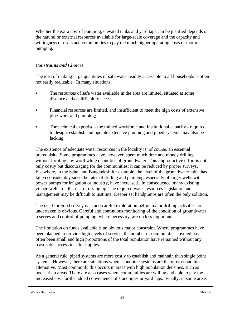Whether the extra cost of pumping, elevated tanks and yard taps can be justified depends on the natural or external resources available for large-scale coverage and the capacity and willingness of users and communities to pay the much higher operating costs of motor pumping.

## *Constraints and Choices*

The idea of making large quantities of safe water readily accessible to all households is often not easily realizable. In many situations:

- The resources of safe water available in the area are limited, situated at some distance and/or difficult to access;
- Financial resources are limited, and insufficient to meet the high costs of extensive pipe-work and pumping;
- The technical expertise the trained workforce and institutional capacity required to design, establish and operate extensive pumping and piped systems may also be lacking.

The existence of adequate water resources in the locality is, of course, an essential prerequisite. Some programmes have, however, spent much time and money drilling without locating any worthwhile quantities of groundwater. This unproductive effort is not only costly but discouraging for the communities; it can be reduced by proper surveys. Elsewhere, in the Sahel and Bangladesh for example, the level of the groundwater table has fallen considerably since the rates of drilling and pumping, especially of larger wells with power pumps for irrigation or industry, have increased. In consequence, many existing village wells run the risk of drying up. The required water resources legislation and management may be difficult to institute. Deeper set handpumps are often the only solution.

The need for good survey data and careful exploration before major drilling activities are undertaken is obvious. Careful and continuous monitoring of the condition of groundwater reserves and control of pumping, where necessary, are no less important.

The limitation on funds available is an obvious major constraint. Where programmes have been planned to provide high levels of service, the number of communities covered has often been small and high proportions of the total population have remained without any reasonable access to safe supplies.

As a general rule, piped systems are more costly to establish and maintain than single point systems. However, there are situations where standpipe systems are the most economical alternative. Most commonly this occurs in areas with high population densities, such as poor urban areas. There are also cases where communities are willing and able to pay the increased cost for the added convenience of standpipes or yard taps. Finally, in some areas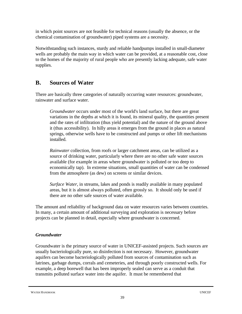in which point sources are not feasible for technical reasons (usually the absence, or the chemical contamination of groundwater) piped systems are a necessity.

Notwithstanding such instances, sturdy and reliable handpumps installed in small-diameter wells are probably the main way in which water can be provided, at a reasonable cost, close to the homes of the majority of rural people who are presently lacking adequate, safe water supplies.

## **B. Sources of Water**

There are basically three categories of naturally occurring water resources: groundwater, rainwater and surface water.

*Groundwater* occurs under most of the world's land surface, but there are great variations in the depths at which it is found, its mineral quality, the quantities present and the rates of infiltration (thus yield potential) and the nature of the ground above it (thus accessibility). In hilly areas it emerges from the ground in places as natural springs, otherwise wells have to be constructed and pumps or other lift mechanisms installed.

*Rainwater* collection, from roofs or larger catchment areas, can be utilized as a source of drinking water, particularly where there are no other safe water sources available (for example in areas where groundwater is polluted or too deep to economically tap). In extreme situations, small quantities of water can be condensed from the atmosphere (as dew) on screens or similar devices.

*Surface Water*, in streams, lakes and ponds is readily available in many populated areas, but it is almost always polluted, often grossly so. It should only be used if there are no other safe sources of water available.

The amount and reliability of background data on water resources varies between countries. In many, a certain amount of additional surveying and exploration is necessary before projects can be planned in detail, especially where groundwater is concerned.

## *Groundwater*

Groundwater is the primary source of water in UNICEF-assisted projects. Such sources are usually bacteriologically pure, so disinfection is not necessary. However, groundwater aquifers can become bacteriologically polluted from sources of contamination such as latrines, garbage dumps, corrals and cemeteries, and through poorly constructed wells. For example, a deep borewell that has been improperly sealed can serve as a conduit that transmits polluted surface water into the aquifer. It must be remembered that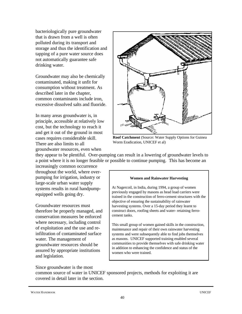bacteriologically pure groundwater that is drawn from a well is often polluted during its transport and storage and thus the identification and tapping of a pure water source does not automatically guarantee safe drinking water.

Groundwater may also be chemically contaminated, making it unfit for consumption without treatment. As described later in the chapter, common contaminants include iron, excessive dissolved salts and fluoride.

In many areas groundwater is, in principle, accessible at relatively low cost, but the technology to reach it and get it out of the ground in most cases requires considerable skill. There are also limits to all groundwater resources, even when



**Roof Catchment** (Source: Water Supply Options for Guinea Worm Eradication, UNICEF et al)

they appear to be plentiful. Over-pumping can result in a lowering of groundwater levels to a point where it is no longer feasible or possible to continue pumping. This has become an

increasingly common occurrence throughout the world, where overpumping for irrigation, industry or large-scale urban water supply systems results in rural handpumpequipped wells going dry.

Groundwater resources must therefore be properly managed, and conservation measures be enforced where necessary, including control of exploitation and the use and reinfiltration of contaminated surface water. The management of groundwater resources should be assured by appropriate institutions and legislation.

#### **Women and Rainwater Harvesting**

At Nagercoil, in India, during 1994, a group of women previously engaged by masons as head load carriers were trained in the construction of ferro-cement structures with the objective of ensuring the sustainability of rainwater harvesting systems. Over a 15-day period they learnt to construct doors, roofing sheets and water- retaining ferrocement tanks.

This small group of women gained skills in the construction, maintenance and repair of their own rainwater harvesting systems and were subsequently able to find jobs themselves as masons. UNICEF supported training enabled several communities to provide themselves with safe drinking water in addition to enhancing the confidence and status of the women who were trained.

Since groundwater is the most

common source of water in UNICEF sponsored projects, methods for exploiting it are covered in detail later in the section.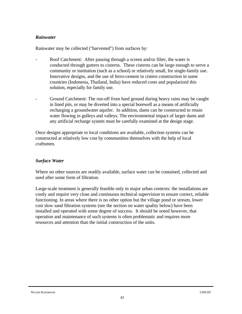#### *Rainwater*

Rainwater may be collected ("harvested") from surfaces by:

- Roof Catchment: After passing through a screen and/or filter, the water is conducted through gutters to cisterns. These cisterns can be large enough to serve a community or institution (such as a school) or relatively small, for single-family use. Innovative designs, and the use of ferro-cement in cistern construction in some countries (Indonesia, Thailand, India) have reduced costs and popularized this solution, especially for family use.
- Ground Catchment: The run-off from hard ground during heavy rains may be caught in lined pits, or may be diverted into a special borewell as a means of artificially recharging a groundwater aquifer. In addition, dams can be constructed to retain water flowing in gulleys and valleys. The environmental impact of larger dams and any artificial recharge system must be carefully examined at the design stage.

Once designs appropriate to local conditions are available, collection systems can be constructed at relatively low cost by communities themselves with the help of local craftsmen.

### *Surface Water*

Where no other sources are readily available, surface water can be contained, collected and used after some form of filtration.

Large-scale treatment is generally feasible only in major urban contexts: the installations are costly and require very close and continuous technical supervision to ensure correct, reliable functioning. In areas where there is no other option but the village pond or stream, lower cost slow sand filtration systems (see the section on water quality below) have been installed and operated with some degree of success. It should be noted however, that operation and maintenance of such systems is often problematic and requires more resources and attention than the initial construction of the units.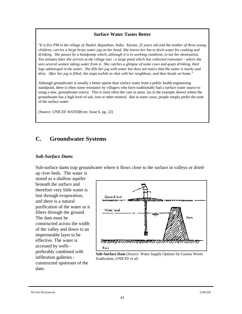#### **Surface Water Tastes Better**

"*It is five PM in the village of Jhadol, Rajasthan, India. Kavita, 25 years old and the mother of three young children, carries a large brass water jug on her head. She leaves her hut to fetch water for cooking and drinking. She passes by a handpump which, although it is in working condition, in not her destination. Ten minutes later she arrives at the village* nari *- a large pond which has collected rainwater - where she sees several women taking water from it. She catches a glimpse of some cows and goats drinking, their legs submerged in the water. She fills her jug with water but does not notice that the water is murky and dirty. After her jug is filled, she stops awhile to chat with her neighbour, and then heads on home.*"

Although groundwater is usually a better option than surface water from a public health engineering standpoint, there is often some resistance by villagers who have traditionally had a surface water source to using a new, groundwater source. This is most often the case in areas (as in the example above) where the groundwater has a high level of salt, iron or other mineral. But in some cases, people simply prefer the taste of the surface water.

(Source: UNICEF *WATERfront*, Issue 6, pg. 22)

## **C. Groundwater Systems**

#### *Sub-Surface Dams*

Sub-surface dams trap groundwater where it flows close to the surface in valleys or dried-

up river beds. The water is stored as a shallow aquifer beneath the surface and therefore very little water is lost through evaporation, and there is a natural purification of the water as it filters through the ground. The dam must be constructed across the width of the valley and down to an impermeable layer to be effective. The water is accessed by wells preferably combined with infiltration galleries constructed upstream of the dam.



**Sub-Surface Dam** (Source: Water Supply Options for Guinea Worm Eradication, UNICEF et al)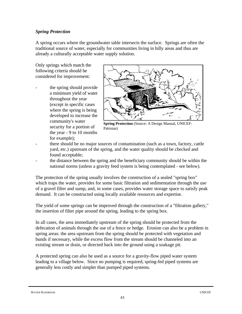### *Spring Protection*

A spring occurs where the groundwater table intersects the surface. Springs are often the traditional source of water, especially for communities living in hilly areas and thus are already a culturally acceptable water supply solution.

Only springs which match the following criteria should be considered for improvement:

the spring should provide a minimum yield of water throughout the year (except in specific cases where the spring is being developed to increase the community's water security for a portion of the year - 9 to 10 months for example);



**Spring Protection** (Source: A Design Manual, UNICEF-Pakistan)

- there should be no major sources of contamination (such as a town, factory, cattle yard, etc.) upstream of the spring, and the water quality should be checked and found acceptable;
- the distance between the spring and the beneficiary community should be within the national norms (unless a gravity feed system is being contemplated - see below).

The protection of the spring usually involves the construction of a sealed "spring box" which traps the water, provides for some basic filtration and sedimentation through the use of a gravel filter and sump, and, in some cases, provides water storage space to satisfy peak demand. It can be constructed using locally available resources and expertise.

The yield of some springs can be improved through the construction of a "filtration gallery," the insertion of filter pipe around the spring, leading to the spring box.

In all cases, the area immediately upstream of the spring should be protected from the defecation of animals through the use of a fence or hedge. Erosion can also be a problem in spring areas: the area upstream from the spring should be protected with vegetation and bunds if necessary, while the excess flow from the stream should be channeled into an existing stream or drain, or directed back into the ground using a soakage pit.

A protected spring can also be used as a source for a gravity-flow piped water system leading to a village below. Since no pumping is required, spring-fed piped systems are generally less costly and simpler than pumped piped systems.

WATER HANDBOOK UNICEF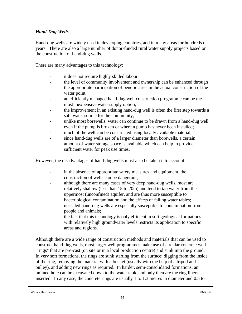## *Hand-Dug Wells*

Hand-dug wells are widely used in developing countries, and in many areas for hundreds of years. There are also a large number of donor-funded rural water supply projects based on the construction of hand-dug wells.

There are many advantages to this technology:

- it does not require highly skilled labour;
- the level of community involvement and ownership can be enhanced through the appropriate participation of beneficiaries in the actual construction of the water point;
- an efficiently managed hand-dug well construction programme can be the most inexpensive water supply option;
- the improvement in an existing hand-dug well is often the first step towards a safe water source for the community;
- unlike most borewells, water can continue to be drawn from a hand-dug well even if the pump is broken or where a pump has never been installed;
- much of the well can be constructed using locally available material;
- since hand-dug wells are of a larger diameter than borewells, a certain amount of water storage space is available which can help to provide sufficient water for peak use times.

However, the disadvantages of hand-dug wells must also be taken into account:

- in the absence of appropriate safety measures and equipment, the construction of wells can be dangerous;
- although there are many cases of very deep hand-dug wells, most are relatively shallow (less than 15 to 20m) and tend to tap water from the uppermost (unconfined) aquifer, and are thus more susceptible to bacteriological contamination and the effects of falling water tables;
- unsealed hand-dug wells are especially susceptible to contamination from people and animals;
- the fact that this technology is only efficient in soft geological formations with relatively high groundwater levels restricts its application to specific areas and regions.

Although there are a wide range of construction methods and materials that can be used to construct hand-dug wells, most larger well programmes make use of circular concrete well "rings" that are pre-cast (on site or in a local production centre) and sunk into the ground. In very soft formations, the rings are sunk starting from the surface: digging from the inside of the ring, removing the material with a bucket (usually with the help of a tripod and pulley), and adding new rings as required. In harder, semi-consolidated formations, an unlined hole can be excavated down to the water table and only then are the ring liners inserted. In any case, the concrete rings are usually 1 to 1.3 metres in diameter and 0.5 to 1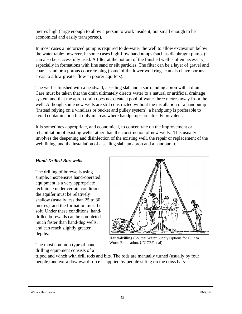metres high (large enough to allow a person to work inside it, but small enough to be economical and easily transported).

In most cases a motorized pump is required to de-water the well to allow excavation below the water table; however, in some cases high-flow handpumps (such as diaphragm pumps) can also be successfully used. A filter at the bottom of the finished well is often necessary, especially in formations with fine sand or silt particles. The filter can be a layer of gravel and coarse sand or a porous concrete plug (some of the lower well rings can also have porous areas to allow greater flow in poorer aquifers).

The well is finished with a headwall, a sealing slab and a surrounding apron with a drain. Care must be taken that the drain ultimately directs water to a natural or artificial drainage system and that the apron drain does not create a pool of water three metres away from the well. Although some new wells are still constructed without the installation of a handpump (instead relying on a windlass or bucket and pulley system), a handpump is preferable to avoid contamination but only in areas where handpumps are already prevalent.

It is sometimes appropriate, and economical, to concentrate on the improvement or rehabilitation of existing wells rather than the construction of new wells. This usually involves the deepening and disinfection of the existing well, the repair or replacement of the well lining, and the installation of a sealing slab, an apron and a handpump.

### *Hand-Drilled Borewells*

The drilling of borewells using simple, inexpensive hand-operated equipment is a very appropriate technique under certain conditions: the aquifer must be relatively shallow (usually less than 25 to 30 metres), and the formation must be soft. Under these conditions, handdrilled borewells can be completed much faster than hand-dug wells, and can reach slightly greater depths.

The most common type of hand-

**Hand-drilling** (Source: Water Supply Options for Guinea Worm Eradication, UNICEF et al)

drilling equipment consists of a tripod and winch with drill rods and bits. The rods are manually turned (usually by four people) and extra downward force is applied by people sitting on the cross bars.

WATER HANDBOOK UNICEF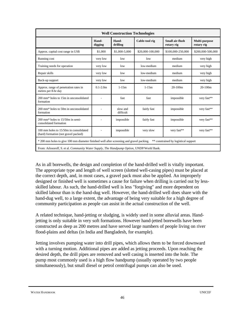| <b>Well Construction Technologies</b>                                                                                            |                  |                       |                  |                               |                             |
|----------------------------------------------------------------------------------------------------------------------------------|------------------|-----------------------|------------------|-------------------------------|-----------------------------|
|                                                                                                                                  | Hand-<br>digging | Hand-<br>drilling     | Cable-tool rig   | Small air-flush<br>rotary rig | Multi-purpose<br>rotary rig |
| Approx. capital cost range in US\$                                                                                               | \$1,000          | \$1,000-5,000         | \$20,000-100,000 | \$100,000-250,000             | \$200,000-500,000           |
| Running cost                                                                                                                     | very low         | low                   | low              | medium                        | very high                   |
| Training needs for operation                                                                                                     | very low         | low                   | low-medium       | medium                        | very high                   |
| Repair skills                                                                                                                    | very low         | low                   | low-medium       | medium                        | very high                   |
| Back-up support                                                                                                                  | very low         | low                   | low-medium       | medium                        | very high                   |
| Approx. range of penetration rates in<br>metres per 8-hr day                                                                     | $0.1 - 2.0m$     | $1 - 15m$             | $1 - 15m$        | $20-100m$                     | $20-100m$                   |
| 200 mm* holes to 15m in unconsolidated<br>formation                                                                              |                  | fast                  | fast             | impossible                    | very fast**                 |
| 200 mm* holes to 50m in unconsolidated<br>formation                                                                              |                  | slow and<br>difficult | fairly fast      | impossible                    | very fast**                 |
| $200$ mm* holes to $15/50$ m in semi-<br>consolidated formation                                                                  |                  | impossible            | fairly fast      | impossible                    | very fast**                 |
| 100 mm holes to 15/50m in consolidated<br>(hard) formation (not gravel packed)                                                   |                  | impossible            | very slow        | very fast**                   | very fast**                 |
| * 200 mm holes to give 100 mm diameter finished well after screening and gravel packing.<br>** constrained by logistical support |                  |                       |                  |                               |                             |
| From: Arlosoroff, S. et al. Community Water Supply, The Handpump Option, UNDP/World Bank.                                        |                  |                       |                  |                               |                             |

As in all borewells, the design and completion of the hand-drilled well is vitally important. The appropriate type and length of well screen (slotted well-casing pipes) must be placed at the correct depth, and, in most cases, a gravel pack must also be applied. An improperly designed or finished well is sometimes a cause for failure when drilling is carried out by lessskilled labour. As such, the hand-drilled well is less "forgiving" and more dependent on skilled labour than is the hand-dug well. However, the hand-drilled well does share with the hand-dug well, to a large extent, the advantage of being very suitable for a high degree of community participation as people can assist in the actual construction of the well.

A related technique, hand-jetting or sludging, is widely used in some alluvial areas. Handjetting is only suitable in very soft formations. However hand-jetted borewells have been constructed as deep as 200 metres and have served large numbers of people living on river flood-plains and deltas (in India and Bangladesh, for example).

Jetting involves pumping water into drill pipes, which allows them to be forced downward with a turning motion. Additional pipes are added as jetting proceeds. Upon reaching the desired depth, the drill pipes are removed and well casing is inserted into the hole. The pump most commonly used is a high flow handpump (usually operated by two people simultaneously), but small diesel or petrol centrifugal pumps can also be used.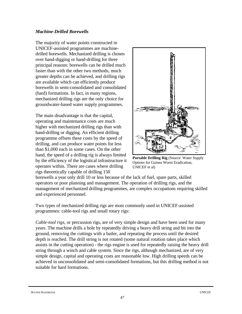### *Machine-Drilled Borewells*

The majority of water points constructed in UNICEF-assisted programmes are machinedrilled borewells. Mechanized drilling is chosen over hand-digging or hand-drilling for three principal reasons: borewells can be drilled much faster than with the other two methods, much greater depths can be achieved, and drilling rigs are available which can efficiently produce borewells in semi-consolidated and consolidated (hard) formations. In fact, in many regions, mechanized drilling rigs are the only choice for groundwater-based water supply programmes.

The main disadvantage is that the capital, operating and maintenance costs are much higher with mechanized drilling rigs than with hand-drilling or digging. An efficient drilling programme offsets these costs by the speed of drilling, and can produce water points for less than \$1,000 each in some cases. On the other hand, the speed of a drilling rig is always limited by the efficiency of the logistical infrastructure it operates within. There are cases where drilling rigs theoretically capable of drilling 150



**Portable Drilling Rig** (Source: Water Supply Options for Guinea Worm Eradication, UNICEF et al)

borewells a year only drill 10 or less because of the lack of fuel, spare parts, skilled operators or poor planning and management. The operation of drilling rigs, and the management of mechanized drilling programmes, are complex occupations requiring skilled and experienced personnel.

Two types of mechanized drilling rigs are most commonly used in UNICEF-assisted programmes: cable-tool rigs and small rotary rigs:

*Cable-tool rigs*, or percussion rigs, are of very simple design and have been used for many years. The machine drills a hole by repeatedly driving a heavy drill string and bit into the ground, removing the cuttings with a bailer, and repeating the process until the desired depth is reached. The drill string is not rotated (some natural rotation takes place which assists in the cutting operation) - the rigs engine is used for repeatedly raising the heavy drill string through a winch and cable system. Since the rigs, although mechanized, are of very simple design, capital and operating costs are reasonable low. High drilling speeds can be achieved in unconsolidated and semi-consolidated formations, but this drilling method is not suitable for hard formations.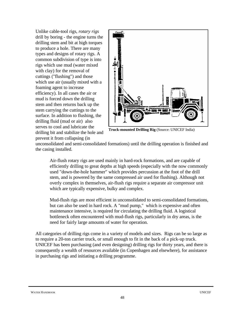Unlike cable-tool rigs, *rotary rigs* drill by boring - the engine turns the drilling stem and bit at high torques to produce a hole. There are many types and designs of rotary rigs. A common subdivision of type is into rigs which use mud (water mixed with clay) for the removal of cuttings ("flushing") and those which use air (usually mixed with a foaming agent to increase efficiency). In all cases the air or mud is forced down the drilling stem and then returns back up the stem carrying the cuttings to the surface. In addition to flushing, the drilling fluid (mud or air) also serves to cool and lubricate the drilling bit and stabilize the hole and prevent it from collapsing (in



**Truck-mounted Drilling Rig** (Source: UNICEF India)

unconsolidated and semi-consolidated formations) until the drilling operation is finished and the casing installed.

Air-flush rotary rigs are used mainly in hard-rock formations, and are capable of efficiently drilling to great depths at high speeds (especially with the now commonly used "down-the-hole hammer" which provides percussion at the foot of the drill stem, and is powered by the same compressed air used for flushing). Although not overly complex in themselves, air-flush rigs require a separate air compressor unit which are typically expensive, bulky and complex.

Mud-flush rigs are most efficient in unconsolidated to semi-consolidated formations, but can also be used in hard rock. A "mud pump," which is expensive and often maintenance intensive, is required for circulating the drilling fluid. A logistical bottleneck often encountered with mud-flush rigs, particularly in dry areas, is the need for fairly large amounts of water for operation.

All categories of drilling rigs come in a variety of models and sizes. Rigs can be so large as to require a 20-ton carrier truck, or small enough to fit in the back of a pick-up truck. UNICEF has been purchasing (and even designing) drilling rigs for thirty years, and there is consequently a wealth of resources available (in Copenhagen and elsewhere), for assistance in purchasing rigs and initiating a drilling programme.

#### WATER HANDBOOK UNICEF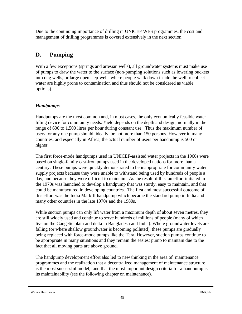Due to the continuing importance of drilling in UNICEF WES programmes, the cost and management of drilling programmes is covered extensively in the next section.

# **D. Pumping**

With a few exceptions (springs and artesian wells), all groundwater systems must make use of pumps to draw the water to the surface (non-pumping solutions such as lowering buckets into dug wells, or large open step-wells where people walk down inside the well to collect water are highly prone to contamination and thus should not be considered as viable options).

## *Handpumps*

Handpumps are the most common and, in most cases, the only economically feasible water lifting device for community needs. Yield depends on the depth and design, normally in the range of 600 to 1,500 litres per hour during constant use. Thus the maximum number of users for any one pump should, ideally, be not more than 150 persons. However in many countries, and especially in Africa, the actual number of users per handpump is 500 or higher.

The first force-mode handpumps used in UNICEF-assisted water projects in the 1960s were based on single-family cast-iron pumps used in the developed nations for more than a century. These pumps were quickly demonstrated to be inappropriate for community water supply projects because they were unable to withstand being used by hundreds of people a day, and because they were difficult to maintain. As the result of this, an effort initiated in the 1970s was launched to develop a handpump that was sturdy, easy to maintain, and that could be manufactured in developing countries. The first and most successful outcome of this effort was the India Mark II handpump which became the standard pump in India and many other countries in the late 1970s and the 1980s.

While suction pumps can only lift water from a maximum depth of about seven metres, they are still widely used and continue to serve hundreds of millions of people (many of which live on the Gangetic plain and delta in Bangladesh and India). Where groundwater levels are falling (or where shallow groundwater is becoming polluted), these pumps are gradually being replaced with force-mode pumps like the Tara. However, suction pumps continue to be appropriate in many situations and they remain the easiest pump to maintain due to the fact that all moving parts are above ground.

The handpump development effort also led to new thinking in the area of maintenance programmes and the realization that a decentralized management of maintenance structure is the most successful model, and that the most important design criteria for a handpump is its maintainability (see the following chapter on maintenance).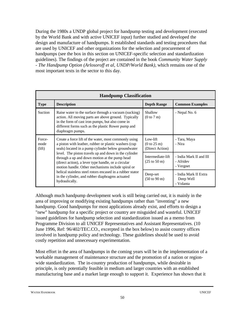During the 1980s a UNDP global project for handpump testing and development (executed by the World Bank and with active UNICEF input) further studied and developed the design and manufacture of handpumps. It established standards and testing procedures that are used by UNICEF and other organizations for the selection and procurement of handpumps (see the box in this section on UNICEF-specific selection and standardization guidelines). The findings of the project are contained in the book *Community Water Supply - The Handpump Option (Arlosoroff et al, UNDP/World Bank)*, which remains one of the most important texts in the sector to this day.

| <b>Handpump Classification</b>                                                                                                                                                                                     |                                                                                                                                                                                                                                             |                                                   |                                                 |
|--------------------------------------------------------------------------------------------------------------------------------------------------------------------------------------------------------------------|---------------------------------------------------------------------------------------------------------------------------------------------------------------------------------------------------------------------------------------------|---------------------------------------------------|-------------------------------------------------|
| <b>Type</b>                                                                                                                                                                                                        | <b>Description</b>                                                                                                                                                                                                                          | <b>Depth Range</b>                                | <b>Common Examples</b>                          |
| Suction                                                                                                                                                                                                            | Raise water to the surface through a vacuum (sucking)<br>action. All moving parts are above ground. Typically<br>in the form of cast iron pumps, but also come in<br>different forms such as the plastic Rower pump and<br>diaphragm pumps. | Shallow<br>(0 to 7 m)                             | - Nepal No. 6                                   |
| Force-<br>mode<br>(lift)                                                                                                                                                                                           | Create a force lift of the water, most commonly using<br>a piston with leather, rubber or plastic washers (cup<br>seals) located in a pump cylinder below groundwater                                                                       | Low-lift<br>(0 to 25 m)<br>(Direct Action)        | - Tara, Maya<br>- Nira                          |
| level. The piston travels up and down in the cylinder<br>through a up and down motion at the pump head<br>(direct action), a lever type handle, or a circular<br>motion handle. Other mechanisms include spiral or | Intermediate-lift<br>$(25 \text{ to } 50 \text{ m})$                                                                                                                                                                                        | - India Mark II and III<br>- Afridev<br>- Vergnet |                                                 |
|                                                                                                                                                                                                                    | helical stainless steel rotors encased in a rubber stator<br>in the cylinder, and rubber diaphragms actuated<br>hydraulically.                                                                                                              | Deep-set<br>$(50 \text{ to } 90 \text{ m})$       | - India Mark II Extra<br>Deep Well<br>- Volanta |

Although much handpump development work is still being carried out, it is mainly in the area of improving or modifying existing handpumps rather than "inventing" a new handpump. Good handpumps for most applications already exist, and efforts to design a "new" handpump for a specific project or country are misguided and wasteful. UNICEF issued guidelines for handpump selection and standardization issued as a memo from Programme Division to all UNICEF Representatives and Assistant Representatives. (10 June 1996, Ref: 96/402/TEC.CO., excerpted in the box below) to assist country offices involved in handpump policy and technology. These guidelines should be used to avoid costly repetition and unnecessary experimentation.

Most effort in the area of handpumps in the coming years will be in the implementation of a workable management of maintenance structure and the promotion of a nation or regionwide standardization. The in-country production of handpumps, while desirable in principle, is only potentially feasible in medium and larger countries with an established manufacturing base and a market large enough to support it. Experience has shown that it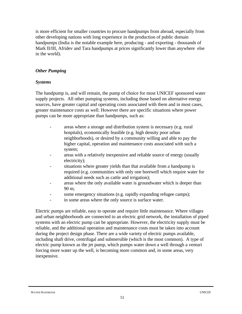is more efficient for smaller countries to procure handpumps from abroad, especially from other developing nations with long experience in the production of public domain handpumps (India is the notable example here, producing - and exporting - thousands of Mark II/III, Afridev and Tara handpumps at prices significantly lower than anywhere else in the world).

### *Other Pumping*

#### *Systems*

The handpump is, and will remain, the pump of choice for most UNICEF sponsored water supply projects. All other pumping systems, including those based on alternative energy sources, have greater capital and operating costs associated with them and in most cases, greater maintenance costs as well. However there are specific situations where power pumps can be more appropriate than handpumps, such as:

- areas where a storage and distribution system is necessary (e.g. rural hospitals), economically feasible (e.g. high density poor urban neighborhoods), or desired by a community willing and able to pay the higher capital, operation and maintenance costs associated with such a system;
- areas with a relatively inexpensive and reliable source of energy (usually electricity);
- situations where greater yields than that available from a handpump is required (e.g. communities with only one borewell which require water for additional needs such as cattle and irrigation);
- areas where the only available water is groundwater which is deeper than 90 m;
- some emergency situations (e.g. rapidly expanding refugee camps);
- in some areas where the only source is surface water.

Electric pumps are reliable, easy to operate and require little maintenance. Where villages and urban neighborhoods are connected to an electric grid network, the installation of piped systems with an electric pump can be appropriate. However, the electricity supply must be reliable, and the additional operation and maintenance costs must be taken into account during the project design phase. There are a wide variety of electric pumps available, including shaft drive, centrifugal and submersible (which is the most common). A type of electric pump known as the jet pump, which pumps water down a well through a venturi forcing more water up the well, is becoming more common and, in some areas, very inexpensive.

#### WATER HANDBOOK UNICEF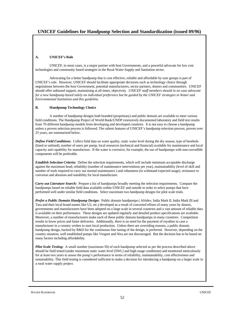### **UNICEF Guidelines for Handpump Selection and Standardization (issued 09/96)**

#### **A. UNICEF's Role**

UNICEF, in most cases, is a major partner with host Governments, and a powerful advocate for low cost technologies and community based strategies in the Rural Water Supply and Sanitation sector.

Advocating for a better handpump that is cost effective, reliable and affordable by user groups is part of UNICEF's role. However, UNICEF should facilitate appropriate decisions such as technology choice through negotiations between the host Government, potential manufacturers, sector partners, donors and communities. UNICEF should offer unbiased support, maintaining at all times, objectivity. *UNICEF staff members should in no case advocate for a new handpump based solely on individual preference but be guided by the UNICEF strategies in Water and Environmental Sanitation and this guideline.*

#### **B. Handpump Technology Choice**

A number of handpump designs both branded (proprietary) and public domain are available to meet various field conditions. The Handpump Project of World Bank/UNDP extensively documented laboratory and field test results from 70 different handpump models from developing and developed countries. It is not easy to choose a handpump unless a proven selection process is followed. The salient features of UNICEF's handpump selection process, proven over 25 years, are summarized below.

*Define Field Conditions:* Collect field data on water quality, static water level during the dry season, type of borehole (lined or unlined), number of users per pump, local resources (technical and financial) available for maintenance and local capacity and capability for manufacture. If the water is corrosive, for example, the use of handpumps with non-corrodible components will be preferable.

*Establish Selection Criteria:* Define the selection requirements, which will include minimum acceptable discharge against the maximum head, reliability (number of maintenance interventions per year), maintainability (level of skill and number of tools required to carry out normal maintenance ) and robustness (to withstand expected usage), resistance to corrosion and abrasion and suitability for local manufacture.

*Carry out Literature Search:* Prepare a list of handpumps broadly meeting the selection requirements. Compare the handpumps based on reliable field data available within UNICEF and outside in order to select pumps that have performed well under similar field conditions. Select maximum two handpump designs for pilot scale trials.

*Prefer a Public Domain Handpump Design:* Public domain handpumps ( Afridev, India Mark II, India Mark III and Tara and their local brand names like U2, etc.) developed as a result of concerted efforts of many years by donors, governments and manufacturers have been adopted on a large scale in several countries and a vast amount of reliable data is available on their performance. These designs are updated regularly and detailed product specifications are available. Moreover, a number of manufacturers make each of these public domain handpumps in many countries. Competition results in lower prices and faster deliveries. Additionally, there is no need for the payment of royalties in case a manufacturer in a country wishes to start local production. Unless there are overriding reasons, a public domain handpump design, backed by R&D for the continuous fine tuning of the design, is preferred. However, depending on the country situation, well established pumps like Vergnet and Nira are not discouraged. But the decision has to be based on many factors including affordability.

*Pilot Scale Testing:* A small number (maximum 50) of each handpump selected as per the process described above should be field tested (under maximum static water level [SWL] and high usage conditions) and monitored meticulously for at least two years to assess the pump's performance in terms of reliability, maintainability, cost effectiveness and sustainability. This field testing is considered sufficient to make a decision for introducing a handpump on a larger scale in a rural water supply project.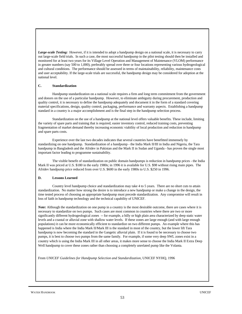*Large-scale Testing:* However, if it is intended to adopt a handpump design on a national scale, it is necessary to carry out large-scale field trials. In such a case, the most successful handpump in the pilot testing should then be installed and monitored for at least two years for its Village Level Operation and Management of Maintenance (VLOM) performance in greater numbers (say 500 to 1,000), preferably spread over three or four locations representing various hydrogeological and cultural conditions. The performance should be assessed in terms of maintainability, reliability, maintenance costs and user acceptability. If the large-scale trials are successful, the handpump design may be considered for adoption at the national level.

#### **C. Standardization**

Handpump standardization on a national scale requires a firm and long term commitment from the government and donors on the use of a particular handpump. However, to eliminate ambiguity during procurement, production and quality control, it is necessary to define the handpump adequately and document it in the form of a standard covering material specifications, design, quality control, packaging, performance and warranty aspects. Establishing a handpump standard in a country is a major accomplishment and is the final step in the handpump selection process.

Standardization on the use of a handpump at the national level offers valuable benefits. These include, limiting the variety of spare parts and training that is required, easier inventory control, reduced training costs, preventing fragmentation of market demand thereby increasing economic viability of local production and reduction in handpump and spare parts costs.

Experience over the last two decades indicates that several countries have benefitted immensely by standardizing on one handpump. Standardization of a handpump - the India Mark II/III in India and Nigeria, the Tara handpump in Bangladesh and the Afridev in Pakistan and the Mark II in Sudan and Uganda - has proven the single most important factor leading to programme sustainability.

The visible benefit of standardization on public domain handpumps is reduction in handpump prices - the India Mark II was priced at U.S. \$180 in the early 1980s; in 1996 it is available for U.S. \$98 without rising main pipes. The Afridev handpump price reduced from over U.S. \$600 in the early 1980s to U.S. \$250 in 1996.

#### **D. Lessons Learned**

Country level handpump choice and standardization may take 4 to 5 years. There are no short cuts to attain standardization. No matter how strong the desire is to introduce a new handpump or make a change in the design, the time tested process of choosing an appropriate handpump must precede standardization. Any compromise will result in loss of faith in handpump technology and the technical capability of UNICEF.

*Note:* Although the standardization on one pump in a country is the most desirable outcome, there are cases where it is necessary to standardize on two pumps. Such cases are most common in countries where there are two or more significantly different hydrogeological zones -- for example, a hilly or high plain area characterized by deep static water levels and a coastal or alluvial zone with shallow water levels. If these zones are large enough (and with large enough populations) it can be more economically efficient to standardize on two different pumps. An example where this has happened is India where the India Mark II/Mark III is the standard in most of the country, but the lower lift Tara handpump is now becoming the standard in the Gangetic alluvial plain. If it is found to be necessary to choose two pumps, it is best to choose two pumps from the same family. For example, if some very deep SWL zones exist in a country which is using the India Mark III in all other areas, it makes more sense to choose the India Mark II Extra Deep Well handpump to cover these zones rather than choosing a completely unrelated pump like the Volanta.

From *UNICEF Guidelines for Handpump Selection and Standardization*, UNICEF NYHQ, 1996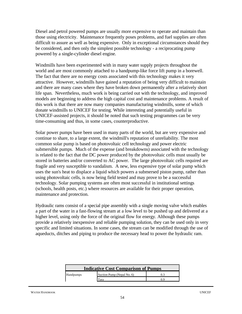Diesel and petrol powered pumps are usually more expensive to operate and maintain than those using electricity. Maintenance frequently poses problems, and fuel supplies are often difficult to assure as well as being expensive. Only in exceptional circumstances should they be considered, and then only the simplest possible technology - a reciprocating pump powered by a single-cylinder diesel engine.

Windmills have been experimented with in many water supply projects throughout the world and are most commonly attached to a handpump-like force lift pump in a borewell. The fact that there are no energy costs associated with this technology makes it very attractive. However, windmills have gained a reputation of being very difficult to maintain and there are many cases where they have broken down permanently after a relatively short life span. Nevertheless, much work is being carried out with the technology, and improved models are beginning to address the high capital cost and maintenance problems. A result of this work is that there are now many companies manufacturing windmills, some of which donate windmills to UNICEF for testing. While interesting and potentially useful in UNICEF-assisted projects, it should be noted that such testing programmes can be very time-consuming and thus, in some cases, counterproductive.

Solar power pumps have been used in many parts of the world, but are very expensive and continue to share, to a large extent, the windmill's reputation of unreliability. The most common solar pump is based on photovoltaic cell technology and power electric submersible pumps. Much of the expense (and breakdowns) associated with the technology is related to the fact that the DC power produced by the photovoltaic cells must usually be stored in batteries and/or converted to AC power. The large photovoltaic cells required are fragile and very susceptible to vandalism. A new, less expensive type of solar pump which uses the sun's heat to displace a liquid which powers a submersed piston pump, rather than using photovoltaic cells, is now being field tested and may prove to be a successful technology. Solar pumping systems are often most successful in institutional settings (schools, health posts, etc.) where resources are available for their proper operation, maintenance and protection.

Hydraulic rams consist of a special pipe assembly with a single moving valve which enables a part of the water in a fast-flowing stream at a low level to be pushed up and delivered at a higher level, using only the force of the original flow for energy. Although these pumps provide a relatively inexpensive and reliable pumping solution, they can be used only in very specific and limited situations. In some cases, the stream can be modified through the use of aqueducts, ditches and piping to produce the necessary head to power the hydraulic ram.

| <b>Indicative Cost Comparison of Pumps</b> |                            |  |  |  |
|--------------------------------------------|----------------------------|--|--|--|
| Handpumps                                  | Suction Pump (Nepal No. 6) |  |  |  |
|                                            | <b>Cara</b>                |  |  |  |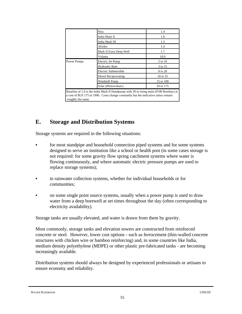|                   | Nira                                                                                                                                                                        | 1.4       |
|-------------------|-----------------------------------------------------------------------------------------------------------------------------------------------------------------------------|-----------|
|                   | India Mark II                                                                                                                                                               |           |
|                   | India Mark III                                                                                                                                                              | 1.3       |
| Afridev           |                                                                                                                                                                             | 1.4       |
|                   | Mark II Extra Deep Well                                                                                                                                                     | 1.7       |
|                   | Volanta                                                                                                                                                                     | 10.0      |
| Power Pumps       | Electric Jet Pump                                                                                                                                                           | 2 to 10   |
|                   | Hydraulic Ram                                                                                                                                                               | 3 to 15   |
|                   | Electric Submersible                                                                                                                                                        | 8 to 20   |
|                   | Diesel Reciprocating                                                                                                                                                        | 10 to 25  |
|                   | Windmill Pump                                                                                                                                                               | 15 to 100 |
|                   | Solar (Photovoltaic)                                                                                                                                                        | 50 to 175 |
| roughly the same. | Baseline of 1.0 is the India Mark II Handpump with 30 m rising main (FOB Bombay) at<br>a cost of \$US 175 in 1996. Costs change constantly but the indicative ratios remain |           |

## **E. Storage and Distribution Systems**

Storage systems are required in the following situations:

- for most standpipe and household connection piped systems and for some systems designed to serve an institution like a school or health post (in some cases storage is not required: for some gravity flow spring catchment systems where water is flowing continuously, and where automatic electric pressure pumps are used to replace storage systems);
- in rainwater collection systems, whether for individual households or for communities;
- on some single point source systems, usually when a power pump is used to draw water from a deep borewell at set times throughout the day (often corresponding to electricity availability).

Storage tanks are usually elevated, and water is drawn from them by gravity.

Most commonly, storage tanks and elevation towers are constructed from reinforced concrete or steel. However, lower cost options - such as ferrocement (thin-walled concrete structures with chicken wire or bamboo reinforcing) and, in some countries like India, medium density polyethylene (MDPE) or other plastic pre-fabricated tanks - are becoming increasingly available.

Distribution systems should always be designed by experienced professionals or artisans to ensure economy and reliability.

WATER HANDBOOK UNICEF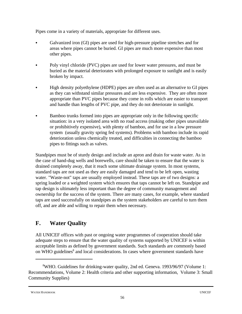Pipes come in a variety of materials, appropriate for different uses.

- Galvanized iron (GI) pipes are used for high-pressure pipeline stretches and for areas where pipes cannot be buried. GI pipes are much more expensive than most other pipes.
- Poly vinyl chloride (PVC) pipes are used for lower water pressures, and must be buried as the material deteriorates with prolonged exposure to sunlight and is easily broken by impact.
- High density polyethylene (HDPE) pipes are often used as an alternative to GI pipes as they can withstand similar pressures and are less expensive. They are often more appropriate than PVC pipes because they come in rolls which are easier to transport and handle than lengths of PVC pipe, and they do not deteriorate in sunlight.
- Bamboo trunks formed into pipes are appropriate only in the following specific situation: in a very isolated area with no road access (making other pipes unavailable or prohibitively expensive), with plenty of bamboo, and for use in a low pressure system (usually gravity spring fed systems). Problems with bamboo include its rapid deterioration unless chemically treated, and difficulties in connecting the bamboo pipes to fittings such as valves.

Standpipes must be of sturdy design and include an apron and drain for waste water. As in the case of hand-dug wells and borewells, care should be taken to ensure that the water is drained completely away, that it reach some ultimate drainage system. In most systems, standard taps are not used as they are easily damaged and tend to be left open, wasting water. "Waste-not" taps are usually employed instead. These taps are of two designs: a spring loaded or a weighted system which ensures that taps cannot be left on. Standpipe and tap design is ultimately less important than the degree of community management and ownership for the success of the system. There are many cases, for example, where standard taps are used successfully on standpipes as the system stakeholders are careful to turn them off, and are able and willing to repair them when necessary.

# **F. Water Quality**

All UNICEF offices with past or ongoing water programmes of cooperation should take adequate steps to ensure that the water quality of systems supported by UNICEF is within acceptable limits as defined by government standards. Such standards are commonly based on WHO guidelines<sup>8</sup> and local considerations. In cases where government standards have

```
WATER HANDBOOK UNICEF
```
<sup>&</sup>lt;sup>8</sup>WHO. Guidelines for drinking-water quality, 2nd ed. Geneva. 1993/96/97 (Volume 1: Recommendations, Volume 2: Health criteria and other supporting information, Volume 3: Small Community Supplies)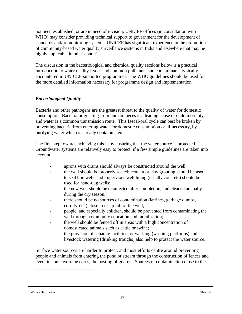not been established, or are in need of revision, UNICEF offices (in consultation with WHO) may consider providing technical support to government for the development of standards and/or monitoring systems. UNICEF has significant experience in the promotion of community-based water quality surveillance systems in India and elsewhere that may be highly applicable in other countries.

The discussion in the bacteriological and chemical quality sections below is a practical introduction to water quality issues and common pollutants and contaminants typically encountered in UNICEF-supported programmes. The WHO guidelines should be used for the more detailed information necessary for programme design and implementation.

### *Bacteriological Quality*

Bacteria and other pathogens are the greatest threat to the quality of water for domestic consumption. Bacteria originating from human faeces is a leading cause of child mortality, and water is a common transmission route. This faecal-oral cycle can best be broken by preventing bacteria from entering water for domestic consumption or, if necessary, by purifying water which is already contaminated.

The first step towards achieving this is by ensuring that the water source is protected. Groundwater systems are relatively easy to protect, if a few simple guidelines are taken into account:

- aprons with drains should always be constructed around the well;
- the well should be properly sealed: cement or clay grouting should be used to seal borewells and impervious well lining (usually concrete) should be used for hand-dug wells;
- the new well should be disinfected after completion, and cleaned annually during the dry season;
- there should be no sources of contamination (latrines, garbage dumps, corrals, etc.) close to or up hill of the well;
- people, and especially children, should be prevented from contaminating the well through community education and mobilization;
- the well should be fenced off in areas with a high concentration of domesticated animals such as cattle or swine;
- the provision of separate facilities for washing (washing platforms) and livestock watering (drinking troughs) also help to protect the water source.

Surface water sources are harder to protect, and most efforts centre around preventing people and animals from entering the pond or stream through the construction of fences and even, in some extreme cases, the posting of guards. Sources of contamination close to the

WATER HANDBOOK UNICEF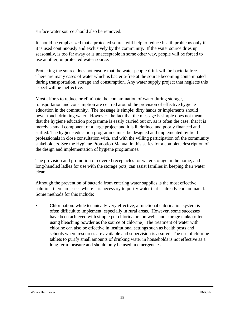surface water source should also be removed.

It should be emphasized that a protected source will help to reduce health problems only if it is used continuously and exclusively by the community. If the water source dries up seasonally, is too far away or is unacceptable in some other way, people will be forced to use another, unprotected water source.

Protecting the source does not ensure that the water people drink will be bacteria free. There are many cases of water which is bacteria-free at the source becoming contaminated during transportation, storage and consumption. Any water supply project that neglects this aspect will be ineffective.

Most efforts to reduce or eliminate the contamination of water during storage, transportation and consumption are centred around the provision of effective hygiene education in the community. The message is simple: dirty hands or implements should never touch drinking water. However, the fact that the message is simple does not mean that the hygiene education programme is easily carried out or, as is often the case, that it is merely a small component of a large project and it is ill defined and poorly financed and staffed. The hygiene education programme must be designed and implemented by field professionals in close consultation with, and with the willing participation of, the community stakeholders. See the Hygiene Promotion Manual in this series for a complete description of the design and implementation of hygiene programmes.

The provision and promotion of covered receptacles for water storage in the home, and long-handled ladles for use with the storage pots, can assist families in keeping their water clean.

Although the prevention of bacteria from entering water supplies is the most effective solution, there are cases where it is necessary to purify water that is already contaminated. Some methods for this include:

• Chlorination: while technically very effective, a functional chlorination system is often difficult to implement, especially in rural areas. However, some successes have been achieved with simple pot chlorinators on wells and storage tanks (often using bleaching powder as the source of chlorine). The treatment of water with chlorine can also be effective in institutional settings such as health posts and schools where resources are available and supervision is assured. The use of chlorine tablets to purify small amounts of drinking water in households is not effective as a long-term measure and should only be used in emergencies.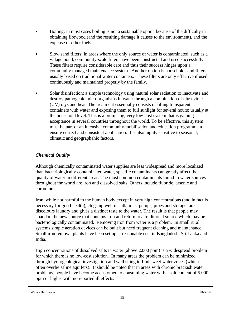- Boiling: in most cases boiling is not a sustainable option because of the difficulty in obtaining firewood (and the resulting damage it causes to the environment), and the expense of other fuels.
- C Slow sand filters: in areas where the only source of water is contaminated, such as a village pond, community-scale filters have been constructed and used successfully. These filters require considerable care and thus their success hinges upon a community managed maintenance system. Another option is household sand filters, usually based on traditional water containers. These filters are only effective if used continuously and maintained properly by the family.
- Solar disinfection: a simple technology using natural solar radiation to inactivate and destroy pathogenic microorganisms in water through a combination of ultra-violet (UV) rays and heat. The treatment essentially consists of filling transparent containers with water and exposing them to full sunlight for several hours; usually at the household level. This is a promising, very low-cost system that is gaining acceptance in several countries throughout the world. To be effective, this system must be part of an intensive community mobilisation and education programme to ensure correct and consistent application. It is also highly sensitive to seasonal, climatic and geographahic factors.

## *Chemical Quality*

Although chemically contaminated water supplies are less widespread and more localized than bacteriologically contaminated water, specific contaminants can greatly affect the quality of water in different areas. The most common contaminants found in water sources throughout the world are iron and dissolved salts. Others include fluoride, arsenic and chromium.

Iron, while not harmful to the human body except in very high concentrations (and in fact is necessary for good health), clogs up well installations, pumps, pipes and storage tanks, discolours laundry and gives a distinct taste to the water. The result is that people may abandon the new source that contains iron and return to a traditional source which may be bacteriologically contaminated. Removing iron from water is a problem. In small rural systems simple aeration devices can be built but need frequent cleaning and maintenance. Small iron removal plants have been set up at reasonable cost in Bangladesh, Sri Lanka and India.

High concentrations of dissolved salts in water (above 2,000 ppm) is a widespread problem for which there is no low-cost solution. In many areas the problem can be minimized through hydrogeological investigation and well siting to find sweet water zones (which often overlie saline aquifers). It should be noted that in areas with chronic brackish water problems, people have become accustomed to consuming water with a salt content of 5,000 ppm or higher with no reported ill effects.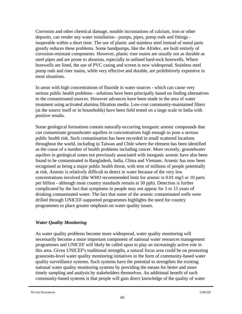Corrosion and other chemical damage, notable incrustations of calcium, iron or other deposits, can render any water installation - pumps, pipes, pump rods and fittings inoperable within a short time. The use of plastic and stainless steel instead of metal parts greatly reduces these problems. Some handpumps, like the Afridev, are built entirely of corrosion-resistant components. However, plastic riser mains are usually not as durable as steel pipes and are prone to abrasion, especially in unlined hard-rock borewells. Where borewells are lined, the use of PVC casing and screen is now widespread. Stainless steel pump rods and riser mains, while very effective and durable, are prohibitively expensive in most situations.

In areas with high concentrations of fluoride in water sources - which can cause very serious public health problems - solutions have been principally based on finding alternatives to the contaminated sources. However advances have been made in the area of water treatment using activated alumina filtration media. Low-cost community-maintained filters (at the source itself or in households) have been field tested on a large scale in India with positive results.

Some geological formations contain naturally-occurring inorganic arsenic compounds that can contaminate groundwater aquifers in concentrations high enough to pose a serious public health risk. Such contamination has been recorded in small scattered locations throughout the world, including in Taiwan and Chile where the element has been identified as the cause of a number of health problems including cancer. More recently, groundwater aquifers in geological zones not previously associated with inorganic arsenic have also been found to be contaminated in Bangladesh, India, China and Vietnam. Arsenic has now been recognised as being a major public health threat, with tens of millions of people potentially at risk. Arsenic is relatively difficult to detect in water because of the very low concentrations involved (the WHO recommended limit for arsenic is 0.01 mg/l or 10 parts per billion - although most country standards remain at 50 ppb). Detection is further complicated by the fact that symptoms in people may not appear for 5 to 15 years of drinking contaminated water. The fact that some of the arsenic contaminated wells were drilled through UNICEF-supported programmes highlights the need for country programmes to place greater emphasis on water quality issues.

### *Water Quality Monitoring*

As water quality problems become more widespread, water quality monitoring will necessarily become a more important component of national water resources management programmes and UNICEF will likely be called upon to play an increasingly active role in this area. Given UNICEF's traditional strengths, a natural focus area could be on promoting grassroots-level water quality monitoring initiatives in the form of community-based water quality surveillance systems. Such systems have the potential to strengthen the existing national water quality monitoring systems by providing the means for better and more timely sampling and analysis by stakeholders themselves. An additional benefit of such community-based systems is that people will gain direct knowledge of the quality of water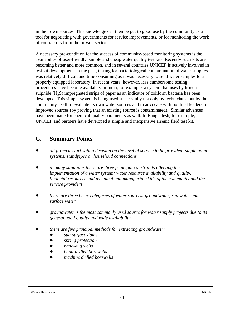in their own sources. This knowledge can then be put to good use by the community as a tool for negotiating with governments for service improvements, or for monitoring the work of contractors from the private sector

A necessary pre-condition for the success of community-based monitoring systems is the availability of user-friendly, simple and cheap water quality test kits. Recently such kits are becoming better and more common, and in several countries UNICEF is actively involved in test kit development. In the past, testing for bacteriological contamination of water supplies was relatively difficult and time consuming as it was necessary to send water samples to a properly equipped laboratory. In recent years, however, less cumbersome testing procedures have become available. In India, for example, a system that uses hydrogen sulphide  $(H<sub>2</sub>S)$  impregnated strips of paper as an indicator of coliform bacteria has been developed. This simple system is being used successfully not only by technicians, but by the community itself to evaluate its own water sources and to advocate with political leaders for improved sources (by proving that an existing source is contaminated). Similar advances have been made for chemical quality parameters as well. In Bangladesh, for example, UNICEF and partners have developed a simple and inexpensive arsenic field test kit.

## **G. Summary Points**

- *Ç all projects start with a decision on the level of service to be provided: single point systems, standpipes or household connections*
- *Ç in many situations there are three principal constraints affecting the implementation of a water system: water resource availability and quality, financial resources and technical and managerial skills of the community and the service providers*
- *Ç there are three basic categories of water sources: groundwater, rainwater and surface water*
- *Ç groundwater is the most commonly used source for water supply projects due to its general good quality and wide availability*
- *Ç there are five principal methods for extracting groundwater:*
	- *! sub-surface dams*
	- *! spring protection*
	- *! hand-dug wells*
	- *! hand-drilled borewells*
	- *! machine drilled borewells*

#### WATER HANDBOOK UNICEF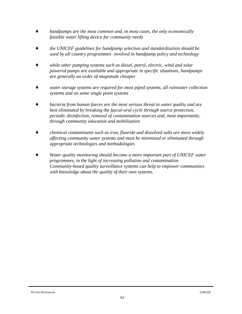- *handpumps are the most common and, in most cases, the only economically feasible water lifting device for community needs*
- *Ç the UNICEF guidelines for handpump selection and standardization should be used by all country programmes involved in handpump policy and technology*
- *while other pumping systems such as diesel, petrol, electric, wind and solar powered pumps are available and appropriate in specific situations, handpumps are generally an order of magnitude cheaper*
- *Ç water storage systems are required for most piped systems, all rainwater collection systems and on some single point systems*
- bacteria from human faeces are the most serious threat to water quality and are *best eliminated by breaking the faecal-oral cycle through source protection, periodic disinfection, removal of contamination sources and, most importantly, through community education and mobilization*
- *Ç chemical contaminants such as iron, fluoride and dissolved salts are more widely affecting community water systems and must be minimized or eliminated through appropriate technologies and methodologies*
- Water quality monitoring should become a more important part of UNICEF water *programmes, in the light of increasing pollution and contamination. Community-based quality surveillance systems can help to empower communities with knowledge about the quality of their own systems.*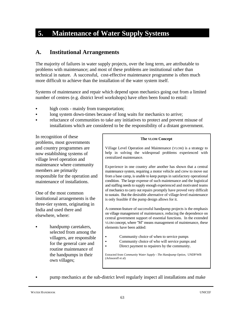# **5. Maintenance of Water Supply Systems**

## **A. Institutional Arrangements**

The majority of failures in water supply projects, over the long term, are attributable to problems with maintenance; and most of these problems are institutional rather than technical in nature. A successful, cost-effective maintenance programme is often much more difficult to achieve than the installation of the water system itself.

Systems of maintenance and repair which depend upon mechanics going out from a limited number of centres (e.g. district level workshops) have often been found to entail:

- high costs mainly from transportation;
- long system down-times because of long waits for mechanics to arrive;
- reluctance of communities to take any initiatives to protect and prevent misuse of installations which are considered to be the responsibility of a distant government.

In recognition of these problems, most governments and country programmes are now establishing systems of village level operation and maintenance where community members are primarily responsible for the operation and maintenance of installations.

One of the most common institutional arrangements is the three-tier system, originating in India and used there and elsewhere, where:

handpump caretakers, selected from among the villagers, are responsible for the general care and routine maintenance of the handpumps in their own villages;

#### **The VLOM Concept**

Village Level Operation and Maintenance (VLOM) is a strategy to help in solving the widespread problems experienced with centralized maintenance.

Experience in one country after another has shown that a central maintenance system, requiring a motor vehicle and crew to move out from a base camp, is unable to keep pumps in satisfactory operational condition. The large expense of such maintenance and the logistical and staffing needs to supply enough experienced and motivated teams of mechanics to carry out repairs promptly have proved very difficult to sustain. But the desirable alternative of village-level maintenance is only feasible if the pump design allows for it.

A common feature of successful handpump projects is the emphasis on village management of maintenance, reducing the dependence on central government support of essential functions. In the extended VLOM concept, where "M" means management of maintenance, these elements have been added:

- Community choice of when to service pumps
- Community choice of who will service pumps and
- Direct payment to repairers by the community.

Extracted from *Community Water Supply - The Handpump Option*, UNDP/WB (Arlosoroff et al)

pump mechanics at the sub-district level regularly inspect all installations and make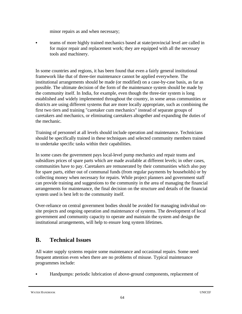minor repairs as and when necessary;

teams of more highly trained mechanics based at state/provincial level are called in for major repair and replacement work; they are equipped with all the necessary tools and machinery.

In some countries and regions, it has been found that even a fairly general institutional framework like that of three-tier maintenance cannot be applied everywhere. The institutional arrangements should be made (or modified) on a case-by-case basis, as far as possible. The ultimate decision of the form of the maintenance system should be made by the community itself. In India, for example, even though the three-tier system is long established and widely implemented throughout the country, in some areas communities or districts are using different systems that are more locally appropriate, such as combining the first two tiers and training "caretaker cum mechanics" instead of separate groups of caretakers and mechanics, or eliminating caretakers altogether and expanding the duties of the mechanic.

Training of personnel at all levels should include operation and maintenance. Technicians should be specifically trained in these techniques and selected community members trained to undertake specific tasks within their capabilities.

In some cases the government pays local-level pump mechanics and repair teams and subsidizes prices of spare parts which are made available at different levels; in other cases, communities have to pay. Caretakers are remunerated by their communities which also pay for spare parts, either out of communal funds (from regular payments by households) or by collecting money when necessary for repairs. While project planners and government staff can provide training and suggestions to the community in the area of managing the financial arrangements for maintenance, the final decision on the structure and details of the financial system used is best left to the community itself.

Over-reliance on central government bodies should be avoided for managing individual onsite projects and ongoing operation and maintenance of systems. The development of local government and community capacity to operate and maintain the system and design the institutional arrangements, will help to ensure long system lifetimes.

## **B. Technical Issues**

All water supply systems require some maintenance and occasional repairs. Some need frequent attention even when there are no problems of misuse. Typical maintenance programmes include:

Handpumps: periodic lubrication of above-ground components, replacement of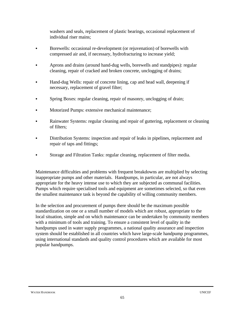washers and seals, replacement of plastic bearings, occasional replacement of individual riser mains;

- Borewells: occasional re-development (or rejuvenation) of borewells with compressed air and, if necessary, hydrofracturing to increase yield;
- Aprons and drains (around hand-dug wells, borewells and standpipes): regular cleaning, repair of cracked and broken concrete, unclogging of drains;
- Hand-dug Wells: repair of concrete lining, cap and head wall, deepening if necessary, replacement of gravel filter;
- Spring Boxes: regular cleaning, repair of masonry, unclogging of drain;
- Motorized Pumps: extensive mechanical maintenance;
- Rainwater Systems: regular cleaning and repair of guttering, replacement or cleaning of filters;
- Distribution Systems: inspection and repair of leaks in pipelines, replacement and repair of taps and fittings;
- Storage and Filtration Tanks: regular cleaning, replacement of filter media.

Maintenance difficulties and problems with frequent breakdowns are multiplied by selecting inappropriate pumps and other materials. Handpumps, in particular, are not always appropriate for the heavy intense use to which they are subjected as communal facilities. Pumps which require specialised tools and equipment are sometimes selected, so that even the smallest maintenance task is beyond the capability of willing community members.

In the selection and procurement of pumps there should be the maximum possible standardization on one or a small number of models which are robust, appropriate to the local situation, simple and on which maintenance can be undertaken by community members with a minimum of tools and training. To ensure a consistent level of quality in the handpumps used in water supply programmes, a national quality assurance and inspection system should be established in all countries which have large-scale handpump programmes, using international standards and quality control procedures which are available for most popular handpumps.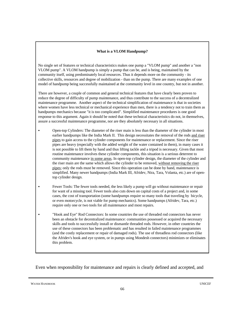### **What is a VLOM Handpump?**

No single set of features or technical characteristics makes one pump a "VLOM pump" and another a "non VLOM pump". A VLOM handpump is simply a pump that can be, and is being, maintained by the community itself, using predominately local resources. Thus it depends more on the community - its collective skills, resources and degree of mobilization - than on the pump. There are many examples of one model of handpump being successfully maintained at the community level in one country, but not in another.

There are however, a couple of common and general technical features that have clearly been proven to reduce the degree of difficulty of pump maintenance, and thus contribute to the success of a decentralized maintenance programme. Another aspect of the technical simplification of maintenance is that in societies where women have less technical or mechanical experience than men, there is a tendency not to train them as handpumps mechanics because "it is too complicated". Simplified maintenance procedures is one good response to this argument. Again it should be noted that these technical characteristics do not, in themselves, assure a successful maintenance programme, nor are they absolutely necessary in all situations.

- C Open-top Cylinders: The diameter of the riser main is less than the diameter of the cylinder in most earlier handpumps like the India Mark II. This design necessitates the removal of the rods and riser pipes to gain access to the cylinder components for maintenance or replacement. Since the riser pipes are heavy (especially with the added weight of the water contained in them), in many cases it is not possible to lift them by hand and thus lifting tackle and a tripod is necessary. Given that most routine maintenance involves these cylinder components, this situation is a serious deterrent to community maintenance in some areas. In open-top cylinder design, the diameter of the cylinder and the riser main are the same which allows the cylinder to be removed, without removing the riser pipes; only the rods must be removed. Since this operation can be done by hand, maintenance is simplified. Many newer handpumps (India Mark III, Afridev, Nira, Tara, Volanta, etc.) are of opentop cylinder design.
- Fewer Tools: The fewer tools needed, the less likely a pump will go without maintenance or repair for want of a missing tool. Fewer tools also cuts down on capital costs of a project and, in some cases, the cost of transportation (some handpumps require so many tools that traveling by bicycle, or even motorcycle, is not viable for pump mechanics). Some handpumps (Afridev, Tara, etc.) require only one or two tools for all maintenance and most repairs.
- "Hook and Eve" Rod Connectors: In some countries the use of threaded rod connectors has never been an obstacle for decentralized maintenance: communities possessed or acquired the necessary skills and tools to successfully install or dismantle threaded rods. However, in other countries the use of these connectors has been problematic and has resulted in failed maintenance programmes (and the costly replacement or repair of damaged rods). The use of threadless rod connectors (like the Afridev's hook and eye system, or in pumps using Mondesh connectors) minimizes or eliminates this problem.

Even when responsibility for maintenance and repairs is clearly defined and accepted, and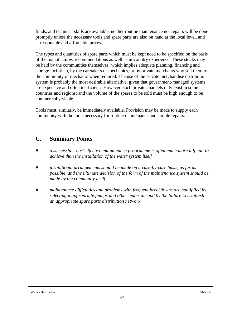funds, and technical skills are available, neither routine maintenance nor repairs will be done promptly unless the necessary tools and spare parts are also on hand at the local level, and at reasonable and affordable prices.

The types and quantities of spare parts which must be kept need to be specified on the basis of the manufactures' recommendations as well as in-country experience. These stocks may be held by the communities themselves (which implies adequate planning, financing and storage facilities), by the caretakers or mechanics, or by private merchants who sell them to the community or mechanic when required. The use of the private merchandise distribution system is probably the most desirable alternative, given that government-managed systems are expensive and often inefficient. However, such private channels only exist in some countries and regions; and the volume of the spares to be sold must be high enough to be commercially viable.

Tools must, similarly, be immediately available. Provision may be made to supply each community with the tools necessary for routine maintenance and simple repairs.

## **C. Summary Points**

- Ç *a successful, cost-effective maintenance programme is often much more difficult to achieve than the installation of the water system itself*
- *Ç institutional arrangements should be made on a case-by-case basis, as far as possible, and the ultimate decision of the form of the maintenance system should be made by the community itself*
- *Ç maintenance difficulties and problems with frequent breakdowns are multiplied by selecting inappropriate pumps and other materials and by the failure to establish an appropriate spare parts distribution network*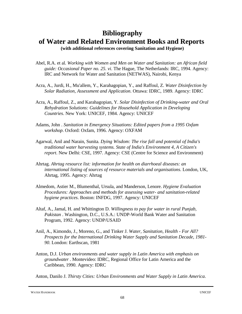# **Bibliography of Water and Related Environment Books and Reports**

**(with additional references covering Sanitation and Hygiene)**

- Abel, R.A. et al. *Working with Women and Men on Water and Sanitation: an African field guide: Occasional Paper no. 25. vi*. The Hague, The Netherlands: IRC, 1994. Agency: IRC and Network for Water and Sanitation (NETWAS), Nairobi, Kenya
- Acra, A., Jurdi, H., Mu'allem, Y., Karahagopian, Y., and Raffoul, Z. *Water Disinfection by Solar Radiation, Assessment and Application*. Ottawa: IDRC, 1989. Agency: IDRC
- Acra, A., Raffoul, Z., and Karahagopian, Y. *Solar Disinfection of Drinking-water and Oral Rehydration Solutions: Guidelines for Household Application in Developing Countries*. New York: UNICEF, 1984. Agency: UNICEF
- Adams, John . *Sanitation in Emergency Situations: Edited papers from a 1995 Oxfam workshop*. Oxford: Oxfam, 1996. Agency: OXFAM
- Agarwal, Anil and Narain, Sunita. *Dying Wisdom: The rise fall and potential of India's traditional water harvesting systems. State of India's Environment 4, A Citizen's report*. New Delhi: CSE, 1997. Agency: CSE (Centre for Science and Environment)
- Ahrtag. *Ahrtag resource list: information for health on diarrhoeal diseases: an international listing of sources of resource materials and organisations*. London, UK, Ahrtag, 1995. Agency: Ahrtag
- Almedom, Astier M., Blumenthal, Ursula, and Manderson, Lenore. *Hygiene Evaluation Procedures: Approaches and methods for assessing water- and sanitation-related hygiene practices*. Boston: INFDG, 1997. Agency: UNICEF
- Altaf, A., Jamal, H. and Whittington D. *Willingness to pay for water in rural Punjab, Pakistan* . Washington, D.C., U.S.A.: UNDP-World Bank Water and Sanitation Program, 1992. Agency: UNDP/USAID
- Anil, A., Kimondo, J., Moreno, G., and Tinker J. *Water, Sanitation, Health For All? Prospects for the International Drinking Water Supply and Sanitation Decade, 1981- 90*. London: Earthscan, 1981
- Anton, D.J. *Urban environments and water supply in Latin America with emphasis on groundwater* . Montevideo: IDRC, Regional Office for Latin America and the Caribbean, 1990. Agency: IDRC

Anton, Danilo J. *Thirsty Cities: Urban Environments and Water Supply in Latin America*.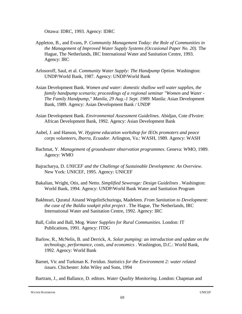Ottawa: IDRC, 1993. Agency: IDRC

- Appleton, B., and Evans, P. *Community Management Today: the Role of Communities in the Management of Improved Water Supply Systems (Occasional Paper No. 20)*. The Hague, The Netherlands, IRC International Water and Sanitation Centre, 1993. Agency: IRC
- Arlosoroff, Saul, et al. *Community Water Supply: The Handpump Option*. Washington: UNDP/World Bank, 1987. Agency: UNDP/World Bank
- Asian Development Bank. *Women and water: domestic shallow well water supplies, the family handpump scenario; proceedings of a regional seminar "Women and Water - The Family Handpump," Manila, 29 Aug.-1 Sept. 1989*. Manila: Asian Development Bank, 1989. Agency: Asian Development Bank / UNDP
- Asian Development Bank. *Environmental Assessment Guidelines*. Abidjan, Cote d'Ivoire: African Development Bank, 1992. Agency: Asian Development Bank
- Aubel, J. and Hanson, W. *Hygiene education workshop for IEOs promoters and peace corps volunteers, Ibarra, Ecuador*. Arlington, Va.: WASH, 1989. Agency: WASH
- Bachmat, Y. *Management of groundwater observation programmes*. Geneva: WMO, 1989. Agency: WMO
- Bajracharya, D. *UNICEF and the Challenge of Sustainable Development: An Overview*. New York: UNICEF, 1995. Agency: UNICEF
- Bakalian, Wright, Otis, and Netto. *Simplified Sewerage: Design Guidelines* . Washington: World Bank, 1994. Agency: UNDP/World Bank Water and Sanitation Program
- Bakhteari, Quratul Ainand WegelinSchuringa, Madeleen. *From Sanitation to Development: the case of the Baldia soakpit pilot project* . The Hague, The Netherlands, IRC International Water and Sanitation Centre, 1992. Agency: IRC
- Ball, Colin and Ball, Mog. *Water Supplies for Rural Communities*. London: IT Publications, 1991. Agency: ITDG
- Barlow, R., McNelis, B. and Derrick, A. *Solar pumping: an introduction and update on the technology, performance, costs, and economics* . Washington, D.C.: World Bank, 1992. Agency: World Bank
- Barnet, Vic and Turkman K. Feridun. *Statistics for the Environment 2: water related issues*. Chichester: John Wiley and Sons, 1994

Bartram, J., and Ballance, D. editors. *Water Quality Monitoring*. London: Chapman and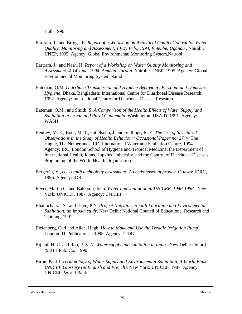Hall, 1996

- Bartram, J., and Briggs, R. *Report of a Workshop on Analytical Quality Control for Water Quality. Monitoring and Assessment, 14-25 Feb., 1994, Entebbe, Uganda* . Nairobi: UNEP, 1995. Agency: Global Environmental Monitoring System,Nairobi
- Bartram, J., and Nash, H. *Report of a Workshop on Water Quality Monitoring and Assessment, 4-14 June, 1994, Amman, Jordan*. Nairobi: UNEP, 1995. Agency: Global Environmental Monitoring System,Nairobi
- Bateman, O.M. *Diarrhoea Transmission and Hygiene Behaviour: Personal and Domestic Hygiene*. Dhaka, Bangladesh: International Centre for Diarrhoeal Disease Research, 1992. Agency: International Centre for Diarrhoeal Disease Research
- Bateman, O.M., and Smith, S. *A Comparison of the Health Effects of Water Supply and Sanitation in Urban and Rural Guatemala*. Washington: USAID, 1991. Agency: WASH
- Bentley, M. E., Boot, M. T., Gittelsohn, J. and Stallings, R. Y. *The Use of Structured Observations in the Study of Health Behaviour: Occasional Paper no. 27. v*. The Hague, The Netherlands, IRC International Water and Sanitation Centre, 1994. Agency: IRC, London School of Hygiene and Tropical Medicine, the Department of International Health, Johns Hopkins University, and the Control of Diarrhoeal Diseases Programme of the World Health Organization
- Bergevin, Y., ed. *Health technology assessment: A needs-based approach*. Ottawa: IDRC, 1996. Agency: IDRC
- Beyer, Martin G. and Balcomb, John. *Water and sanitation in UNICEF, 1946-1986* . New York: UNICEF, 1987. Agency: UNICEF
- Bhattacharya, S., and Dave, P.N. *Project Nutrition, Health Education and Environmental Sanitation: an impact study*. New Delhi: National Council of Educational Research and Training, 1991
- Bielenberg, Carl and Allen, Hugh. *How to Make and Use the Treadle Irrigation Pump*. London: IT Publications , 1995. Agency: ITDG
- Bijlani, H. U. and Rao, P. S. N. *Water supply and sanitation in India* . New Delhi: Oxford & IBH Pub. Co., 1990
- Biron, Paul J. *Terminology of Water Supply and Environmental Sanitation, A World Bank-UNICEF Glossary (in English and French)*. New York: UNICEF, 1987. Agency: UNICEF, World Bank

WATER HANDBOOK UNICEF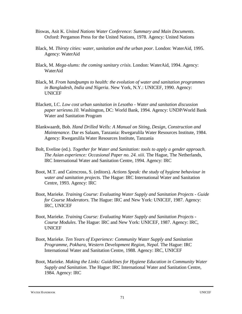- Biswas, Asit K. *United Nations Water Conference: Summary and Main Documents*. Oxford: Pergamon Press for the United Nations, 1978. Agency: United Nations
- Black, M. *Thirsty cities: water, sanitation and the urban poor*. London: WaterAid, 1995. Agency: WaterAid
- Black, M. *Mega-slums: the coming sanitary crisis*. London: WaterAid, 1994. Agency: WaterAid
- Black, M. *From handpumps to health: the evolution of water and sanitation programmes in Bangladesh, India and Nigeria*. New York, N.Y.: UNICEF, 1990. Agency: UNICEF
- Blackett, I.C. *Low cost urban sanitation in Lesotho Water and sanitation discussion paper seriesno.10*. Washington, DC: World Bank, 1994. Agency: UNDP/World Bank Water and Sanitation Program
- Blankwaardt, Bob. *Hand Drilled Wells: A Manual on Siting, Design, Construction and Maintenance*. Dar es Salaam, Tanzania: Rwegarulila Water Resources Institute, 1984. Agency: Rwegarulila Water Resources Institute, Tanzania
- Bolt, Eveline (ed.). *Together for Water and Sanitation: tools to apply a gender approach. The Asian experience: Occasional Paper no. 24. xiii*. The Hague, The Netherlands, IRC International Water and Sanitation Centre, 1994. Agency: IRC
- Boot, M.T. and Cairncross, S. (editors). *Actions Speak: the study of hygiene behaviour in water and sanitation projects*. The Hague: IRC International Water and Sanitation Centre, 1993. Agency: IRC
- Boot, Marieke. *Training Course: Evaluating Water Supply and Sanitation Projects Guide for Course Moderators*. The Hague: IRC and New York: UNICEF, 1987. Agency: IRC, UNICEF
- Boot, Marieke. *Training Course: Evaluating Water Supply and Sanitation Projects - Course Modules*. The Hague: IRC and New York: UNICEF, 1987. Agency: IRC, UNICEF
- Boot, Marieke. *Ten Years of Experience: Community Water Supply and Sanitation Programme, Pokhara, Western Development Region, Nepal*. The Hague: IRC International Water and Sanitation Centre, 1988. Agency: IRC, UNICEF
- Boot, Marieke. *Making the Links: Guidelines for Hygiene Education in Community Water Supply and Sanitation*. The Hague: IRC International Water and Sanitation Centre, 1984. Agency: IRC

WATER HANDBOOK UNICEF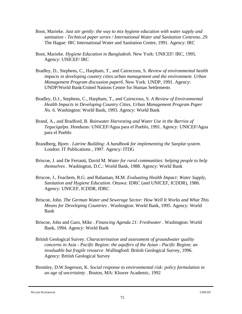- Boot, Marieke. *Just stir gently: the way to mix hygiene education with water supply and sanitation - Technical paper series / International Water and Sanitation Centreno. 29*. The Hague: IRC International Water and Sanitation Centre, 1991. Agency: IRC
- Boot, Marieke. *Hygiene Education in Bangladesh*. New York: UNICEF/ IRC, 1995. Agency: UNICEF/ IRC
- Bradley, D., Stephens, C., Harpham, T., and Cairncross, S. *Review of environmental health impacts in developing country cities:urban management and the environment. Urban Management Program discussion paper6*. New York: UNDP, 1991. Agency: UNDP/World Bank/United Nations Centre for Human Settlements
- Bradley, D.J., Stephens, C., Harpham, T., and Cairncross, S. *A Review of Environmental Health Impacts in Developing Country Cities. Urban Management Program Paper No. 6*. Washington: World Bank, 1993. Agency: World Bank
- Brand, A., and Bradford, B. *Rainwater Harvesting and Water Use in the Barrios of Tegucigalpa*. Honduras: UNICEF/Agua para el Pueblo, 1991. Agency: UNICEF/Agua para el Pueblo
- Brandberg, Bjorn . *Latrine Building: A handbook for implementing the Sanplat system*. London: IT Publications , 1997. Agency: ITDG
- Briscoe, J. and De Ferranti, David M. *Water for rural communities: helping people to help themselves* . Washington, D.C.: World Bank, 1988. Agency: World Bank
- Briscoe, J., Feachem, R.G. and Rahaman, M.M. *Evaluating Health Impact: Water Supply, Sanitation and Hygiene Education*. Ottawa: IDRC (and UNICEF, ICDDR), 1986. Agency: UNICEF, ICDDR, IDRC
- Briscoe, John. *The German Water and Sewerage Sector: How Well It Works and What This Means for Developing Countries* . Washington: World Bank, 1995. Agency: World Bank
- Briscoe, John and Garn, Mike . *Financing Agenda 21: Freshwater* . Washington: World Bank, 1994. Agency: World Bank
- British Geological Survey. *Characterisation and assessment of groundwater quality concerns in Asia - Pacific Region: the aquifers of the Asian - Pacific Region; an invaluable but fragile resource* .Wallingford: British Geological Survey, 1996. Agency: British Geological Survey
- Bromley, D.W.Segerson, K. *Social response to environmental risk: policy formulation in an age of uncertainty* . Boston, MA: Kluwer Academic, 1992

WATER HANDBOOK UNICEF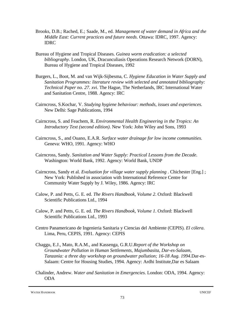- Brooks, D.B.; Rached, E.; Saade, M., ed. *Management of water demand in Africa and the Middle East: Current practices and future needs*. Ottawa: IDRC, 1997. Agency: IDRC
- Bureau of Hygiene and Tropical Diseases. *Guinea worm eradication: a selected bibliography*. London, UK, Dracunculiasis Operations Research Network (DORN), Bureau of Hygiene and Tropical Diseases, 1992
- Burgers, L., Boot, M. and van Wijk-Sijbesma, C. *Hygiene Education in Water Supply and Sanitation Programmes: literature review with selected and annotated bibliography: Technical Paper no. 27. xvi*. The Hague, The Netherlands, IRC International Water and Sanitation Centre, 1988. Agency: IRC
- Cairncross, S.Kochar, V. *Studying hygiene behaviour: methods, issues and experiences*. New Delhi: Sage Publications, 1994
- Cairncross, S. and Feachem, R. *Environmental Health Engineering in the Tropics: An Introductory Text (second edition)*. New York: John Wiley and Sons, 1993
- Cairncross, S., and Ouano, E.A.R. *Surface water drainage for low income communities*. Geneva: WHO, 1991. Agency: WHO
- Cairncross, Sandy. *Sanitation and Water Supply: Practical Lessons from the Decade*. Washington: World Bank, 1992. Agency: World Bank, UNDP
- Cairncross, Sandy et al. *Evaluation for village water supply planning* . Chichester [Eng.] ; New York: Published in association with International Reference Centre for Community Water Supply by J. Wiley, 1986. Agency: IRC
- Calow, P. and Petts, G. E. ed. *The Rivers Handbook, Volume 2*. Oxford: Blackwell Scientific Publications Ltd., 1994
- Calow, P. and Petts, G. E. ed. *The Rivers Handbook, Volume 1*. Oxford: Blackwell Scientific Publications Ltd., 1993
- Centro Panamericano de Ingenieria Sanitaria y Ciencias del Ambiente (CEPIS). *El cólera*. Lima, Peru, CEPIS, 1991. Agency: CEPIS
- Chaggu, E.J., Mato, R.A.M., and Kassenga, G.R.U.*Report of the Workshop on Groundwater Pollution in Human Settlements, Majumbasita, Dar-es-Salaam, Tanzania: a three day workshop on groundwater pollution; 16-18 Aug. 1994*.Dar-es-Salaam: Centre for Housing Studies, 1994. Agency: Ardhi Institute,Dar es Salaam
- Chalinder, Andrew. *Water and Sanitation in Emergencies*. London: ODA, 1994. Agency: ODA

WATER HANDBOOK UNICEF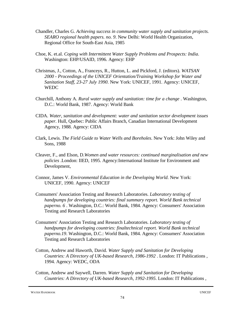- Chandler, Charles G. *Achieving success in community water supply and sanitation projects. SEARO regional health papers. no. 9*. New Delhi: World Health Organization, Regional Office for South-East Asia, 1985
- Choe, K. et.al. *Coping with Intermittent Water Supply Problems and Prospects: India*. Washington: EHP/USAID, 1996. Agency: EHP
- Christmas, J., Cotton, A., Franceys, R., Hutton, L. and Pickford, J. (editors). *WATSAN 2000 - Proceedings of the UNICEF Orientation/Training Workshop for Water and Sanitation Staff, 23-27 July 1990*. New York: UNICEF, 1991. Agency: UNICEF, **WEDC**
- Churchill, Anthony A. *Rural water supply and sanitation: time for a change* . Washington, D.C.: World Bank, 1987. Agency: World Bank
- CIDA. *Water, sanitation and development: water and sanitation sector development issues paper*. Hull, Quebec: Public Affairs Branch, Canadian International Development Agency, 1988. Agency: CIDA
- Clark, Lewis. *The Field Guide to Water Wells and Boreholes*. New York: John Wiley and Sons, 1988
- Cleaver, F., and Elson, D.*Women and water resources: continued marginalisation and new policies* .London: IIED, 1995. Agency:International Institute for Environment and Development,
- Connor, James V. *Environmental Education in the Developing World*. New York: UNICEF, 1990. Agency: UNICEF
- Consumers' Association Testing and Research Laboratories. *Laboratory testing of handpumps for developing countries: final summary report. World Bank technical paperno. 6* . Washington, D.C.: World Bank, 1984. Agency: Consumers' Association Testing and Research Laboratories
- Consumers' Association Testing and Research Laboratories. *Laboratory testing of handpumps for developing countries: finaltechnical report. World Bank technical paperno.19*. Washington, D.C.: World Bank, 1984. Agency: Consumers' Association Testing and Research Laboratories
- Cotton, Andrew and Haworth, David. *Water Supply and Sanitation for Developing Countries: A Directory of UK-based Research, 1986-1992* . London: IT Publications , 1994. Agency: WEDC, ODA
- Cotton, Andrew and Saywell, Darren. *Water Supply and Sanitation for Developing Countries: A Directory of UK-based Research, 1992-1995*. London: IT Publications ,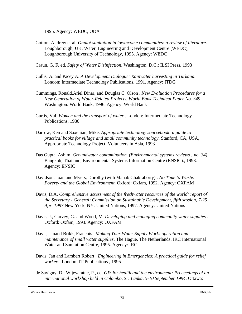1995. Agency: WEDC, ODA

- Cotton, Andrew et al. *Onplot sanitation in lowincome communities: a review of literature*. Loughborough, UK, Water, Engineering and Development Centre (WEDC), Loughborough University of Technology, 1995. Agency: WEDC
- Craun, G. F. ed. *Safety of Water Disinfection*. Washington, D.C.: ILSI Press, 1993
- Cullis, A. and Pacey A. *A Development Dialogue: Rainwater harvesting in Turkana*. London: Intermediate Technology Publications, 1991. Agency: ITDG
- Cummings, Ronald,Ariel Dinar, and Douglas C. Olson . *New Evaluation Procedures for a New Generation of Water-Related Projects. World Bank Technical Paper No. 349* . Washington: World Bank, 1996. Agency: World Bank
- Curtis, Val. *Women and the transport of water* . London: Intermediate Technology Publications, 1986
- Darrow, Ken and Saxenian, Mike. *Appropriate technology sourcebook: a guide to practical books for village and small community technology*. Stanford, CA, USA, Appropriate Technology Project, Volunteers in Asia, 1993
- Das Gupta, Ashim. *Groundwater contamination. (Environmental systems reviews ; no. 34)*. Bangkok, Thailand, Environmental Systems Information Centre (ENSIC)., 1993. Agency: ENSIC
- Davidson, Joan and Myers, Dorothy (with Manab Chakraborty) . *No Time to Waste: Poverty and the Global Environment*. Oxford: Oxfam, 1992. Agency: OXFAM
- Davis, D.A. *Comprehensive assessment of the freshwater resources of the world: report of the Secretary - General; Commission on Sustainable Development, fifth session, 7-25 Apr. 1997*.New York, NY: United Nations, 1997. Agency: United Nations
- Davis, J., Garvey, G. and Wood, M. *Developing and managing community water supplies* . Oxford: Oxfam, 1993. Agency: OXFAM
- Davis, Janand Brikk, Francois . *Making Your Water Supply Work: operation and maintenance of small water supplies*. The Hague, The Netherlands, IRC International Water and Sanitation Centre, 1995. Agency: IRC
- Davis, Jan and Lambert Robert . *Engineering in Emergencies: A practical guide for relief workers*. London: IT Publications , 1995
- de Savigny, D.; Wijeyaratne, P., ed. *GIS for health and the environment: Proceedings of an international workshop held in Colombo, Sri Lanka, 5-10 September 1994*. Ottawa: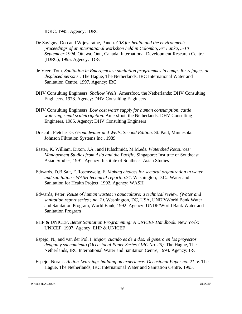IDRC, 1995. Agency: IDRC

- De Savigny, Don and Wijeyaratne, Pandu. *GIS for health and the environment: proceedings of an international workshop held in Colombo, Sri Lanka, 5-10 September 1994*. Ottawa, Ont., Canada, International Development Research Centre (IDRC), 1995. Agency: IDRC
- de Veer, Tom. *Sanitation in Emergencies: sanitation programmes in camps for refugees or displaced persons* . The Hague, The Netherlands, IRC International Water and Sanitation Centre, 1997. Agency: IRC
- DHV Consulting Engineers. *Shallow Wells*. Amersfoot, the Netherlands: DHV Consulting Engineers, 1978. Agency: DHV Consulting Engineers
- DHV Consulting Engineers. *Low cost water supply for human consumption, cattle watering, small scaleirrigation*. Amersfoot, the Netherlands: DHV Consulting Engineers, 1985. Agency: DHV Consulting Engineers
- Driscoll, Fletcher G. *Groundwater and Wells, Second Edition*. St. Paul, Minnesota: Johnson Filtration Systems Inc., 1989
- Easter, K. William, Dixon, J.A., and Hufschmidt, M.M.eds. *Watershed Resources: Management Studies from Asia and the Pacific*. Singapore: Institute of Southeast Asian Studies, 1991. Agency: Institute of Southeast Asian Studies
- Edwards, D.B.Salt, E.Rosensweig, F. *Making choices for sectoral organization in water and sanitation - WASH technical reportno.74*. Washington, D.C.: Water and Sanitation for Health Project, 1992. Agency: WASH
- Edwards, Peter. *Reuse of human wastes in aquaculture: a technical review. (Water and sanitation report series ; no. 2)*. Washington, DC, USA, UNDP/World Bank Water and Sanitation Program, World Bank, 1992. Agency: UNDP/World Bank Water and Sanitation Program
- EHP & UNICEF. *Better Sanitation Programming: A UNICEF Handbook*. New York: UNICEF, 1997. Agency: EHP & UNICEF
- Espejo, N., and van der Pol, I. *Mejor, cuando es de a dos: el genero en los proyectos deagua y saneamiento (Occasional Paper Series / IRC No. 25)*. The Hague, The Netherlands, IRC International Water and Sanitation Centre, 1994. Agency: IRC
- Espejo, Norah . *Action-Learning: building on experience: Occasional Paper no. 21. v*. The Hague, The Netherlands, IRC International Water and Sanitation Centre, 1993.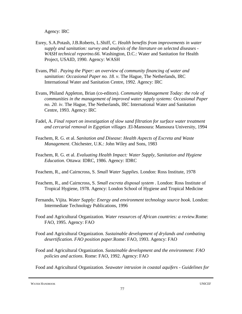Agency: IRC

- Esrey, S.A.Potash, J.B.Roberts, L.Shiff, C. *Health benefits from improvements in water supply and sanitation: survey and analysis of the literature on selected diseases - WASH technical reportno.66*. Washington, D.C.: Water and Sanitation for Health Project, USAID, 1990. Agency: WASH
- Evans, Phil . *Paying the Piper: an overview of community financing of water and sanitation: Occasional Paper no. 18. v*. The Hague, The Netherlands, IRC International Water and Sanitation Centre, 1992. Agency: IRC
- Evans, Philand Appleton, Brian (co-editors). *Community Management Today: the role of communities in the management of improved water supply systems: Occasional Paper no. 20. iv*. The Hague, The Netherlands, IRC International Water and Sanitation Centre, 1993. Agency: IRC
- Fadel, A. *Final report on investigation of slow sand filtration for surface water treatment and cercarial removal in Egyptian villages* .El-Mansoura: Mansoura University, 1994
- Feachem, R. G. et al. *Sanitation and Disease: Health Aspects of Excreta and Waste Management*. Chichester, U.K.: John Wiley and Sons, 1983
- Feachem, R. G. et al. *Evaluating Health Impact: Water Supply, Sanitation and Hygiene Education*. Ottawa: IDRC, 1986. Agency: IDRC
- Feachem, R., and Cairncross, S. *Small Water Supplies*. London: Ross Institute, 1978
- Feachem, R., and Cairncross, S. *Small excreta disposal system* . London: Ross Institute of Tropical Hygiene, 1978. Agency: London School of Hygiene and Tropical Medicine
- Fernando, Vijita. *Water Supply: Energy and environment technology source book*. London: Intermediate Technology Publications, 1996
- Food and Agricultural Organization. *Water resources of African countries: a review*.Rome: FAO, 1995. Agency: FAO
- Food and Agricultural Organization. *Sustainable development of drylands and combating desertification. FAO position paper*.Rome: FAO, 1993. Agency: FAO
- Food and Agricultural Organization. *Sustainable development and the environment: FAO policies and actions*. Rome: FAO, 1992. Agency: FAO

Food and Agricultural Organization. *Seawater intrusion in coastal aquifers - Guidelines for*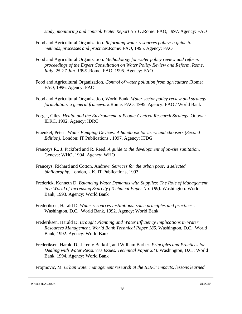*study, monitoring and control. Water Report No 11*.Rome: FAO, 1997. Agency: FAO

- Food and Agricultural Organization. *Reforming water resources policy: a guide to methods, processes and practices*.Rome: FAO, 1995. Agency: FAO
- Food and Agricultural Organization. *Methodology for water policy review and reform: proceedings of the Expert Consultation on Water Policy Review and Reform, Rome, Italy, 25-27 Jan. 1995* .Rome: FAO, 1995. Agency: FAO
- Food and Agricultural Organization. *Control of water pollution from agriculture* .Rome: FAO, 1996. Agency: FAO
- Food and Agricultural Organization, World Bank. *Water sector policy review and strategy formulation: a general framework*.Rome: FAO, 1995. Agency: FAO / World Bank
- Forget, Giles. *Health and the Environment, a People-Centred Research Strategy*. Ottawa: IDRC, 1992. Agency: IDRC
- Fraenkel, Peter . *Water Pumping Devices: A handbook for users and choosers (Second Edition)*. London: IT Publications , 1997. Agency: ITDG
- Franceys R., J. Pickford and R. Reed. *A guide to the development of on-site sanitation*. Geneva: WHO, 1994. Agency: WHO
- Franceys, Richard and Cotton, Andrew. *Services for the urban poor: a selected bibliography*. London, UK, IT Publications, 1993
- Frederick, Kenneth D. *Balancing Water Demands with Supplies: The Role of Management in a World of Increasing Scarcity (Technical Paper No. 189)*. Washington: World Bank, 1993. Agency: World Bank
- Frederiksen, Harald D. *Water resources institutions: some principles and practices* . Washington, D.C.: World Bank, 1992. Agency: World Bank
- Frederiksen, Harald D. *Drought Planning and Water Efficiency Implications in Water Resources Management. World Bank Technical Paper 185*. Washington, D.C.: World Bank, 1992. Agency: World Bank
- Frederiksen, Harald D., Jeremy Berkoff, and William Barber. *Principles and Practices for Dealing with Water Resources Issues. Technical Paper 233*. Washington, D.C.: World Bank, 1994. Agency: World Bank

Frojmovic, M. *Urban water management research at the IDRC: impacts, lessons learned*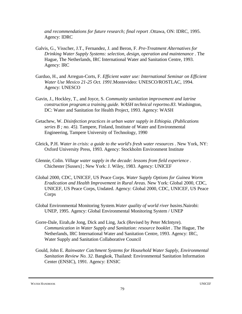*and recommendations for future research; final report* .Ottawa, ON: IDRC, 1995. Agency: IDRC

- Galvis, G., Visscher, J.T., Fernandez, J. and Beron, F. *Pre-Treatment Alternatives for Drinking Water Supply Systems: selection, design, operation and maintenance* . The Hague, The Netherlands, IRC International Water and Sanitation Centre, 1993. Agency: IRC
- Garduo, H., and Arregun-Corts, F. *Efficient water use: International Seminar on Efficient Water Use Mexico 21-25 Oct. 1991*.Montevideo: UNESCO/ROSTLAC, 1994. Agency: UNESCO
- Gavin, J., Hockley, T., and Joyce, S. *Community sanitation improvement and latrine construction program:a training guide. WASH technical reportno.83*. Washington, DC: Water and Sanitation for Health Project, 1993. Agency: WASH
- Getachew, W. *Disinfection practices in urban water supply in Ethiopia. (Publications series B ; no. 45)*. Tampere, Finland, Institute of Water and Environmental Engineering, Tampere University of Technology, 1990
- Gleick, P.H. *Water in crisis: a guide to the world's fresh water resources* . New York, NY: Oxford University Press, 1993. Agency: Stockholm Environment Institute
- Glennie, Colin. *Village water supply in the decade: lessons from field experience* . Chichester [Sussex] ; New York: J. Wiley, 1983. Agency: UNICEF
- Global 2000, CDC, UNICEF, US Peace Corps. *Water Supply Options for Guinea Worm Eradication and Health Improvement in Rural Areas*. New York: Global 2000, CDC, UNICEF, US Peace Corps, Undated. Agency: Global 2000, CDC, UNICEF, US Peace Corps
- Global Environmental Monitoring System.*Water quality of world river basins*.Nairobi: UNEP, 1995. Agency: Global Environmental Monitoring System / UNEP
- Gorre-Dale, Eirah,de Jong, Dick and Ling, Jack (Revised by Peter McIntyre). *Communication in Water Supply and Sanitation: resource booklet* . The Hague, The Netherlands, IRC International Water and Sanitation Centre, 1993. Agency: IRC, Water Supply and Sanitation Collaborative Council
- Gould, John E. *Rainwater Catchment Systems for Household Water Supply, Environmental Sanitation Review No. 32*. Bangkok, Thailand: Environmental Sanitation Information Center (ENSIC), 1991. Agency: ENSIC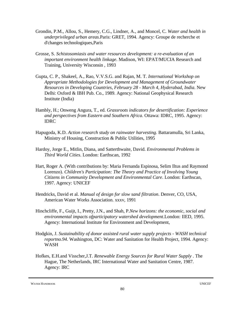- Grondin, P.M., Allou, S., Hemery, C.G., Lindner, A., and Moncel, C. *Water and health in underprivileged urban areas*.Paris: GRET, 1994. Agency: Groupe de recherche et d'changes technologiques,Paris
- Grosse, S. *Schistosomiasis and water resources development: a re-evaluation of an important environment health linkage*. Madison, WI: EPAT/MUCIA Research and Training, University Wisconsin , 1993
- Gupta, C. P., Shakeel, A., Rao, V.V.S.G. and Rajan, M. T. *International Workshop on Appropriate Methodologies for Development and Management of Groundwater Resources in Developing Countries, February 28 - March 4, Hyderabad, India*. New Delhi: Oxford & IBH Pub. Co., 1989. Agency: National Geophysical Research Institute (India)
- Hambly, H.; Onweng Angura, T., ed. *Grassroots indicators for desertification: Experience and perspectives from Eastern and Southern Africa*. Ottawa: IDRC, 1995. Agency: IDRC
- Hapugoda, K.D. *Action research study on rainwater harvesting*. Battaramulla, Sri Lanka, Ministry of Housing, Construction & Public Utilities, 1995
- Hardoy, Jorge E., Mitlin, Diana, and Satterthwaite, David. *Environmental Problems in Third World Cities*. London: Earthscan, 1992
- Hart, Roger A. (With contributions by: Maria Fernanda Espinosa, Selim Iltus and Raymond Lorenzo). *Children's Participation: The Theory and Practice of Involving Young Citizens in Community Development and Environmental Care*. London: Earthscan, 1997. Agency: UNICEF
- Hendricks, David et al. *Manual of design for slow sand filtration*. Denver, CO, USA, American Water Works Association. xxxv, 1991
- Hinchcliffe, F., Guijt, I., Pretty, J.N., and Shah, P.*New horizons: the economic, social and environmental impacts ofparticipatory watershed development*.London: IIED, 1995. Agency: International Institute for Environment and Development,
- Hodgkin, J. *Sustainability of donor assisted rural water supply projects WASH technical reportno.94*. Washington, DC: Water and Sanitation for Health Project, 1994. Agency: WASH
- Hofkes, E.H.and Visscher,J.T. *Renewable Energy Sources for Rural Water Supply* . The Hague, The Netherlands, IRC International Water and Sanitation Centre, 1987. Agency: IRC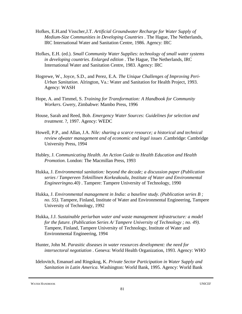- Hofkes, E.H.and Visscher,J.T. *Artificial Groundwater Recharge for Water Supply of Medium-Size Communities in Developing Countries* . The Hague, The Netherlands, IRC International Water and Sanitation Centre, 1986. Agency: IRC
- Hofkes, E.H. (ed.). *Small Community Water Supplies: technology of small water systems in developing countries. Enlarged edition* . The Hague, The Netherlands, IRC International Water and Sanitation Centre, 1983. Agency: IRC
- Hogrewe, W., Joyce, S.D., and Perez, E.A. *The Unique Challenges of Improving Peri-Urban Sanitation*. Alrington, Va.: Water and Sanitation for Health Project, 1993. Agency: WASH
- Hope, A. and Timmel, S. *Training for Transformation: A Handbook for Community Workers*. Gwery, Zimbabwe: Mambo Press, 1996
- House, Sarah and Reed, Bob. *Emergency Water Sources: Guidelines for selection and treatment*. ?, 1997. Agency: WEDC
- Howell, P.P., and Allan, J.A. *Nile: sharing a scarce resource; a historical and technical review ofwater management and of economic and legal issues* .Cambridge: Cambridge University Press, 1994
- Hubley, J. *Communicating Health. An Action Guide to Health Education and Health Promotion*. London: The Macmillan Press, 1993
- Hukka, J. *Environmental sanitation: beyond the decade; a discussion paper (Publication series / Tampereen Teknillinen Korkeakoulu, Institute of Water and Environmental Engineeringno.40)* . Tampere: Tampere University of Technology, 1990
- Hukka, J. *Environmental management in India: a baseline study. (Publication series B ; no. 55)*. Tampere, Finland, Institute of Water and Environmental Engineering, Tampere University of Technology, 1992
- Hukka, J.J. *Sustainable periurban water and waste management infrastructure: a model for the future. (Publication Series A/ Tampere University of Technology ; no. 49)*. Tampere, Finland, Tampere University of Technology, Institute of Water and Environmental Engineering, 1994
- Hunter, John M. *Parasitic diseases in water resources development: the need for intersectoral negotiation* . Geneva: World Health Organization, 1993. Agency: WHO
- Idelovitch, Emanuel and Ringskog, K. *Private Sector Participation in Water Supply and Sanitation in Latin America*. Washington: World Bank, 1995. Agency: World Bank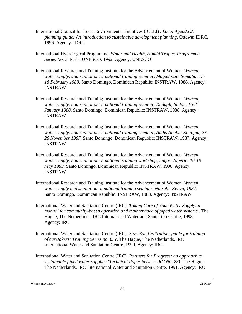- International Council for Local Environmental Initiatives (ICLEI) . *Local Agenda 21 planning guide: An introduction to sustainable development planning*. Ottawa: IDRC, 1996. Agency: IDRC
- International Hydrological Programme. *Water and Health, Humid Tropics Programme Series No. 3*. Paris: UNESCO, 1992. Agency: UNESCO
- International Research and Training Institute for the Advancement of Women. *Women, water supply, and sanitation: a national training seminar, Mogadiscio, Somalia, 13- 18 February 1988*. Santo Domingo, Dominican Republic: INSTRAW, 1988. Agency: INSTRAW
- International Research and Training Institute for the Advancement of Women. *Women, water supply, and sanitation: a national training seminar, Kadugli, Sudan, 16-21 January 1988*. Santo Domingo, Dominican Republic: INSTRAW, 1988. Agency: INSTRAW
- International Research and Training Institute for the Advancement of Women. *Women, water supply, and sanitation: a national training seminar, Addis Ababa, Ethiopia, 23- 28 November 1987*. Santo Domingo, Dominican Republic: INSTRAW, 1987. Agency: INSTRAW
- International Research and Training Institute for the Advancement of Women. *Women, water supply, and sanitation: a national training workshop, Lagos, Nigeria, 10-16 May 1989*. Santo Domingo, Dominican Republic: INSTRAW, 1990. Agency: INSTRAW
- International Research and Training Institute for the Advancement of Women. *Women, water supply and sanitation: a national training seminar, Nairobi, Kenya, 1987*. Santo Domingo, Dominican Republic: INSTRAW, 1988. Agency: INSTRAW
- International Water and Sanitation Centre (IRC). *Taking Care of Your Water Supply: a manual for community-based operation and maintenance of piped water systems* . The Hague, The Netherlands, IRC International Water and Sanitation Centre, 1993. Agency: IRC
- International Water and Sanitation Centre (IRC). *Slow Sand Filtration: guide for training of caretakers: Training Series no. 6. v*. The Hague, The Netherlands, IRC International Water and Sanitation Centre, 1990. Agency: IRC
- International Water and Sanitation Centre (IRC). *Partners for Progress: an approach to sustainable piped water supplies (Technical Paper Series / IRC No. 28)*. The Hague, The Netherlands, IRC International Water and Sanitation Centre, 1991. Agency: IRC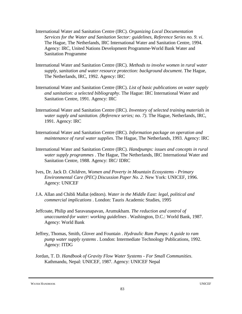- International Water and Sanitation Centre (IRC). *Organizing Local Documentation Services for the Water and Sanitation Sector: guidelines, Reference Series no. 9. vi*. The Hague, The Netherlands, IRC International Water and Sanitation Centre, 1994. Agency: IRC, United Nations Development Programme-World Bank Water and Sanitation Programme
- International Water and Sanitation Centre (IRC). *Methods to involve women in rural water supply, sanitation and water resource protection: background document*. The Hague, The Netherlands, IRC, 1992. Agency: IRC
- International Water and Sanitation Centre (IRC). *List of basic publications on water supply and sanitation: a selected bibliography*. The Hague: IRC International Water and Sanitation Centre, 1991. Agency: IRC
- International Water and Sanitation Centre (IRC). *Inventory of selected training materials in water supply and sanitation. (Reference series; no. 7)*. The Hague, Netherlands, IRC, 1991. Agency: IRC
- International Water and Sanitation Centre (IRC). *Information package on operation and maintenance of rural water supplies*. The Hague, The Netherlands, 1993. Agency: IRC
- International Water and Sanitation Centre (IRC). *Handpumps: issues and concepts in rural water supply programmes* . The Hague, The Netherlands, IRC International Water and Sanitation Centre, 1988. Agency: IRC/ IDRC
- Ives, Dr. Jack D. *Children, Women and Poverty in Mountain Ecosystems Primary Environmental Care (PEC) Discussion Paper No. 2*. New York: UNICEF, 1996. Agency: UNICEF
- J.A. Allan and Chibli Mallat (editors). *Water in the Middle East: legal, political and commercial implications* . London: Tauris Academic Studies, 1995
- Jeffcoate, Philip and Saravanapavan, Arumukham. *The reduction and control of unaccounted-for water: working guidelines* . Washington, D.C.: World Bank, 1987. Agency: World Bank
- Jeffrey, Thomas, Smith, Glover and Fountain . *Hydraulic Ram Pumps: A guide to ram pump water supply systems* . London: Intermediate Technology Publications, 1992. Agency: ITDG
- Jordan, T. D. *Handbook of Gravity Flow Water Systems For Small Communities*. Kathmandu, Nepal: UNICEF, 1987. Agency: UNICEF Nepal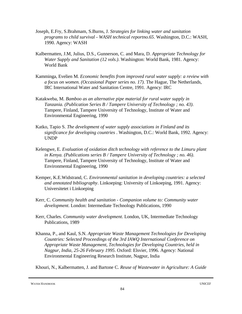- Joseph, E.Fry, S.Brahmam, S.Burns, J. *Strategies for linking water and sanitation programs to child survival - WASH technical reportno.65*. Washington, D.C.: WASH, 1990. Agency: WASH
- Kalbermatten, J.M, Julius, D.S., Gunnerson, C. and Mara, D. *Appropriate Technology for Water Supply and Sanitation (12 vols.)*. Washington: World Bank, 1981. Agency: World Bank
- Kamminga, Evelien M. *Economic benefits from improved rural water supply: a review with a focus on women. (Occasional Paper series no. 17)*. The Hague, The Netherlands, IRC International Water and Sanitation Centre, 1991. Agency: IRC
- Katakweba, M. *Bamboo as an alternative pipe material for rural water supply in Tanzania. (Publication Series B / Tampere University of Technology ; no. 43)*. Tampere, Finland, Tampere University of Technology, Institute of Water and Environmental Engineering, 1990
- Katko, Tapio S. *The development of water supply associations in Finland and its significance for developing countries* . Washington, D.C.: World Bank, 1992. Agency: UNDP
- Kelengwe, E. *Evaluation of oxidation ditch technology with reference to the Limuru plant in Kenya. (Publications series B / Tampere University of Technology ; no. 46)*. Tampere, Finland, Tampere University of Technology, Institute of Water and Environmental Engineering, 1990
- Kemper, K.E.Widstrand, C. *Environmental sanitation in developing countries: a selected and annotated bibliography*. Linkoeping: University of Linkoeping, 1991. Agency: Universitetet i Linkoeping
- Kerr, C. *Community health and sanitation Companion volume to: Community water development*. London: Intermediate Technology Publications, 1990
- Kerr, Charles. *Community water development*. London, UK, Intermediate Technology Publications, 1989
- Khanna, P., and Kaul, S.N. *Appropriate Waste Management Technologies for Developing Countries: Selected Proceedings of the 3rd IAWQ International Conference on Appropriate Waste Management, Technologies for Developing Countries, held in Nagpur, India, 25-26 February 1995*. Oxford: Elsvier, 1996. Agency: National Environmental Engineering Research Institute, Nagpur, India

Khouri, N., Kalbermatten, J. and Bartone C. *Reuse of Wastewater in Agriculture: A Guide*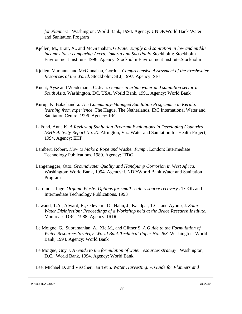*for Planners* . Washington: World Bank, 1994. Agency: UNDP/World Bank Water and Sanitation Program

- Kjellen, M., Bratt, A., and McGranahan, G.*Water supply and sanitation in low and middle income cities: comparing Accra, Jakarta and Sao Paulo*.Stockholm: Stockholm Environment Institute, 1996. Agency: Stockholm Environment Institute,Stockholm
- Kjellen, Marianne and McGranahan, Gordon. *Comprehensive Assessment of the Freshwater Resources of the World*. Stockholm: SEI, 1997. Agency: SEI
- Kudat, Ayse and Weidemann, C. Jean. *Gender in urban water and sanitation sector in South Asia*. Washington, DC, USA, World Bank, 1991. Agency: World Bank
- Kurup, K. Balachandra. *The Community-Managed Sanitation Programme in Kerala: learning from experience*. The Hague, The Netherlands, IRC International Water and Sanitation Centre, 1996. Agency: IRC
- LaFond, Anne K. *A Review of Sanitation Program Evaluations in Developing Countries (EHP Activity Report No. 2)*. Alrington, Va.: Water and Sanitation for Health Project, 1994. Agency: EHP
- Lambert, Robert. *How to Make a Rope and Washer Pump* . London: Intermediate Technology Publications, 1989. Agency: ITDG
- Langenegger, Otto. *Groundwater Quality and Handpump Corrosion in West Africa*. Washington: World Bank, 1994. Agency: UNDP/World Bank Water and Sanitation Program
- Lardinois, Inge. *Organic Waste: Options for small-scale resource recovery* . TOOL and Intermediate Technology Publications, 1993
- Lawand, T.A., Alward, R., Odeyemi, O., Hahn, J., Kandpal, T.C., and Ayoub, J. *Solar Water Disinfection: Proceedings of a Workshop held at the Brace Research Institute*. Montreal: IDRC, 1988. Agency: IRDC
- Le Moigne, G., Subramanian, A., Xie,M., and Giltner S. *A Guide to the Formulation of Water Resources Strategy. World Bank Technical Paper No. 263*. Washington: World Bank, 1994. Agency: World Bank
- Le Moigne, Guy J. *A Guide to the formulation of water resources strategy* . Washington, D.C.: World Bank, 1994. Agency: World Bank

Lee, Michael D. and Visscher, Jan Teun. *Water Harvesting: A Guide for Planners and*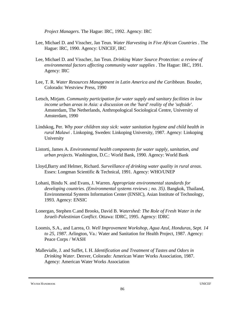*Project Managers*. The Hague: IRC, 1992. Agency: IRC

- Lee, Michael D. and Visscher, Jan Teun. *Water Harvesting in Five African Countries* . The Hague: IRC, 1990. Agency: UNICEF, IRC
- Lee, Michael D. and Visscher, Jan Teun. *Drinking Water Source Protection: a review of environmental factors affecting community water supplies* . The Hague: IRC, 1991. Agency: IRC
- Lee, T. R. *Water Resources Management in Latin America and the Caribbean*. Bouder, Colorado: Westview Press, 1990
- Letsch, Mirjam. *Community participation for water supply and sanitary facilities in low income urban areas in Asia: a discussion on the 'hard' reality of the 'softside'*. Amsterdam, The Netherlands, Anthropological Sociological Centre, University of Amsterdam, 1990
- Lindskog, Per. *Why poor children stay sick: water sanitation hygiene and child health in rural Malawi* . Linkoping, Sweden: Linkoping University, 1987. Agency: Linkoping University
- Listorti, James A. *Environmental health components for water supply, sanitation, and urban projects*. Washington, D.C.: World Bank, 1990. Agency: World Bank
- Lloyd,Barry and Helmer, Richard. *Surveillance of drinking water quality in rural areas*. Essex: Longman Scientific & Technical, 1991. Agency: WHO/UNEP
- Lohani, Bindu N. and Evans, J. Warren. *Appropriate environmental standards for developing countries. (Environmental systems reviews ; no. 35)*. Bangkok, Thailand, Environmental Systems Information Center (ENSIC), Asian Institute of Technology, 1993. Agency: ENSIC
- Lonergan, Stephen C.and Brooks, David B. *Watershed: The Role of Fresh Water in the Israeli-Palestinian Conflict*. Ottawa: IDRC, 1995. Agency: IDRC
- Loomis, S.A., and Larrea, O. *Well Improvement Workshop, Agua Azul, Honduras, Sept. 14 to 25, 1987*. Arlington, Va.: Water and Sanitation for Health Project, 1987. Agency: Peace Corps / WASH
- Mallevialle, J. and Suffet, I. H. *Identification and Treatment of Tastes and Odors in Drinking Water*. Denver, Colorado: American Water Works Association, 1987. Agency: American Water Works Association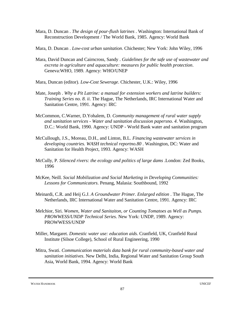- Mara, D. Duncan . *The design of pour-flush latrines* . Washington: International Bank of Reconstruction Development / The World Bank, 1985. Agency: World Bank
- Mara, D. Duncan . *Low-cost urban sanitation*. Chichester; New York: John Wiley, 1996
- Mara, David Duncan and Cairncross, Sandy . *Guidelines for the safe use of wastewater and excreta in agriculture and aquaculture: measures for public health protection*. Geneva:WHO, 1989. Agency: WHO/UNEP
- Mara, Duncan (editor). *Low-Cost Sewerage*. Chichester, U.K.: Wiley, 1996
- Mate, Joseph . *Why a Pit Latrine: a manual for extension workers and latrine builders: Training Series no. 8. ii*. The Hague, The Netherlands, IRC International Water and Sanitation Centre, 1991. Agency: IRC
- McCommon, C.Warner, D.Yohalem, D. *Community management of rural water supply and sanitation services - Water and sanitation discussion papersno. 4*. Washington, D.C.: World Bank, 1990. Agency: UNDP - World Bank water and sanitation program
- McCullough, J.S., Moreau, D.H., and Linton, B.L. *Financing wastewater services in developing countries. WASH technical reportno.80* . Washington, DC: Water and Sanitation for Health Project, 1993. Agency: WASH
- McCully, P. *Silenced rivers: the ecology and politics of large dams* .London: Zed Books, 1996
- McKee, Neill. *Social Mobilization and Social Marketing in Developing Communities: Lessons for Communicators*. Penang, Malasia: Southbound, 1992
- Meinardi, C.R. and Heij G.J. *A Groundwater Primer. Enlarged edition* . The Hague, The Netherlands, IRC International Water and Sanitation Centre, 1991. Agency: IRC
- Melchior, Siri. *Women, Water and Sanitaiton, or Counting Tomatoes as Well as Pumps. PROWWESS/UNDP Technical Series*. New York: UNDP, 1989. Agency: PROWWESS/UNDP
- Miller, Margaret. *Domestic water use: education aids*. Cranfield, UK, Cranfield Rural Institute (Silsoe College), School of Rural Engineering, 1990
- Mitra, Swati. *Communication materials data bank for rural community-based water and sanitation initiatives*. New Delhi, India, Regional Water and Sanitation Group South Asia, World Bank, 1994. Agency: World Bank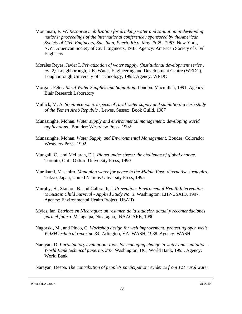- Montanari, F. W. *Resource mobilization for drinking water and sanitation in developing nations: proceedings of the international conference / sponsored by theAmerican Society of Civil Engineers, San Juan, Puerto Rico, May 26-29, 1987*. New York, N.Y.: American Society of Civil Engineers, 1987. Agency: American Society of Civil Engineers
- Morales Reyes, Javier I. *Privatization of water supply. (Institutional development series ; no. 2)*. Loughborough, UK, Water, Engineering and Development Centre (WEDC), Loughborough University of Technology, 1993. Agency: WEDC
- Morgan, Peter. *Rural Water Supplies and Sanitation*. London: Macmillan, 1991. Agency: Blair Research Laboratory
- Mullick, M. A. *Socio-economic aspects of rural water supply and sanitation: a case study of the Yemen Arab Republic* . Lewes, Sussex: Book Guild, 1987
- Munasinghe, Mohan. *Water supply and environmental management: developing world applications* . Boulder: Westview Press, 1992
- Munasinghe, Mohan. *Water Supply and Environmental Management*. Bouder, Colorado: Westview Press, 1992
- Mungall, C., and McLaren, D.J. *Planet under stress: the challenge of global change*. Toronto, Ont.: Oxford University Press, 1990
- Murakami, Masahiro. *Managing water for peace in the Middle East: alternative strategies*. Tokyo, Japan, United Nations University Press, 1995
- Murphy, H., Stanton, B. and Galbraith, J. *Prevention: Enviromental Health Interventions to Sustain Child Survival - Applied Study No. 3*. Washington: EHP/USAID, 1997. Agency: Environmental Health Project, USAID
- Myles, Ian. *Letrinas en Nicaragua: un resumen de la situacion actual y recomendaciones para el futuro*. Matagalpa, Nicaragua, INAACARE, 1990
- Nagorski, M., and Pineo, C. *Workshop design for well improvement: protecting open wells. WASH technical reportno.34*. Arlington, VA: WASH, 1988. Agency: WASH
- Narayan, D. *Participatory evaluation: tools for managing change in water and sanitation - World Bank technical paperno. 207*. Washington, DC: World Bank, 1993. Agency: World Bank

Narayan, Deepa. *The contribution of people's participation: evidence from 121 rural water*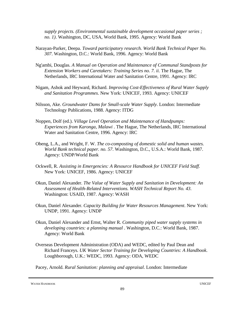*supply projects. (Environmental sustainable development occasional paper series ; no. 1)*. Washington, DC, USA, World Bank, 1995. Agency: World Bank

- Narayan-Parker, Deepa. *Toward participatory research. World Bank Technical Paper No. 307*. Washington, D.C.: World Bank, 1996. Agency: World Bank
- Ng'ambi, Douglas. *A Manual on Operation and Maintenance of Communal Standposts for Extension Workers and Caretakers: Training Series no. 7. ii*. The Hague, The Netherlands, IRC International Water and Sanitation Centre, 1991. Agency: IRC
- Nigam, Ashok and Heyward, Richard. *Improving Cost-Effectiveness of Rural Water Supply and Sanitation Programmes*. New York: UNICEF, 1993. Agency: UNICEF
- Nilsson, Ake. *Groundwater Dams for Small-scale Water Supply*. London: Intermediate Technology Publications, 1988. Agency: ITDG
- Noppen, Dolf (ed.). *Village Level Operation and Maintenance of Handpumps: Experiences from Karonga, Malawi* . The Hague, The Netherlands, IRC International Water and Sanitation Centre, 1996. Agency: IRC
- Obeng, L.A., and Wright, F. W. *The co-composting of domestic solid and human wastes. World Bank technical paper. no. 57*. Washington, D.C., U.S.A.: World Bank, 1987. Agency: UNDP/World Bank
- Ockwell, R. *Assisting in Emergencies: A Resource Handbook for UNICEF Field Staff*. New York: UNICEF, 1986. Agency: UNICEF
- Okun, Daniel Alexander. *The Value of Water Supply and Sanitation in Development: An Assessment of Health-Related Interventions. WASH Technical Report No. 43*. Washington: USAID, 1987. Agency: WASH
- Okun, Daniel Alexander. *Capacity Building for Water Resources Management*. New York: UNDP, 1991. Agency: UNDP
- Okun, Daniel Alexander and Ernst, Walter R. *Community piped water supply systems in developing countries: a planning manual* . Washington, D.C.: World Bank, 1987. Agency: World Bank
- Overseas Development Administration (ODA) and WEDC, edited by Paul Dean and Richard Franceys. *UK Water Sector Training for Developing Countries: A Handbook*. Loughborough, U.K.: WEDC, 1993. Agency: ODA, WEDC

Pacey, Arnold. *Rural Sanitation: planning and appraisal*. London: Intermediate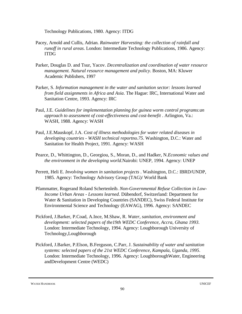Technology Publications, 1980. Agency: ITDG

- Pacey, Arnold and Cullis, Adrian. *Rainwater Harvesting: the collection of rainfall and runoff in rural areas*. London: Intermediate Technology Publications, 1986. Agency: ITDG
- Parker, Douglas D. and Tsur, Yacov. *Decentralization and coordination of water resource management. Natural resource management and policy*. Boston, MA: Kluwer Academic Publishers, 1997
- Parker, S. *Information management in the water and sanitation sector: lessons learned from field assignments in Africa and Asia*. The Hague: IRC, International Water and Sanitation Centre, 1993. Agency: IRC
- Paul, J.E. *Guidelines for implementation planning for guinea worm control programs:an approach to assessment of cost-effectiveness and cost-benefit* . Arlington, Va.: WASH, 1988. Agency: WASH
- Paul, J.E.Mauskopf, J.A. *Cost of illness methodologies for water related diseases in developing countries - WASH technical reportno.75*. Washington, D.C.: Water and Sanitation for Health Project, 1991. Agency: WASH
- Pearce, D., Whittington, D., Georgiou, S., Moran, D., and Hadker, N.*Economic values and the environment in the developing world*.Nairobi: UNEP, 1994. Agency: UNEP
- Perrett, Heli E. *Involving women in sanitation projects* . Washington, D.C.: IBRD/UNDP, 1985. Agency: Technology Advisory Group (TAG)/ World Bank
- Pfammatter, Rogerand Roland Schertenleib. *Non-Governmental Refuse Collection in Low-Income Urban Areas - Lessons learned*. Dübendorf, Switzerland: Department for Water & Sanitation in Developing Countries (SANDEC), Swiss Federal Institute for Environmental Science and Technology (EAWAG), 1996. Agency: SANDEC
- Pickford, J.Barker, P.Coad, A.Ince, M.Shaw, R. *Water, sanitation, environment and development: selected papers of the19th WEDC Conference, Accra, Ghana 1993*. London: Intermediate Technology, 1994. Agency: Loughborough University of Technology,Loughborough
- Pickford, J.Barker, P.Elson, B.Ferguson, C.Parr, J. *Sustainability of water and sanitation systems: selected papers of the 21st WEDC Conference, Kampala, Uganda, 1995*. London: Intermediate Technology, 1996. Agency: LoughboroughWater, Engineering andDevelopment Centre (WEDC)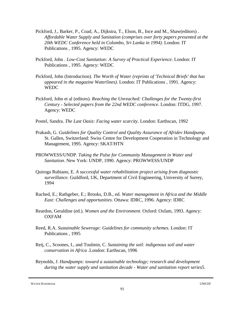- Pickford, J., Barker, P., Coad, A., Dijkstra, T., Elson, B., Ince and M., Shaw(editors) . *Affordable Water Supply and Sanitation (comprises over forty papers presented at the 20th WEDC Conference held in Colombo, Sri Lanka in 1994)*. London: IT Publications , 1995. Agency: WEDC
- Pickford, John . *Low-Cost Sanitation: A Survey of Practical Experience*. London: IT Publications , 1995. Agency: WEDC
- Pickford, John (Introduction). *The Worth of Water (reprints of 'Technical Briefs' that has appeared in the magazine Waterlines)*. London: IT Publications , 1991. Agency: **WEDC**
- Pickford, John et al (editors). *Reaching the Unreached: Challenges for the Twenty-first Century - Selected papers from the 22nd WEDC conference*. London: ITDG, 1997. Agency: WEDC
- Postel, Sandra. *The Last Oasis: Facing water scarcity*. London: Earthscan, 1992
- Prakash, G. *Guidelines for Quality Control and Quality Assurance of Afridev Handpump*. St. Gallen, Switzerland: Swiss Centre for Development Cooperation in Technology and Management, 1995. Agency: SKAT/HTN
- PROWWESS/UNDP. *Taking the Pulse for Community Management in Water and Sanitation*. New York: UNDP, 1990. Agency: PROWWESS/UNDP
- Quiroga Rubiano, E. *A successful water rehabilitation project arising from diagnostic surveillance*. Guildford, UK, Department of Civil Engineering, University of Surrey, 1994
- Rached, E.; Rathgeber, E.; Brooks, D.B., ed. *Water management in Africa and the Middle East: Challenges and opportunities*. Ottawa: IDRC, 1996. Agency: IDRC
- Reardon, Geraldine (ed.). *Women and the Environment*. Oxford: Oxfam, 1993. Agency: OXFAM
- Reed, R.A. *Sustainable Sewerage: Guidelines for community schemes*. London: IT Publications , 1995
- Reij, C., Scoones, I., and Toulmin, C. *Sustaining the soil: indigenous soil and water conservation in Africa* .London: Earthscan, 1996
- Reynolds, J. *Handpumps: toward a sustainable technology; research and development during the water supply and sanitation decade - Water and sanitation report series5*.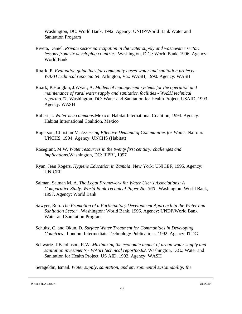Washington, DC: World Bank, 1992. Agency: UNDP/World Bank Water and Sanitation Program

- Rivera, Daniel. *Private sector participation in the water supply and wastewater sector: lessons from six developing countries*. Washington, D.C.: World Bank, 1996. Agency: World Bank
- Roark, P. *Evaluation guidelines for community based water and sanitation projects - WASH technical reportno.64*. Arlington, Va.: WASH, 1990. Agency: WASH
- Roark, P.Hodgkin, J.Wyatt, A. *Models of management systems for the operation and maintenance of rural water supply and sanitation facilities - WASH technical reportno.71*. Washington, DC: Water and Sanitation for Health Project, USAID, 1993. Agency: WASH
- Robert, J. *Water is a commons*.Mexico: Habitat International Coalition, 1994. Agency: Habitat International Coalition, Mexico
- Rogerson, Christian M. *Assessing Effective Demand of Communities for Water*. Nairobi: UNCHS, 1994. Agency: UNCHS (Habitat)
- Rosegrant, M.W. *Water resources in the twenty first century: challenges and implications*.Washington, DC: IFPRI, 1997
- Ryan, Jean Rogers. *Hygiene Education in Zambia*. New York: UNICEF, 1995. Agency: **UNICEF**
- Salman, Salman M. A. *The Legal Framework for Water User's Associations: A Comparative Study. World Bank Technical Paper No. 360* . Washington: World Bank, 1997. Agency: World Bank
- Sawyer, Ron. *The Promotion of a Participatory Development Approach in the Water and Sanitation Sector* . Washington: World Bank, 1996. Agency: UNDP/World Bank Water and Sanitation Program
- Schultz, C. and Okun, D. *Surface Water Treatment for Communities in Developing Countries* . London: Intermediate Technology Publications, 1992. Agency: ITDG
- Schwartz, J.B.Johnson, R.W. *Maximizing the economic impact of urban water supply and sanitation investments - WASH technical reportno.82*. Washington, D.C.: Water and Sanitation for Health Project, US AID, 1992. Agency: WASH

Serageldin, Ismail. *Water supply, sanitation, and environmental sustainability: the*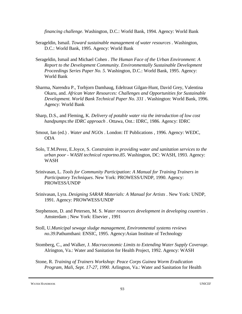*financing challenge*. Washington, D.C.: World Bank, 1994. Agency: World Bank

- Serageldin, Ismail. *Toward sustainable management of water resources* . Washington, D.C.: World Bank, 1995. Agency: World Bank
- Serageldin, Ismail and Michael Cohen . *The Human Face of the Urban Environment: A Report to the Development Community. Environmentally Sustainable Development Proceedings Series Paper No. 5*. Washington, D.C.: World Bank, 1995. Agency: World Bank
- Sharma, Narendra P., Torbjorn Damhaug, Edeltraut Gilgan-Hunt, David Grey, Valentina Okaru, and. *African Water Resources: Challenges and Opportunities for Sustainable Development. World Bank Technical Paper No. 331* . Washington: World Bank, 1996. Agency: World Bank
- Sharp, D.S., and Fleming, K. *Delivery of potable water via the introduction of low cost handpumps:the IDRC approach* . Ottawa, Ont.: IDRC, 1986. Agency: IDRC
- Smout, Ian (ed.) . *Water and NGOs* . London: IT Publications , 1996. Agency: WEDC, ODA
- Solo, T.M.Perez, E.Joyce, S. *Constraints in providing water and sanitation services to the urban poor - WASH technical reportno.85*. Washington, DC: WASH, 1993. Agency: WASH
- Srinivasan, L. *Tools for Community Participation: A Manual for Training Trainers in Participatory Techniques*. New York: PROWESS/UNDP, 1990. Agency: PROWESS/UNDP
- Srinivasan, Lyra. *Designing SARAR Materials: A Manual for Artists* . New York: UNDP, 1991. Agency: PROWWESS/UNDP
- Stephenson, D. and Petersen, M. S. *Water resources development in developing countries* . Amsterdam ; New York: Elsevier , 1991
- Stoll, U.*Municipal sewage sludge management, Environmental systems reviews no.39*.Pathumthani: ENSIC, 1995. Agency:Asian Institute of Technology
- Stomberg, C., and Walker, J. *Macroeconomic Limits to Extending Water Supply Coverage*. Alrington, Va.: Water and Sanitation for Health Project, 1992. Agency: WASH
- Stone, R. *Training of Trainers Workshop: Peace Corps Guinea Worm Eradication Program, Mali, Sept. 17-27, 1990*. Arlington, Va.: Water and Sanitation for Health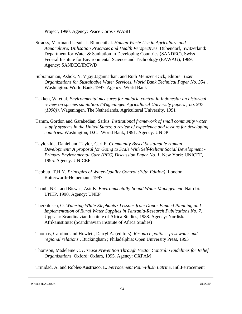Project, 1990. Agency: Peace Corps / WASH

- Strauss, Martinand Ursula J. Blumenthal. *Human Waste Use in Agriculture and Aquaculture; Utilisation Practices and Health Perspectives*. Dübendorf, Switzerland: Department for Water & Sanitation in Developing Countries (SANDEC), Swiss Federal Institute for Environmental Science and Technology (EAWAG), 1989. Agency: SANDEC/IRCWD
- Subramanian, Ashok, N. Vijay Jagannathan, and Ruth Meinzen-Dick, editors . *User Organizations for Sustainable Water Services. World Bank Technical Paper No. 354* . Washington: World Bank, 1997. Agency: World Bank
- Takken, W. et al. *Environmental measures for malaria control in Indonesia: an historical review on species sanitation. (Wageningen Agricultural University papers ; no. 907 (1990))*. Wageningen, The Netherlands, Agricultural University, 1991
- Tamm, Gordon and Garabedian, Sarkis. *Institutional framework of small community water supply systems in the United States: a review of experience and lessons for developing countries*. Washington, D.C.: World Bank, 1991. Agency: UNDP
- Taylor-Ide, Daniel and Taylor, Carl E. *Community Based Sustainable Human Development: A proposal for Going to Scale With Self-Reliant Social Development - Primary Environmental Care (PEC) Discussion Paper No. 1*. New York: UNICEF, 1995. Agency: UNICEF
- Tebbutt, T.H.Y. *Principles of Water-Quality Control (Fifth Edition)*. London: Butterworth-Heinemann, 1997
- Thanh, N.C. and Biswas, Asit K. *Environmentally-Sound Water Management*. Nairobi: UNEP, 1990. Agency: UNEP
- Therkildsen, O. *Watering White Elephants? Lessons from Donor Funded Planning and Implementation of Rural Water Supplies in Tanzania-Research Publications No. 7*. Uppsala: Scandinavian Institute of Africa Studies, 1988. Agency: Nordiska Afrikainstitutet (Scandinavian Institute of Africa Studies)
- Thomas, Caroline and Howlett, Darryl A. (editors). *Resource politics: freshwater and regional relations* . Buckingham ; Philadelphia: Open University Press, 1993
- Thomson, Madeleine C. *Disease Prevention Through Vector Control: Guidelines for Relief Organisations*. Oxford: Oxfam, 1995. Agency: OXFAM

Trinidad, A. and Robles-Austriaco, L. *Ferrocement Pour-Flush Latrine*. Intl.Ferrocement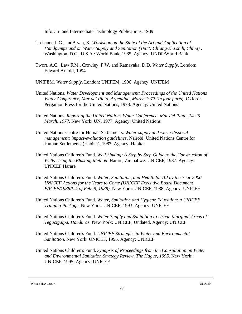Info.Ctr. and Intermediate Technology Publications, 1989

- Tschannerl, G., andBryan, K. *Workshop on the State of the Art and Application of Handpumps and on Water Supply and Sanitation (1984: Ch`ang-sha shih, China)* . Washington, D.C., U.S.A.: World Bank, 1985. Agency: UNDP/World Bank
- Twort, A.C., Law F.M., Crowley, F.W. and Ratnayaka, D.D. *Water Supply*. London: Edward Arnold, 1994
- UNIFEM. *Water Supply*. London: UNIFEM, 1996. Agency: UNIFEM
- United Nations. *Water Development and Management: Proceedings of the United Nations Water Conference, Mar del Plata, Argentina, March 1977 (in four parts)*. Oxford: Pergamon Press for the United Nations, 1978. Agency: United Nations
- United Nations. *Report of the United Nations Water Conference. Mar del Plata, 14-25 March, 1977*. New York: UN, 1977. Agency: United Nations
- United Nations Centre for Human Settlements. *Water-supply and waste-disposal management: impact-evaluation guidelines*. Nairobi: United Nations Centre for Human Settlements (Habitat), 1987. Agency: Habitat
- United Nations Children's Fund. *Well Sinking: A Step by Step Guide to the Construciton of Wells Using the Blasting Method*. Harare, Zimbabwe: UNICEF, 1987. Agency: UNICEF Harare
- United Nations Children's Fund. *Water, Sanitation, and Health for All by the Year 2000: UNICEF Actions for the Years to Come (UNICEF Executive Board Document E/ICEF/1988/L.4 of Feb. 9, 1988)*. New York: UNICEF, 1988. Agency: UNICEF
- United Nations Children's Fund. *Water, Sanitation and Hygiene Education: a UNICEF Training Package*. New York: UNICEF, 1993. Agency: UNICEF
- United Nations Children's Fund. *Water Supply and Sanitation to Urban Marginal Areas of Tegucigalpa, Honduras*. New York: UNICEF, Undated. Agency: UNICEF
- United Nations Children's Fund. *UNICEF Strategies in Water and Environmental Sanitation*. New York: UNICEF, 1995. Agency: UNICEF
- United Nations Children's Fund. *Synopsis of Proceedings from the Consultation on Water and Environmental Sanitation Strategy Review, The Hague, 1995*. New York: UNICEF, 1995. Agency: UNICEF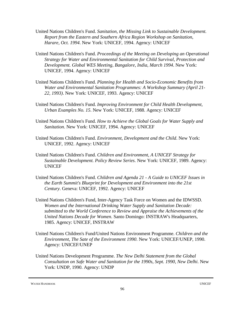- United Nations Children's Fund. *Sanitation, the Missing Link to Sustainable Development. Report from the Eastern and Southern Africa Region Workshop on Sanitation, Harare, Oct. 1994*. New York: UNICEF, 1994. Agency: UNICEF
- United Nations Children's Fund. *Proceedings of the Meeting on Developing an Operational Strategy for Water and Environmental Sanitation for Child Survival, Protection and Development. Global WES Meeting, Bangalore, India, March 1994*. New York: UNICEF, 1994. Agency: UNICEF
- United Nations Children's Fund. *Planning for Health and Socio-Economic Benefits from Water and Environmental Sanitation Programmes: A Workshop Summary (April 21- 22, 1993)*. New York: UNICEF, 1993. Agency: UNICEF
- United Nations Children's Fund. *Improving Environment for Child Health Development, Urban Examples No. 15*. New York: UNICEF, 1988. Agency: UNICEF
- United Nations Children's Fund. *How to Achieve the Global Goals for Water Supply and Sanitation*. New York: UNICEF, 1994. Agency: UNICEF
- United Nations Children's Fund. *Environment, Development and the Child*. New York: UNICEF, 1992. Agency: UNICEF
- United Nations Children's Fund. *Children and Environment, A UNICEF Strategy for Sustainable Development. Policy Review Series*. New York: UNICEF, 1989. Agency: UNICEF
- United Nations Children's Fund. *Children and Agenda 21 A Guide to UNICEF Issues in the Earth Summit's Blueprint for Development and Environment into the 21st Century*. Geneva: UNICEF, 1992. Agency: UNICEF
- United Nations Children's Fund, Inter-Agency Task Force on Women and the IDWSSD. *Women and the International Drinking Water Supply and Sanitation Decade: submitted to the World Conference to Review and Appraise the Achievements of the United Nations Decade for Women*. Santo Domingo: INSTRAW's Headquarters, 1985. Agency: UNICEF, INSTRAW
- United Nations Children's Fund/United Nations Environment Programme. *Children and the Environment, The Sate of the Environment 1990*. New York: UNICEF/UNEP, 1990. Agency: UNICEF/UNEP
- United Nations Development Programme. *The New Delhi Statement from the Global Consultation on Safe Water and Sanitation for the 1990s, Sept. 1990, New Delhi*. New York: UNDP, 1990. Agency: UNDP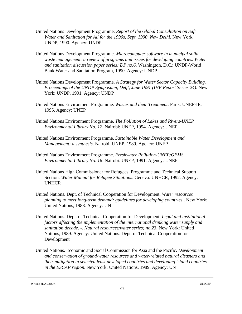- United Nations Development Programme. *Report of the Global Consultation on Safe Water and Sanitation for All for the 1990s, Sept. 1990, New Delhi*. New York: UNDP, 1990. Agency: UNDP
- United Nations Development Programme. *Microcomputer software in municipal solid waste management: a review of programs and issues for developing countries. Water and sanitation discussion paper series; DP no.6*. Washington, D.C.: UNDP-World Bank Water and Sanitation Program, 1990. Agency: UNDP
- United Nations Development Programme. *A Strategy for Water Sector Capacity Building. Proceedings of the UNDP Symposium, Delft, June 1991 (IHE Report Series 24)*. New York: UNDP, 1991. Agency: UNDP
- United Nations Environment Programme. *Wastes and their Treatment*. Paris: UNEP-IE, 1995. Agency: UNEP
- United Nations Environment Programme. *The Pollution of Lakes and Rivers-UNEP Environmental Library No. 12*. Nairobi: UNEP, 1994. Agency: UNEP
- United Nations Environment Programme. *Sustainable Water Development and Management: a synthesis*. Nairobi: UNEP, 1989. Agency: UNEP
- United Nations Environment Programme. *Freshwater Pollution-UNEP/GEMS Environmental Library No. 16*. Nairobi: UNEP, 1991. Agency: UNEP
- United Nations High Commissioner for Refugees, Programme and Technical Support Section. *Water Manual for Refugee Situations*. Geneva: UNHCR, 1992. Agency: UNHCR
- United Nations. Dept. of Technical Cooperation for Development. *Water resources planning to meet long-term demand: guidelines for developing countries* . New York: United Nations, 1988. Agency: UN
- United Nations. Dept. of Technical Cooperation for Development. *Legal and institutional factors affecting the implementation of the international drinking water supply and sanitation decade. -. Natural resources/water series; no.23*. New York: United Nations, 1989. Agency: United Nations. Dept. of Technical Cooperation for Development
- United Nations. Economic and Social Commission for Asia and the Pacific. *Development and conservation of ground-water resources and water-related natural disasters and their mitigation in selected least developed countries and developing island countries in the ESCAP region*. New York: United Nations, 1989. Agency: UN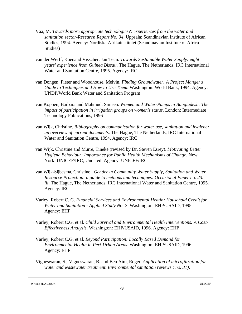- Vaa, M. *Towards more appropriate technologies?: experiences from the water and sanitation sector-Research Report No. 94*. Uppsala: Scandinavian Institute of African Studies, 1994. Agency: Nordiska Afrikainstitutet (Scandinavian Institute of Africa Studies)
- van der Werff, Koenand Visscher, Jan Teun. *Towards Sustainable Water Supply: eight years' experience from Guinea Bissau*. The Hague, The Netherlands, IRC International Water and Sanitation Centre, 1995. Agency: IRC
- van Dongen, Pieter and Woodhouse, Melvin. *Finding Groundwater: A Project Manger's Guide to Techniques and How to Use Them*. Washington: World Bank, 1994. Agency: UNDP/World Bank Water and Sanitation Program
- van Koppen, Barbara and Mahmud, Simeen. *Women and Water-Pumps in Bangladesh: The impact of participation in irrigation groups on women's status*. London: Intermediate Technology Publications, 1996
- van Wijk, Christine. *Bibliography on communication for water use, sanitation and hygiene: an overview of current documents*. The Hague, The Netherlands, IRC International Water and Sanitation Centre, 1994. Agency: IRC
- van Wijk, Christine and Murre, Tineke (revised by Dr. Steven Esrey). *Motivating Better Hygiene Behaviour: Importance for Public Health Mechanisms of Change*. New York: UNICEF/IRC, Undated. Agency: UNICEF/IRC
- van Wijk-Sijbesma, Christine . *Gender in Community Water Supply, Sanitation and Water Resource Protection: a guide to methods and techniques: Occasional Paper no. 23. iii*. The Hague, The Netherlands, IRC International Water and Sanitation Centre, 1995. Agency: IRC
- Varley, Robert C. G. *Financial Services and Environmental Heatlh: Household Credit for Water and Sanitation - Applied Study No. 2*. Washington: EHP/USAID, 1995. Agency: EHP
- Varley, Robert C.G. et al. *Child Survival and Environmental Health Interventions: A Cost-Effectiveness Analysis*. Washington: EHP/USAID, 1996. Agency: EHP
- Varley, Robert C.G. et al. *Beyond Participation: Locally Based Demand for Environmental Health in Peri-Urban Areas*. Washington: EHP/USAID, 1996. Agency: EHP
- Vigneswaran, S.; Vigneswaran, B. and Ben Aim, Roger. *Application of microfiltration for water and wastewater treatment. Environmental sanitation reviews ; no. 31)*.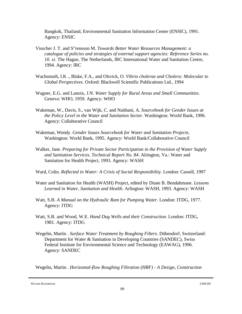Bangkok, Thailand, Environmental Sanitation Information Center (ENSIC), 1991. Agency: ENSIC

- Visscher J. T. and S"rensson M. *Towards Better Water Resources Management: a catalogue of policies and strategies of external support agencies: Reference Series no. 10. xi*. The Hague, The Netherlands, IRC International Water and Sanitation Centre, 1994. Agency: IRC
- Wachsmuth, I.K ., Blake, F.A., and Olsvick, O. *Vibrio cholerae and Cholera: Molecular to Global Perspectives*. Oxford: Blackwell Scientific Publications Ltd., 1994
- Wagner, E.G. and Lanoix, J.N. *Water Supply for Rural Areas and Small Communities*. Geneva: WHO, 1959. Agency: WHO
- Wakeman, W., Davis, S., van Wijk, C. and Naithani, A. *Sourcebook for Gender Issues at the Policy Level in the Water and Sanitation Sector*. Washington: World Bank, 1996. Agency: Collaborative Council
- Wakeman, Wendy. *Gender Issues Sourcebook for Water and Sanitation Projects*. Washington: World Bank, 1995. Agency: World Bank/Collaborative Council
- Walker, Jane. *Preparing for Private Sector Participation in the Provision of Water Supply and Sanitation Services. Technical Report No. 84*. Alrington, Va.: Water and Sanitation for Health Project, 1993. Agency: WASH
- Ward, Colin. *Reflected in Water: A Crisis of Social Responsibility*. London: Cassell, 1997
- Water and Sanitation for Health (WASH) Project, edited by Diane B. Bendahmane. *Lessons Learned in Water, Sanitation and Health*. Arlington: WASH, 1993. Agency: WASH
- Watt, S.B. *A Manual on the Hydraulic Ram for Pumping Water*. London: ITDG, 1977. Agency: ITDG
- Watt, S.B. and Wood, W.E. *Hand Dug Wells and their Construction*. London: ITDG, 1981. Agency: ITDG
- Wegelin, Martin . *Surface Water Treatment by Roughing Filters*. Dübendorf, Switzerland: Department for Water & Sanitation in Developing Countries (SANDEC), Swiss Federal Institute for Environmental Science and Technology (EAWAG), 1996. Agency: SANDEC

Wegelin, Martin . *Horizontal-flow Roughing Filtration (HRF) - A Design, Construction*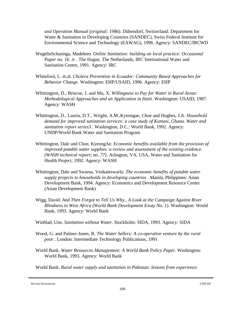*and Operation Manual (original: 1986)*. Dübendorf, Switzerland: Department for Water & Sanitation in Developing Countries (SANDEC), Swiss Federal Institute for Environmental Science and Technology (EAWAG), 1996. Agency: SANDEC/IRCWD

- WegelinSchuringa, Madeleen. *OnSite Sanitation: building on local practice: Occasional Paper no. 16. iv* . The Hague, The Netherlands, IRC International Water and Sanitation Centre, 1991. Agency: IRC
- Whiteford, L. et.al. *Cholera Prevention in Ecuador: Community Based Approaches for Behavior Change*. Washington: EHP/USAID, 1996. Agency: EHP
- Whittington, D., Briscoe, J. and Mu, X. *Willingness to Pay for Water in Rural Areas: Methodological Approaches and an Application in Haiti*. Washington: USAID, 1987. Agency: WASH
- Whittington, D., Lauria, D.T., Wright, A.M.,Kyeongae, Choe and Hughes, J.A. *Household demand for improved sanitation services: a case study of Kumasi, Ghana. Water and sanitation report series3* . Washington, D.C.: World Bank, 1992. Agency: UNDP/World Bank Water and Sanitation Program
- Whittington, Dale and Choe, KyeongAe. *Economic benefits available from the provision of improved potable water supplies: a review and assessment of the existing evidence. (WASH technical report; no. 77)*. Arlington, VA, USA, Water and Sanitation for Health Project, 1992. Agency: WASH
- Whittington, Dale and Swarna, Venkateswarlu. *The economic benefits of potable water supply projects to households in developing countries* . Manila, Philippines: Asian Development Bank, 1994. Agency: Economics and Development Resource Center (Asian Development Bank)
- Wigg, David. *And Then Forgot to Tell Us Why.. A Look at the Campaign Against River Blindness in West Africa (World Bank Development Essay No. 1)*. Washington: World Bank, 1993. Agency: World Bank
- Winblad, Uno. *Sanitation without Water*. Stockholm: SIDA, 1993. Agency: SIDA
- Wood, G. and Palmer-Jones, R. *The Water Sellers: A co-operative venture by the rural poor* . London: Intermediate Technology Publications, 1991
- World Bank. *Water Resources Management: A World Bank Policy Paper*. Washington: World Bank, 1993. Agency: World Bank

World Bank. *Rural water supply and sanitation in Pakistan: lessons from experience.*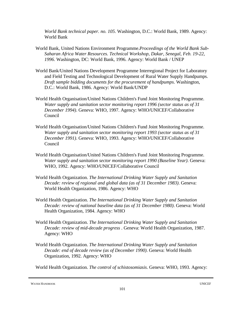*World Bank technical paper. no. 105*. Washington, D.C.: World Bank, 1989. Agency: World Bank

- World Bank, United Nations Environment Programme.*Proceedings of the World Bank Sub-Saharan Africa Water Resources. Technical Workshop, Dakar, Senegal, Feb. 19-22, 1996*. Washington, DC: World Bank, 1996. Agency: World Bank / UNEP
- World Bank/United Nations Development Programme Interregional Project for Laboratory and Field Testing and Technological Development of Rural Water Supply Handpumps. *Draft sample bidding documents for the procurement of handpumps*. Washington, D.C.: World Bank, 1986. Agency: World Bank/UNDP
- World Health Organisation/United Nations Children's Fund Joint Monitoring Programme. *Water supply and sanitation sector monitoring report 1996 (sector status as of 31 December 1994)*. Geneva: WHO, 1997. Agency: WHO/UNICEF/Collaborative Council
- World Health Organisation/United Nations Children's Fund Joint Monitoring Programme. *Water supply and sanitation sector monitoring report 1993 (sector status as of 31 December 1991)*. Geneva: WHO, 1993. Agency: WHO/UNICEF/Collaborative Council
- World Health Organisation/United Nations Children's Fund Joint Monitoring Programme. *Water supply and sanitation sector monitoring report 1990 (Baseline Year)*. Geneva: WHO, 1992. Agency: WHO/UNICEF/Collaborative Council
- World Health Organization. *The International Drinking Water Supply and Sanitation Decade: review of regional and global data (as of 31 December 1983)*. Geneva: World Health Organization, 1986. Agency: WHO
- World Health Organization. *The International Drinking Water Supply and Sanitation Decade: review of national baseline data (as of 31 December 1980)*. Geneva: World Health Organization, 1984. Agency: WHO
- World Health Organization. *The International Drinking Water Supply and Sanitation Decade: review of mid-decade progress* . Geneva: World Health Organization, 1987. Agency: WHO
- World Health Organization. *The International Drinking Water Supply and Sanitation Decade: end of decade review (as of December 1990)*. Geneva: World Health Organization, 1992. Agency: WHO

World Health Organization. *The control of schistosomiasis*. Geneva: WHO, 1993. Agency: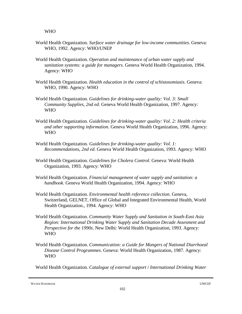WHO

- World Health Organization. *Surface water drainage for low-income communities*. Geneva: WHO, 1992. Agency: WHO/UNEP
- World Health Organization. *Operation and maintenance of urban water supply and sanitation systems: a guide for managers*. Geneva World Health Organization, 1994. Agency: WHO
- World Health Organization. *Health education in the control of schistosomiasis*. Geneva: WHO, 1990. Agency: WHO
- World Health Organization. *Guidelines for drinking-water quality: Vol. 3: Small Community Supplies, 2nd ed*. Geneva World Health Organization, 1997. Agency: W<sub>H</sub>O
- World Health Organization. *Guidelines for drinking-water quality: Vol. 2: Health criteria and other supporting information*. Geneva World Health Organization, 1996. Agency: WHO
- World Health Organization. *Guidelines for drinking-water quality: Vol. 1: Recommendations, 2nd ed*. Geneva World Health Organization, 1993. Agency: WHO
- World Health Organization. *Guidelines for Cholera Control*. Geneva: World Health Organization, 1993. Agency: WHO
- World Health Organization. *Financial management of water supply and sanitation: a handbook*. Geneva World Health Organization, 1994. Agency: WHO
- World Health Organization. *Environmental health reference collection*. Geneva, Switzerland, GELNET, Office of Global and Integrated Environmental Health, World Health Organization., 1994. Agency: WHO
- World Health Organization. *Community Water Supply and Sanitation in South-East Asia Region: International Drinking Water Supply and Sanitation Decade Assesment and Perspective for the 1990s*. New Delhi: World Health Organization, 1993. Agency: WHO
- World Health Organization. *Communication: a Guide for Mangers of National Diarrhoeal Disease Control Programmes*. Geneva: World Health Organization, 1987. Agency: WHO

World Health Organization. *Catalogue of external support / International Drinking Water*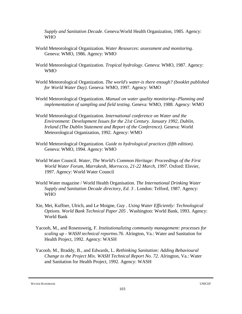*Supply and Sanitation Decade*. Geneva:World Health Organization, 1985. Agency: WHO

- World Meteorological Organization. *Water Resources: assessment and monitoring*. Geneva: WMO, 1986. Agency: WMO
- World Meteorological Organization. *Tropical hydrology*. Geneva: WMO, 1987. Agency: WMO
- World Meteorological Organization. *The world's water-is there enough? (booklet published for World Water Day)*. Geneva: WMO, 1997. Agency: WMO
- World Meteorological Organization. *Manual on water quality monitoring--Planning and implementation of sampling and field testing*. Geneva: WMO, 1988. Agency: WMO
- World Meteorological Organization. *International conference on Water and the Environment: Development Issues for the 21st Century. January 1992, Dublin, Ireland (The Dublin Statement and Report of the Conference)*. Geneva: World Meteorological Organization, 1992. Agency: WMO
- World Meteorological Organization. *Guide to hydrological practices (fifth edition)*. Geneva: WMO, 1994. Agency: WMO
- World Water Council. *Water, The World's Common Heritage: Proceedings of the First World Water Forum, Marrakesh, Morrocco, 21-22 March, 1997*. Oxford: Elsvier, 1997. Agency: World Water Council
- World Water magazine / World Health Organisation. *The International Drinking Water Supply and Sanitation Decade directory, Ed. 3* . London: Telford, 1987. Agency: WHO
- Xie, Mei, Kuffner, Ulrich, and Le Moigne, Guy . *Using Water Efficiently: Technological Options. World Bank Technical Paper 205* . Washington: World Bank, 1993. Agency: World Bank
- Yacoob, M., and Rosensweig, F. *Institutionalizing community management: processes for scaling up - WASH technical reportno.76*. Alrington, Va.: Water and Sanitation for Health Project, 1992. Agency: WASH
- Yacoob, M., Braddy, B., and Edwards, L. *Rethinking Sanitation: Adding Behavioural Change to the Project Mix. WASH Technical Report No. 72*. Alrington, Va.: Water and Sanitation for Health Project, 1992. Agency: WASH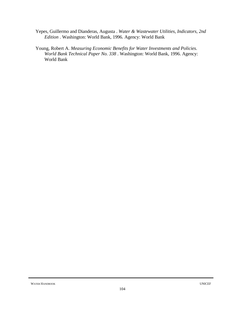- Yepes, Guillermo and Dianderas, Augusta . *Water & Wastewater Utilities, Indicators, 2nd Edition* . Washington: World Bank, 1996. Agency: World Bank
- Young, Robert A. *Measuring Economic Benefits for Water Investments and Policies. World Bank Technical Paper No. 338* . Washington: World Bank, 1996. Agency: World Bank

WATER HANDBOOK UNICEF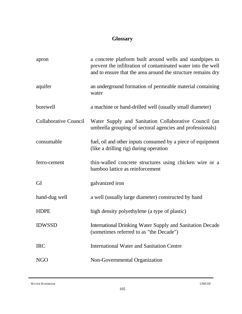## **Glossary**

| apron                        | a concrete platform built around wells and standpipes to<br>prevent the infiltration of contaminated water into the well<br>and to ensure that the area around the structure remains dry |
|------------------------------|------------------------------------------------------------------------------------------------------------------------------------------------------------------------------------------|
| aquifer                      | an underground formation of permeable material containing<br>water                                                                                                                       |
| borewell                     | a machine or hand-drilled well (usually small diameter)                                                                                                                                  |
| <b>Collaborative Council</b> | Water Supply and Sanitation Collaborative Council (an<br>umbrella grouping of sectoral agencies and professionals)                                                                       |
| consumable                   | fuel, oil and other inputs consumed by a piece of equipment<br>(like a drilling rig) during operation                                                                                    |
| ferro-cement                 | thin-walled concrete structures using chicken wire or a<br>bamboo lattice as reinforcement                                                                                               |
| GI                           | galvanized iron                                                                                                                                                                          |
| hand-dug well                | a well (usually large diameter) constructed by hand                                                                                                                                      |
| <b>HDPE</b>                  | high density polyethylene (a type of plastic)                                                                                                                                            |
| <b>IDWSSD</b>                | International Drinking Water Supply and Sanitation Decade<br>(sometimes referred to as "the Decade")                                                                                     |
| <b>IRC</b>                   | International Water and Sanitation Centre                                                                                                                                                |
| <b>NGO</b>                   | Non-Governmental Organization                                                                                                                                                            |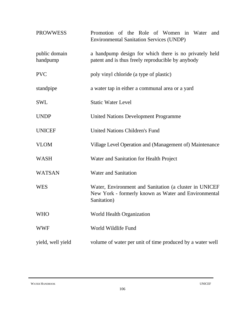| <b>PROWWESS</b>           | Promotion of the Role of Women in Water and<br><b>Environmental Sanitation Services (UNDP)</b>                                |
|---------------------------|-------------------------------------------------------------------------------------------------------------------------------|
| public domain<br>handpump | a handpump design for which there is no privately held<br>patent and is thus freely reproducible by anybody                   |
| <b>PVC</b>                | poly vinyl chloride (a type of plastic)                                                                                       |
| standpipe                 | a water tap in either a communal area or a yard                                                                               |
| <b>SWL</b>                | <b>Static Water Level</b>                                                                                                     |
| <b>UNDP</b>               | <b>United Nations Development Programme</b>                                                                                   |
| <b>UNICEF</b>             | <b>United Nations Children's Fund</b>                                                                                         |
| <b>VLOM</b>               | Village Level Operation and (Management of) Maintenance                                                                       |
| <b>WASH</b>               | Water and Sanitation for Health Project                                                                                       |
| <b>WATSAN</b>             | <b>Water and Sanitation</b>                                                                                                   |
| <b>WES</b>                | Water, Environment and Sanitation (a cluster in UNICEF<br>New York - formerly known as Water and Environmental<br>Sanitation) |
| <b>WHO</b>                | World Health Organization                                                                                                     |
| <b>WWF</b>                | World Wildlife Fund                                                                                                           |
| yield, well yield         | volume of water per unit of time produced by a water well                                                                     |